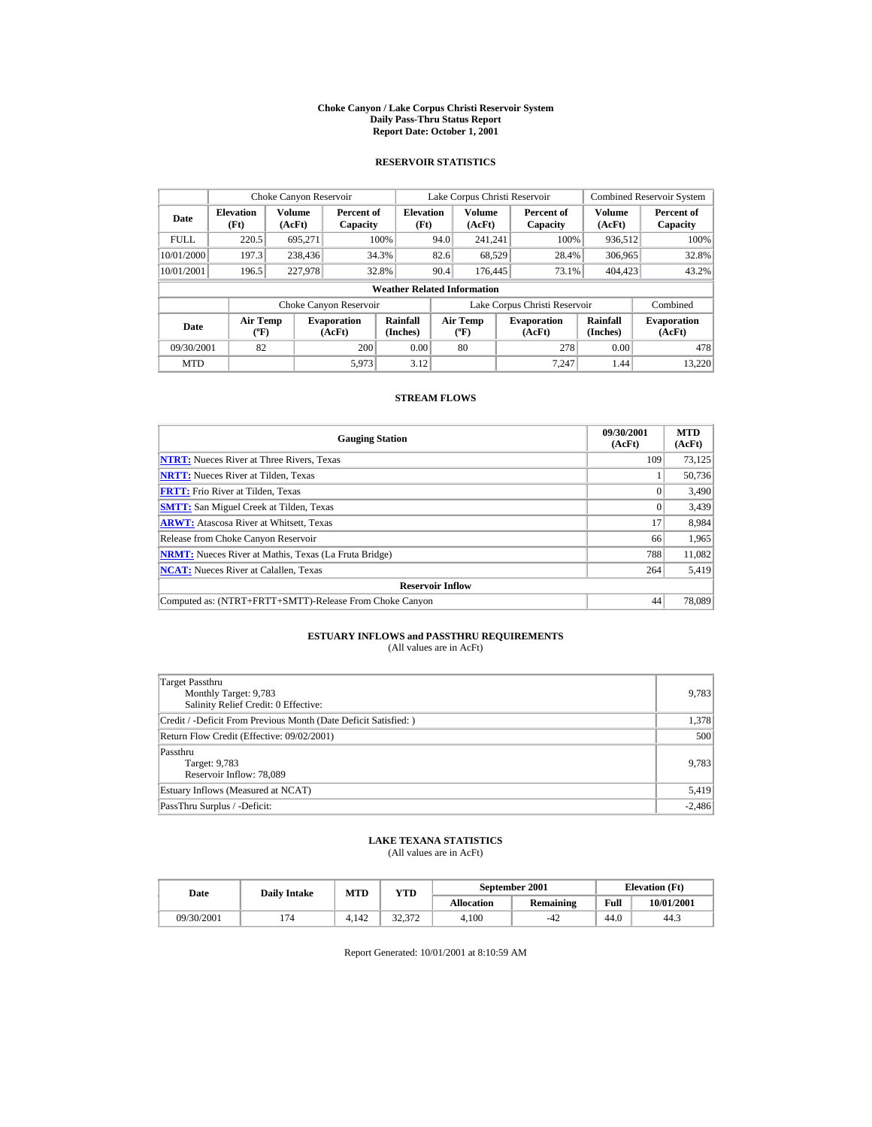#### **Choke Canyon / Lake Corpus Christi Reservoir System Daily Pass-Thru Status Report Report Date: October 1, 2001**

## **RESERVOIR STATISTICS**

|             | Choke Canyon Reservoir           |                  |                              |                                    |      | Lake Corpus Christi Reservoir               |                               |                             | <b>Combined Reservoir System</b> |
|-------------|----------------------------------|------------------|------------------------------|------------------------------------|------|---------------------------------------------|-------------------------------|-----------------------------|----------------------------------|
| Date        | <b>Elevation</b><br>(Ft)         | Volume<br>(AcFt) | Percent of<br>Capacity       | <b>Elevation</b><br>(Ft)           |      | <b>Volume</b><br>(AcFt)                     | Percent of<br>Capacity        | Volume<br>(AcFt)            | Percent of<br>Capacity           |
| <b>FULL</b> | 220.5                            | 695.271          |                              | 100%                               | 94.0 | 241.241                                     | 100%                          | 936,512                     | 100%                             |
| 10/01/2000  | 197.3                            | 238,436          |                              | 34.3%                              | 82.6 | 68,529                                      | 28.4%                         | 306,965                     | 32.8%                            |
| 10/01/2001  | 196.5                            | 227,978          |                              | 32.8%                              | 90.4 | 176,445                                     | 73.1%                         | 404,423                     | 43.2%                            |
|             |                                  |                  |                              | <b>Weather Related Information</b> |      |                                             |                               |                             |                                  |
|             |                                  |                  | Choke Canyon Reservoir       |                                    |      |                                             | Lake Corpus Christi Reservoir |                             | Combined                         |
| Date        | <b>Air Temp</b><br>$(^{\circ}F)$ |                  | <b>Evaporation</b><br>(AcFt) | Rainfall<br>(Inches)               |      | <b>Air Temp</b><br>$({}^{\circ}\mathbf{F})$ | <b>Evaporation</b><br>(AcFt)  | <b>Rainfall</b><br>(Inches) | <b>Evaporation</b><br>(AcFt)     |
| 09/30/2001  | 82                               |                  | 200                          | 0.00                               |      | 80                                          | 278                           | 0.00                        | 478                              |
| <b>MTD</b>  |                                  |                  | 5.973                        | 3.12                               |      |                                             | 7.247                         | 1.44                        | 13.220                           |

## **STREAM FLOWS**

| <b>Gauging Station</b>                                       | 09/30/2001<br>(AcFt) | <b>MTD</b><br>(AcFt) |
|--------------------------------------------------------------|----------------------|----------------------|
| <b>NTRT:</b> Nueces River at Three Rivers, Texas             | 109                  | 73,125               |
| <b>NRTT:</b> Nueces River at Tilden, Texas                   |                      | 50.736               |
| <b>FRTT:</b> Frio River at Tilden, Texas                     |                      | 3,490                |
| <b>SMTT:</b> San Miguel Creek at Tilden, Texas               |                      | 3,439                |
| <b>ARWT:</b> Atascosa River at Whitsett, Texas               | 17                   | 8,984                |
| Release from Choke Canyon Reservoir                          | 66                   | 1,965                |
| <b>NRMT:</b> Nueces River at Mathis, Texas (La Fruta Bridge) | 788                  | 11.082               |
| <b>NCAT:</b> Nueces River at Calallen, Texas                 | 264                  | 5,419                |
| <b>Reservoir Inflow</b>                                      |                      |                      |
| Computed as: (NTRT+FRTT+SMTT)-Release From Choke Canyon      | 44                   | 78,089               |

# **ESTUARY INFLOWS and PASSTHRU REQUIREMENTS**<br>(All values are in AcFt)

| Target Passthru<br>Monthly Target: 9,783<br>Salinity Relief Credit: 0 Effective: | 9,783    |
|----------------------------------------------------------------------------------|----------|
| Credit / -Deficit From Previous Month (Date Deficit Satisfied:)                  | 1,378    |
| Return Flow Credit (Effective: 09/02/2001)                                       | 500      |
| Passthru<br>Target: 9,783<br>Reservoir Inflow: 78,089                            | 9,783    |
| Estuary Inflows (Measured at NCAT)                                               | 5,419    |
| PassThru Surplus / -Deficit:                                                     | $-2,486$ |

## **LAKE TEXANA STATISTICS**

(All values are in AcFt)

| Date       | <b>Daily Intake</b> | MTD   | VTD    |                   | September 2001 | <b>Elevation</b> (Ft) |            |
|------------|---------------------|-------|--------|-------------------|----------------|-----------------------|------------|
|            |                     |       |        | <b>Allocation</b> | Remaining      | Full                  | 10/01/2001 |
| 09/30/2001 |                     | 4.142 | 22.272 | 4.100             | $-42$          | 44.0                  | 44.3       |

Report Generated: 10/01/2001 at 8:10:59 AM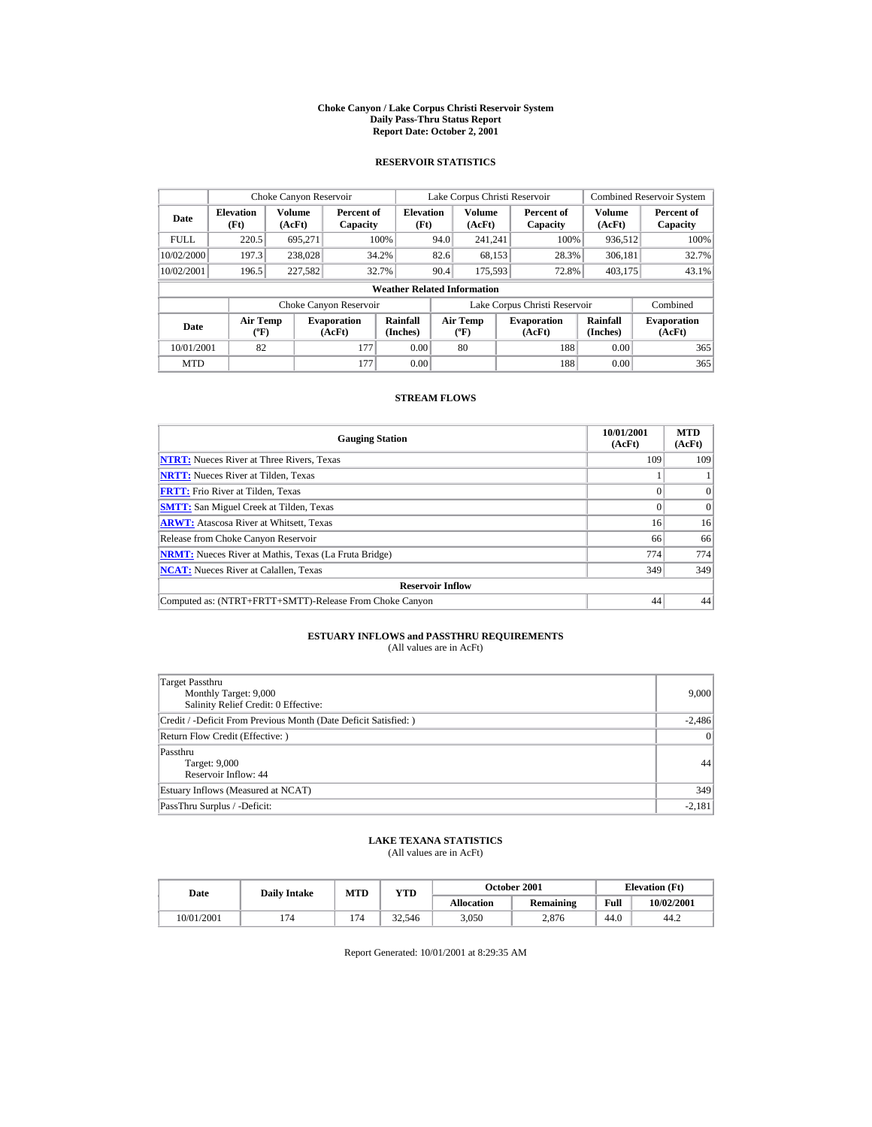#### **Choke Canyon / Lake Corpus Christi Reservoir System Daily Pass-Thru Status Report Report Date: October 2, 2001**

## **RESERVOIR STATISTICS**

|             | Choke Canyon Reservoir           |                         |                              |                                    |      | Lake Corpus Christi Reservoir           |                               |                      | <b>Combined Reservoir System</b> |
|-------------|----------------------------------|-------------------------|------------------------------|------------------------------------|------|-----------------------------------------|-------------------------------|----------------------|----------------------------------|
| Date        | <b>Elevation</b><br>(Ft)         | <b>Volume</b><br>(AcFt) | Percent of<br>Capacity       | <b>Elevation</b><br>(Ft)           |      | Volume<br>(AcFt)                        | Percent of<br>Capacity        | Volume<br>(AcFt)     | Percent of<br>Capacity           |
| <b>FULL</b> | 220.5                            | 695.271                 |                              | 100%                               | 94.0 | 241.241                                 | 100%                          | 936.512              | 100%                             |
| 10/02/2000  | 197.3                            | 238,028                 |                              | 34.2%                              | 82.6 | 68,153                                  | 28.3%                         | 306.181              | 32.7%                            |
| 10/02/2001  | 196.5                            | 227,582                 | 32.7%                        |                                    | 90.4 | 175,593                                 | 72.8%                         | 403,175              | 43.1%                            |
|             |                                  |                         |                              | <b>Weather Related Information</b> |      |                                         |                               |                      |                                  |
|             |                                  |                         | Choke Canyon Reservoir       |                                    |      |                                         | Lake Corpus Christi Reservoir |                      | Combined                         |
| Date        | <b>Air Temp</b><br>$(^{\circ}F)$ |                         | <b>Evaporation</b><br>(AcFt) | Rainfall<br>(Inches)               |      | <b>Air Temp</b><br>$(^{\circ}\text{F})$ | <b>Evaporation</b><br>(AcFt)  | Rainfall<br>(Inches) | <b>Evaporation</b><br>(AcFt)     |
| 10/01/2001  | 82                               |                         | 177                          | 0.00                               |      | 80                                      | 188                           | 0.00                 | 365                              |
| <b>MTD</b>  |                                  |                         | 177                          | 0.00                               |      |                                         | 188                           | 0.00                 | 365                              |

## **STREAM FLOWS**

| <b>Gauging Station</b>                                       | 10/01/2001<br>(AcFt) | <b>MTD</b><br>(AcFt) |
|--------------------------------------------------------------|----------------------|----------------------|
| <b>NTRT:</b> Nueces River at Three Rivers, Texas             | 109                  | 109                  |
| <b>NRTT:</b> Nueces River at Tilden, Texas                   |                      |                      |
| <b>FRTT:</b> Frio River at Tilden, Texas                     |                      | $\Omega$             |
| <b>SMTT:</b> San Miguel Creek at Tilden, Texas               |                      | $\Omega$             |
| <b>ARWT:</b> Atascosa River at Whitsett, Texas               | 16                   | 16                   |
| Release from Choke Canyon Reservoir                          | 66                   | 66                   |
| <b>NRMT:</b> Nueces River at Mathis, Texas (La Fruta Bridge) | 774                  | 774                  |
| <b>NCAT:</b> Nueces River at Calallen, Texas                 | 349                  | 349                  |
| <b>Reservoir Inflow</b>                                      |                      |                      |
| Computed as: (NTRT+FRTT+SMTT)-Release From Choke Canyon      | 44                   | 44                   |

# **ESTUARY INFLOWS and PASSTHRU REQUIREMENTS**<br>(All values are in AcFt)

| Target Passthru<br>Monthly Target: 9,000<br>Salinity Relief Credit: 0 Effective: | 9,000           |
|----------------------------------------------------------------------------------|-----------------|
| Credit / -Deficit From Previous Month (Date Deficit Satisfied:)                  | $-2,486$        |
| Return Flow Credit (Effective: )                                                 | $\vert 0 \vert$ |
| Passthru<br>Target: 9,000<br>Reservoir Inflow: 44                                | 44              |
| Estuary Inflows (Measured at NCAT)                                               | 349             |
| PassThru Surplus / -Deficit:                                                     | $-2,181$        |

## **LAKE TEXANA STATISTICS**

(All values are in AcFt)

| Date       | <b>Daily Intake</b> | MTD | $_{\rm VTD}$ |                   | <b>October 2001</b> | <b>Elevation</b> (Ft) |            |
|------------|---------------------|-----|--------------|-------------------|---------------------|-----------------------|------------|
|            |                     |     |              | <b>Allocation</b> | Remaining           | Full                  | 10/02/2001 |
| 10/01/2001 |                     | 174 | 32.546       | 3.050             | 2.876               | 44.0                  | 44.2       |

Report Generated: 10/01/2001 at 8:29:35 AM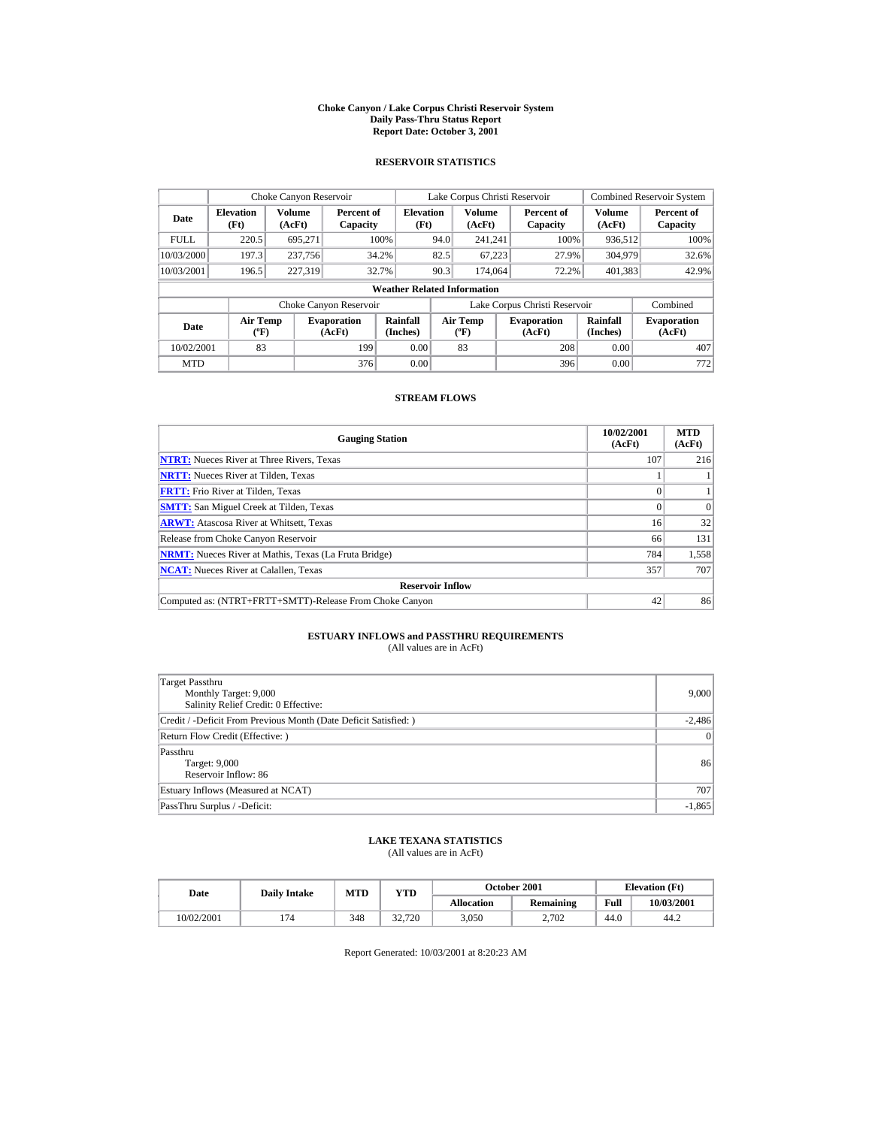#### **Choke Canyon / Lake Corpus Christi Reservoir System Daily Pass-Thru Status Report Report Date: October 3, 2001**

## **RESERVOIR STATISTICS**

|             | Choke Canyon Reservoir           |                         |                              |                                    |      | Lake Corpus Christi Reservoir            |                               |                      | <b>Combined Reservoir System</b> |
|-------------|----------------------------------|-------------------------|------------------------------|------------------------------------|------|------------------------------------------|-------------------------------|----------------------|----------------------------------|
| Date        | <b>Elevation</b><br>(Ft)         | <b>Volume</b><br>(AcFt) | Percent of<br>Capacity       | <b>Elevation</b><br>(Ft)           |      | Volume<br>(AcFt)                         | Percent of<br>Capacity        | Volume<br>(AcFt)     | Percent of<br>Capacity           |
| <b>FULL</b> | 220.5                            | 695.271                 |                              | 100%                               | 94.0 | 241.241                                  | 100%                          | 936.512              | 100%                             |
| 10/03/2000  | 197.3                            | 237,756                 |                              | 34.2%                              | 82.5 | 67.223                                   | 27.9%                         | 304.979              | 32.6%                            |
| 10/03/2001  | 196.5                            | 227,319                 | 32.7%                        |                                    | 90.3 | 174,064                                  | 72.2%                         | 401,383              | 42.9%                            |
|             |                                  |                         |                              | <b>Weather Related Information</b> |      |                                          |                               |                      |                                  |
|             |                                  |                         | Choke Canyon Reservoir       |                                    |      |                                          | Lake Corpus Christi Reservoir |                      | Combined                         |
| Date        | <b>Air Temp</b><br>$(^{\circ}F)$ |                         | <b>Evaporation</b><br>(AcFt) | Rainfall<br>(Inches)               |      | <b>Air Temp</b><br>$({}^{\circ}{\rm F})$ | <b>Evaporation</b><br>(AcFt)  | Rainfall<br>(Inches) | <b>Evaporation</b><br>(AcFt)     |
| 10/02/2001  | 83                               |                         | 199                          | 0.00                               |      | 83                                       | 208                           | 0.00                 | 407                              |
| <b>MTD</b>  |                                  |                         | 376                          | 0.00                               |      |                                          | 396                           | 0.00                 | 772                              |

## **STREAM FLOWS**

| <b>Gauging Station</b>                                       | 10/02/2001<br>(AcFt) | <b>MTD</b><br>(AcFt) |
|--------------------------------------------------------------|----------------------|----------------------|
| <b>NTRT:</b> Nueces River at Three Rivers, Texas             | 107                  | 216                  |
| <b>NRTT:</b> Nueces River at Tilden, Texas                   |                      |                      |
| <b>FRTT:</b> Frio River at Tilden, Texas                     |                      |                      |
| <b>SMTT:</b> San Miguel Creek at Tilden, Texas               |                      | $\Omega$             |
| <b>ARWT:</b> Atascosa River at Whitsett, Texas               | 16                   | 32                   |
| Release from Choke Canyon Reservoir                          | 66                   | 131                  |
| <b>NRMT:</b> Nueces River at Mathis, Texas (La Fruta Bridge) | 784                  | 1,558                |
| <b>NCAT:</b> Nueces River at Calallen, Texas                 | 357                  | 707                  |
| <b>Reservoir Inflow</b>                                      |                      |                      |
| Computed as: (NTRT+FRTT+SMTT)-Release From Choke Canyon      | 42                   | 86                   |

# **ESTUARY INFLOWS and PASSTHRU REQUIREMENTS**<br>(All values are in AcFt)

| Target Passthru<br>Monthly Target: 9,000<br>Salinity Relief Credit: 0 Effective: | 9,000    |
|----------------------------------------------------------------------------------|----------|
| Credit / -Deficit From Previous Month (Date Deficit Satisfied: )                 | $-2,486$ |
| Return Flow Credit (Effective: )                                                 | 0        |
| Passthru<br>Target: 9,000<br>Reservoir Inflow: 86                                | 86       |
| Estuary Inflows (Measured at NCAT)                                               | 707      |
| PassThru Surplus / -Deficit:                                                     | $-1,865$ |

## **LAKE TEXANA STATISTICS**

(All values are in AcFt)

| Date       | <b>Daily Intake</b> | MTD | YTD    |                   | October 2001     | <b>Elevation</b> (Ft) |            |
|------------|---------------------|-----|--------|-------------------|------------------|-----------------------|------------|
|            |                     |     |        | <b>Allocation</b> | <b>Remaining</b> | Full                  | 10/03/2001 |
| 10/02/2001 | 74                  | 348 | 32,720 | 3.050             | 2.702            | 44.0                  | 44.2       |

Report Generated: 10/03/2001 at 8:20:23 AM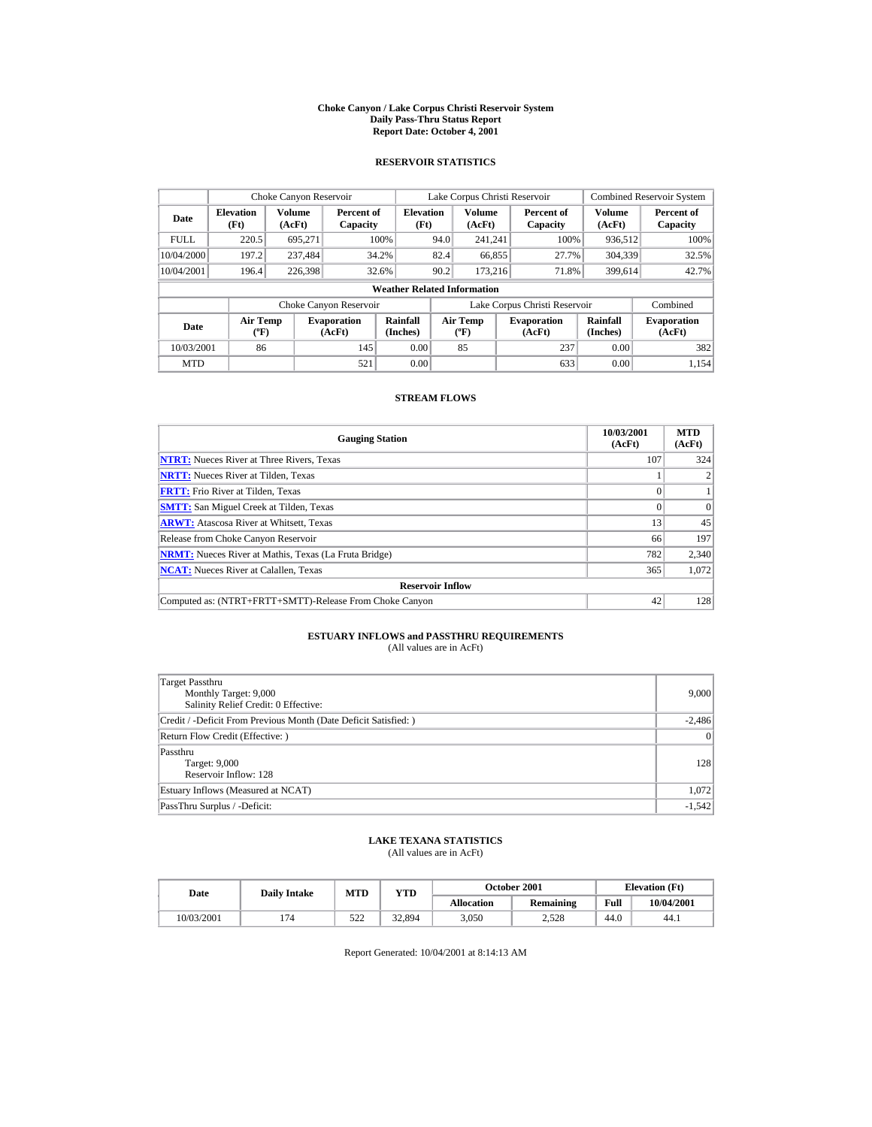#### **Choke Canyon / Lake Corpus Christi Reservoir System Daily Pass-Thru Status Report Report Date: October 4, 2001**

## **RESERVOIR STATISTICS**

|             | Choke Canyon Reservoir                      |                  |                              |                          | Lake Corpus Christi Reservoir |                                           |  |                               |                      | <b>Combined Reservoir System</b> |  |  |
|-------------|---------------------------------------------|------------------|------------------------------|--------------------------|-------------------------------|-------------------------------------------|--|-------------------------------|----------------------|----------------------------------|--|--|
| Date        | <b>Elevation</b><br>(Ft)                    | Volume<br>(AcFt) | Percent of<br>Capacity       | <b>Elevation</b><br>(Ft) |                               | Volume<br>(AcFt)                          |  | Percent of<br>Capacity        | Volume<br>(AcFt)     | Percent of<br>Capacity           |  |  |
| <b>FULL</b> | 220.5                                       | 695.271          |                              | 100%                     | 94.0                          | 241.241                                   |  | 100%                          | 936,512              | 100%                             |  |  |
| 10/04/2000  | 197.2                                       | 237.484          |                              | 34.2%                    | 82.4                          | 66,855                                    |  | 27.7%                         | 304.339              | 32.5%                            |  |  |
| 10/04/2001  | 196.4                                       | 226,398          |                              | 32.6%                    | 90.2                          | 173.216                                   |  | 71.8%                         | 399.614              | 42.7%                            |  |  |
|             | <b>Weather Related Information</b>          |                  |                              |                          |                               |                                           |  |                               |                      |                                  |  |  |
|             |                                             |                  | Choke Canyon Reservoir       |                          |                               |                                           |  | Lake Corpus Christi Reservoir |                      | Combined                         |  |  |
| Date        | <b>Air Temp</b><br>$({}^{\circ}\mathrm{F})$ |                  | <b>Evaporation</b><br>(AcFt) | Rainfall<br>(Inches)     |                               | <b>Air Temp</b><br>$({}^{\circ}\text{F})$ |  | <b>Evaporation</b><br>(AcFt)  | Rainfall<br>(Inches) | <b>Evaporation</b><br>(AcFt)     |  |  |
| 10/03/2001  | 86                                          |                  | 145                          | 0.00                     |                               | 85                                        |  | 237                           | 0.00                 | 382                              |  |  |
| <b>MTD</b>  |                                             |                  | 521                          | 0.00                     |                               |                                           |  | 633                           | 0.00                 | 1.154                            |  |  |

## **STREAM FLOWS**

| <b>Gauging Station</b>                                       | 10/03/2001<br>(AcFt) | <b>MTD</b><br>(AcFt) |
|--------------------------------------------------------------|----------------------|----------------------|
| <b>NTRT:</b> Nueces River at Three Rivers, Texas             | 107                  | 324                  |
| <b>NRTT:</b> Nueces River at Tilden, Texas                   |                      |                      |
| <b>FRTT:</b> Frio River at Tilden, Texas                     |                      |                      |
| <b>SMTT:</b> San Miguel Creek at Tilden, Texas               |                      | $\Omega$             |
| <b>ARWT:</b> Atascosa River at Whitsett, Texas               | 13                   | 45                   |
| Release from Choke Canyon Reservoir                          | 66                   | 197                  |
| <b>NRMT:</b> Nueces River at Mathis, Texas (La Fruta Bridge) | 782                  | 2,340                |
| <b>NCAT:</b> Nueces River at Calallen, Texas                 | 365                  | 1,072                |
| <b>Reservoir Inflow</b>                                      |                      |                      |
| Computed as: (NTRT+FRTT+SMTT)-Release From Choke Canyon      | 42                   | 128                  |

# **ESTUARY INFLOWS and PASSTHRU REQUIREMENTS**<br>(All values are in AcFt)

| Target Passthru<br>Monthly Target: 9,000<br>Salinity Relief Credit: 0 Effective: | 9,000    |
|----------------------------------------------------------------------------------|----------|
| Credit / -Deficit From Previous Month (Date Deficit Satisfied: )                 | $-2,486$ |
| Return Flow Credit (Effective: )                                                 | 0        |
| Passthru<br>Target: 9,000<br>Reservoir Inflow: 128                               | 128      |
| Estuary Inflows (Measured at NCAT)                                               | 1,072    |
| PassThru Surplus / -Deficit:                                                     | $-1,542$ |

## **LAKE TEXANA STATISTICS**

(All values are in AcFt)

| Date       | <b>Daily Intake</b> | <b>MTD</b> | $_{\rm VTD}$ |                   | <b>October 2001</b> | <b>Elevation</b> (Ft) |            |
|------------|---------------------|------------|--------------|-------------------|---------------------|-----------------------|------------|
|            |                     |            |              | <b>Allocation</b> | Remaining           | Full                  | 10/04/2001 |
| 10/03/2001 |                     | 522        | 32.894       | 3.050             | 2.528               | 44.0                  | 44.1       |

Report Generated: 10/04/2001 at 8:14:13 AM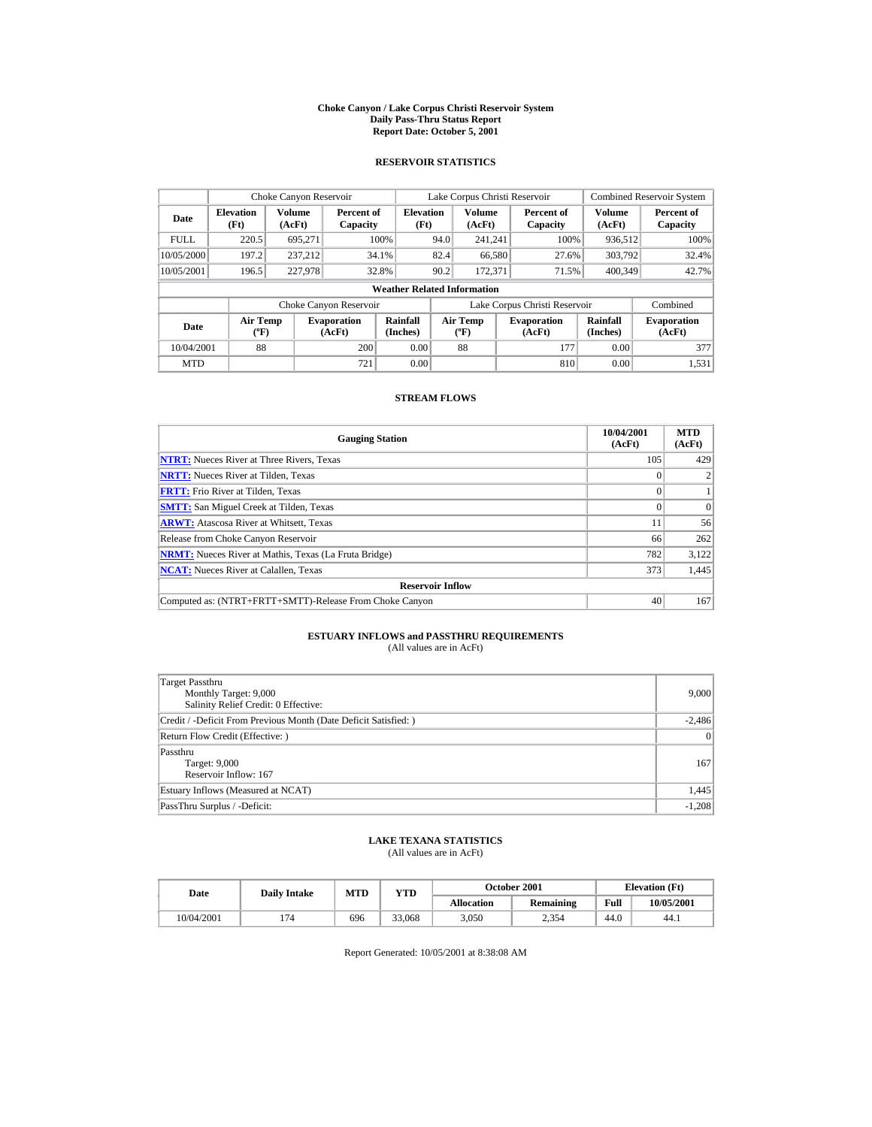#### **Choke Canyon / Lake Corpus Christi Reservoir System Daily Pass-Thru Status Report Report Date: October 5, 2001**

## **RESERVOIR STATISTICS**

|             | Choke Canyon Reservoir                      |                  |                              |                          | Lake Corpus Christi Reservoir            |                         |  |                               |                         | <b>Combined Reservoir System</b> |  |  |
|-------------|---------------------------------------------|------------------|------------------------------|--------------------------|------------------------------------------|-------------------------|--|-------------------------------|-------------------------|----------------------------------|--|--|
| Date        | <b>Elevation</b><br>(Ft)                    | Volume<br>(AcFt) | Percent of<br>Capacity       | <b>Elevation</b><br>(Ft) |                                          | <b>Volume</b><br>(AcFt) |  | Percent of<br>Capacity        | <b>Volume</b><br>(AcFt) | Percent of<br>Capacity           |  |  |
| <b>FULL</b> | 220.5                                       | 695,271          |                              | 100%                     | 94.0                                     | 241.241                 |  | 100%                          | 936.512                 | 100%                             |  |  |
| 10/05/2000  | 197.2                                       | 237.212          |                              | 34.1%                    | 82.4                                     | 66,580                  |  | 27.6%                         | 303,792                 | 32.4%                            |  |  |
| 10/05/2001  | 196.5                                       | 227,978          |                              | 32.8%                    | 90.2                                     | 172.371                 |  | 71.5%                         | 400.349                 | 42.7%                            |  |  |
|             | <b>Weather Related Information</b>          |                  |                              |                          |                                          |                         |  |                               |                         |                                  |  |  |
|             |                                             |                  | Choke Canyon Reservoir       |                          |                                          |                         |  | Lake Corpus Christi Reservoir |                         | Combined                         |  |  |
| Date        | <b>Air Temp</b><br>$({}^{\circ}\mathrm{F})$ |                  | <b>Evaporation</b><br>(AcFt) | Rainfall<br>(Inches)     | <b>Air Temp</b><br>$({}^{\circ}{\rm F})$ |                         |  | <b>Evaporation</b><br>(AcFt)  | Rainfall<br>(Inches)    | <b>Evaporation</b><br>(AcFt)     |  |  |
| 10/04/2001  | 88                                          |                  | 200                          | 0.00                     |                                          | 88                      |  | 177                           | 0.00                    | 377                              |  |  |
| <b>MTD</b>  |                                             |                  | 721                          | 0.00                     |                                          |                         |  | 810                           | 0.00                    | 1.531                            |  |  |

## **STREAM FLOWS**

| <b>Gauging Station</b>                                       | 10/04/2001<br>(AcFt) | <b>MTD</b><br>(AcFt) |
|--------------------------------------------------------------|----------------------|----------------------|
| <b>NTRT:</b> Nueces River at Three Rivers, Texas             | 105                  | 429                  |
| <b>NRTT:</b> Nueces River at Tilden, Texas                   |                      |                      |
| <b>FRTT:</b> Frio River at Tilden, Texas                     |                      |                      |
| <b>SMTT:</b> San Miguel Creek at Tilden, Texas               |                      | $\Omega$             |
| <b>ARWT:</b> Atascosa River at Whitsett, Texas               | 11                   | 56                   |
| Release from Choke Canyon Reservoir                          | 66                   | 262                  |
| <b>NRMT:</b> Nueces River at Mathis, Texas (La Fruta Bridge) | 782                  | 3,122                |
| <b>NCAT:</b> Nueces River at Calallen, Texas                 | 373                  | 1,445                |
| <b>Reservoir Inflow</b>                                      |                      |                      |
| Computed as: (NTRT+FRTT+SMTT)-Release From Choke Canyon      | 40                   | 167                  |

# **ESTUARY INFLOWS and PASSTHRU REQUIREMENTS**<br>(All values are in AcFt)

| Target Passthru<br>Monthly Target: 9,000<br>Salinity Relief Credit: 0 Effective: | 9,000    |
|----------------------------------------------------------------------------------|----------|
| Credit / -Deficit From Previous Month (Date Deficit Satisfied: )                 | $-2,486$ |
| Return Flow Credit (Effective: )                                                 | 0        |
| Passthru<br>Target: 9,000<br>Reservoir Inflow: 167                               | 167      |
| Estuary Inflows (Measured at NCAT)                                               | 1,445    |
| PassThru Surplus / -Deficit:                                                     | $-1,208$ |

## **LAKE TEXANA STATISTICS**

(All values are in AcFt)

| Date       | <b>Daily Intake</b> | <b>MTD</b> | $_{\rm VTD}$ |                   | <b>October 2001</b> | <b>Elevation</b> (Ft) |            |
|------------|---------------------|------------|--------------|-------------------|---------------------|-----------------------|------------|
|            |                     |            |              | <b>Allocation</b> | Remaining           | Full                  | 10/05/2001 |
| 10/04/2001 |                     | 696        | 33,068       | 3.050             | 2.354               | 44.0                  | 44.1       |

Report Generated: 10/05/2001 at 8:38:08 AM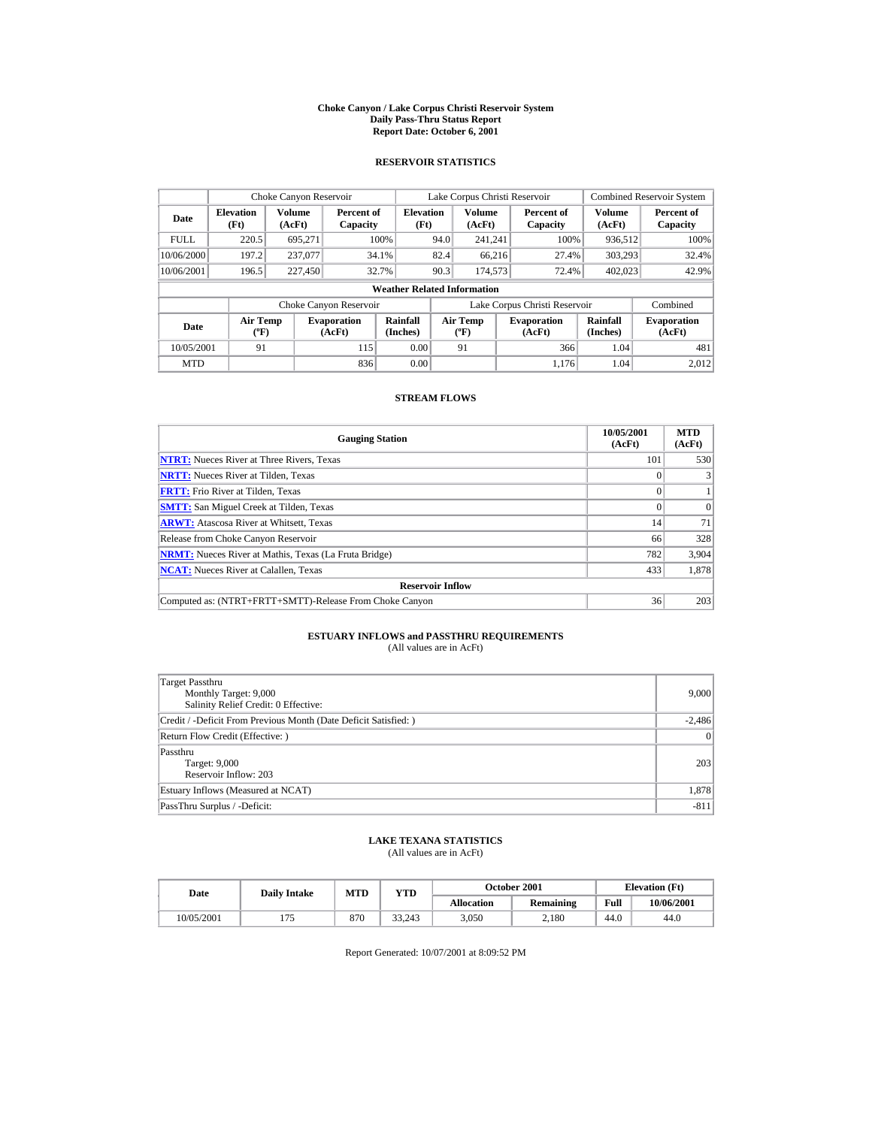#### **Choke Canyon / Lake Corpus Christi Reservoir System Daily Pass-Thru Status Report Report Date: October 6, 2001**

## **RESERVOIR STATISTICS**

|             | Choke Canyon Reservoir             |                         |                              |                          | Lake Corpus Christi Reservoir    |                  |  |                               |                             | <b>Combined Reservoir System</b> |  |  |
|-------------|------------------------------------|-------------------------|------------------------------|--------------------------|----------------------------------|------------------|--|-------------------------------|-----------------------------|----------------------------------|--|--|
| Date        | <b>Elevation</b><br>(Ft)           | <b>Volume</b><br>(AcFt) | Percent of<br>Capacity       | <b>Elevation</b><br>(Ft) |                                  | Volume<br>(AcFt) |  | Percent of<br>Capacity        | Volume<br>(AcFt)            | Percent of<br>Capacity           |  |  |
| <b>FULL</b> | 220.5                              | 695.271                 |                              | 100%                     | 94.0                             | 241.241          |  | 100%                          | 936,512                     | 100%                             |  |  |
| 10/06/2000  | 197.2                              | 237,077                 |                              | 34.1%                    | 82.4                             | 66.216           |  | 27.4%                         | 303,293                     | 32.4%                            |  |  |
| 10/06/2001  | 196.5                              | 227,450                 |                              | 32.7%                    | 90.3                             | 174,573          |  | 72.4%                         | 402,023                     | 42.9%                            |  |  |
|             | <b>Weather Related Information</b> |                         |                              |                          |                                  |                  |  |                               |                             |                                  |  |  |
|             |                                    |                         | Choke Canyon Reservoir       |                          |                                  |                  |  | Lake Corpus Christi Reservoir |                             | Combined                         |  |  |
| Date        | <b>Air Temp</b><br>$(^{\circ}F)$   |                         | <b>Evaporation</b><br>(AcFt) | Rainfall<br>(Inches)     | <b>Air Temp</b><br>$(^{\circ}F)$ |                  |  | <b>Evaporation</b><br>(AcFt)  | <b>Rainfall</b><br>(Inches) | <b>Evaporation</b><br>(AcFt)     |  |  |
| 10/05/2001  | 91                                 |                         | 115                          | 0.00                     |                                  | 91               |  | 366                           | 1.04                        | 481                              |  |  |
| <b>MTD</b>  |                                    |                         | 836                          | 0.00                     |                                  |                  |  | 1.176                         | 1.04                        | 2.012                            |  |  |

## **STREAM FLOWS**

| <b>Gauging Station</b>                                       | 10/05/2001<br>(AcFt) | <b>MTD</b><br>(AcFt) |
|--------------------------------------------------------------|----------------------|----------------------|
| <b>NTRT:</b> Nueces River at Three Rivers, Texas             | 101                  | 530                  |
| <b>NRTT:</b> Nueces River at Tilden, Texas                   |                      |                      |
| <b>FRTT:</b> Frio River at Tilden, Texas                     |                      |                      |
| <b>SMTT:</b> San Miguel Creek at Tilden, Texas               |                      | $\Omega$             |
| <b>ARWT:</b> Atascosa River at Whitsett, Texas               | 14                   | 71                   |
| Release from Choke Canyon Reservoir                          | 66                   | 328                  |
| <b>NRMT:</b> Nueces River at Mathis, Texas (La Fruta Bridge) | 782                  | 3,904                |
| <b>NCAT:</b> Nueces River at Calallen, Texas                 | 433                  | 1,878                |
| <b>Reservoir Inflow</b>                                      |                      |                      |
| Computed as: (NTRT+FRTT+SMTT)-Release From Choke Canyon      | 36                   | 203                  |

# **ESTUARY INFLOWS and PASSTHRU REQUIREMENTS**<br>(All values are in AcFt)

| Target Passthru<br>Monthly Target: 9,000<br>Salinity Relief Credit: 0 Effective: | 9,000           |
|----------------------------------------------------------------------------------|-----------------|
| Credit / -Deficit From Previous Month (Date Deficit Satisfied:)                  | $-2,486$        |
| Return Flow Credit (Effective: )                                                 | $\vert 0 \vert$ |
| Passthru<br>Target: 9,000<br>Reservoir Inflow: 203                               | 203             |
| Estuary Inflows (Measured at NCAT)                                               | 1,878           |
| PassThru Surplus / -Deficit:                                                     | $-811$          |

## **LAKE TEXANA STATISTICS**

(All values are in AcFt)

| Date       | <b>Daily Intake</b> | <b>MTD</b> | $_{\rm VTD}$ |                   | <b>October 2001</b> |      | <b>Elevation</b> (Ft) |
|------------|---------------------|------------|--------------|-------------------|---------------------|------|-----------------------|
|            |                     |            |              | <b>Allocation</b> | Remaining           | Full | 10/06/2001            |
| 10/05/2001 |                     | 870        | 33.243       | 3.050             | 2.180               | 44.0 | 44.0                  |

Report Generated: 10/07/2001 at 8:09:52 PM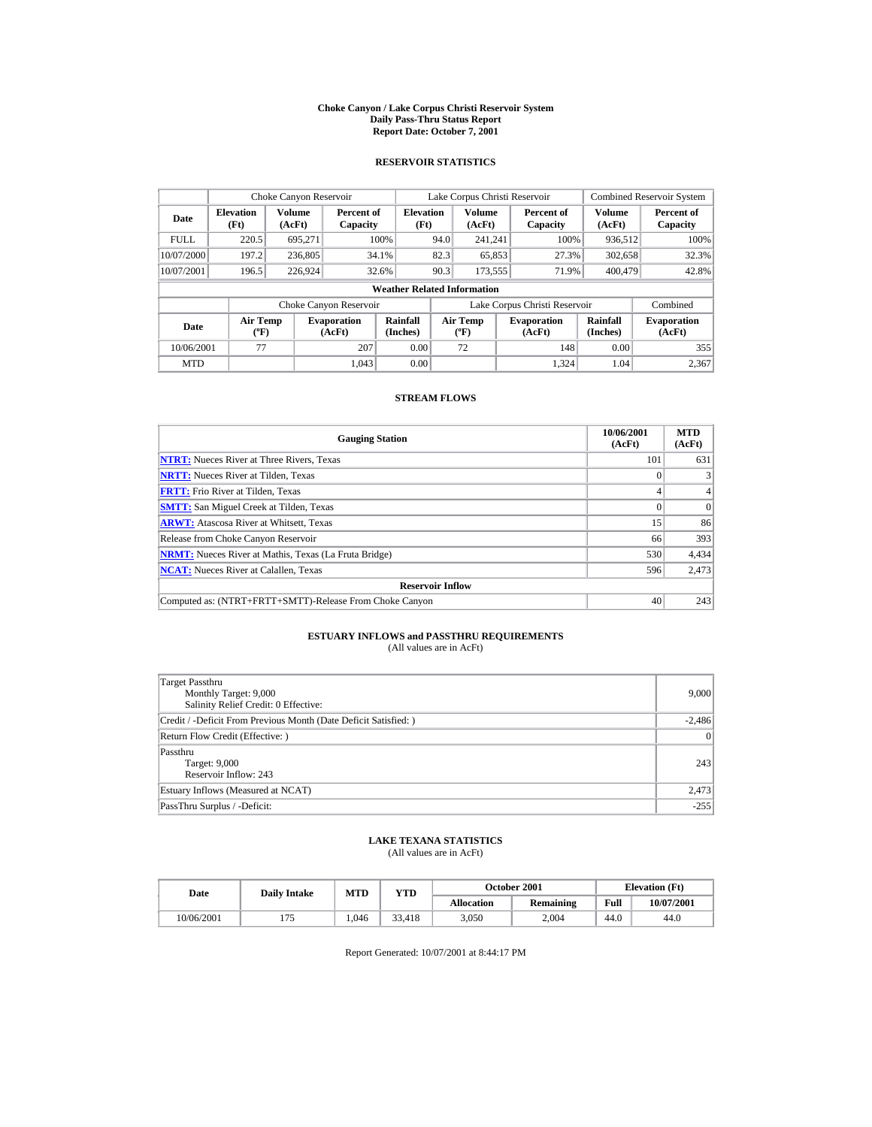#### **Choke Canyon / Lake Corpus Christi Reservoir System Daily Pass-Thru Status Report Report Date: October 7, 2001**

## **RESERVOIR STATISTICS**

|             | Choke Canyon Reservoir           |                  |                              |                                    |      | Lake Corpus Christi Reservoir    |                               |                             | <b>Combined Reservoir System</b> |
|-------------|----------------------------------|------------------|------------------------------|------------------------------------|------|----------------------------------|-------------------------------|-----------------------------|----------------------------------|
| Date        | <b>Elevation</b><br>(Ft)         | Volume<br>(AcFt) | Percent of<br>Capacity       | <b>Elevation</b><br>(Ft)           |      | Volume<br>(AcFt)                 | Percent of<br>Capacity        | Volume<br>(AcFt)            | Percent of<br>Capacity           |
| <b>FULL</b> | 220.5                            | 695.271          |                              | 100%                               | 94.0 | 241.241                          | 100%                          | 936,512                     | 100%                             |
| 10/07/2000  | 197.2                            | 236,805          |                              | 34.1%                              | 82.3 | 65,853                           | 27.3%                         | 302,658                     | 32.3%                            |
| 10/07/2001  | 196.5                            | 226,924          |                              | 32.6%                              | 90.3 | 173,555                          | 71.9%                         | 400,479                     | 42.8%                            |
|             |                                  |                  |                              | <b>Weather Related Information</b> |      |                                  |                               |                             |                                  |
|             |                                  |                  | Choke Canyon Reservoir       |                                    |      |                                  | Lake Corpus Christi Reservoir |                             | Combined                         |
| Date        | <b>Air Temp</b><br>$(^{\circ}F)$ |                  | <b>Evaporation</b><br>(AcFt) | Rainfall<br>(Inches)               |      | <b>Air Temp</b><br>$(^{\circ}F)$ | <b>Evaporation</b><br>(AcFt)  | <b>Rainfall</b><br>(Inches) | <b>Evaporation</b><br>(AcFt)     |
| 10/06/2001  | 77                               |                  | 207                          | 0.00                               |      | 72                               | 148                           | 0.00                        | 355                              |
| <b>MTD</b>  |                                  |                  | 1.043                        | 0.00                               |      |                                  | 1.324                         | 1.04                        | 2.367                            |

## **STREAM FLOWS**

| <b>Gauging Station</b>                                       | 10/06/2001<br>(AcFt) | <b>MTD</b><br>(AcFt) |
|--------------------------------------------------------------|----------------------|----------------------|
| <b>NTRT:</b> Nueces River at Three Rivers, Texas             | 101                  | 631                  |
| <b>NRTT:</b> Nueces River at Tilden, Texas                   |                      |                      |
| <b>FRTT:</b> Frio River at Tilden, Texas                     |                      | 4                    |
| <b>SMTT:</b> San Miguel Creek at Tilden, Texas               |                      | $\Omega$             |
| <b>ARWT:</b> Atascosa River at Whitsett, Texas               | 15                   | 86                   |
| Release from Choke Canyon Reservoir                          | 66                   | 393                  |
| <b>NRMT:</b> Nueces River at Mathis, Texas (La Fruta Bridge) | 530                  | 4,434                |
| <b>NCAT:</b> Nueces River at Calallen, Texas                 | 596                  | 2,473                |
| <b>Reservoir Inflow</b>                                      |                      |                      |
| Computed as: (NTRT+FRTT+SMTT)-Release From Choke Canyon      | 40                   | 243                  |

# **ESTUARY INFLOWS and PASSTHRU REQUIREMENTS**<br>(All values are in AcFt)

| Target Passthru<br>Monthly Target: 9,000<br>Salinity Relief Credit: 0 Effective: | 9,000    |
|----------------------------------------------------------------------------------|----------|
| Credit / -Deficit From Previous Month (Date Deficit Satisfied: )                 | $-2,486$ |
| Return Flow Credit (Effective: )                                                 | 0        |
| Passthru<br>Target: 9,000<br>Reservoir Inflow: 243                               | 243      |
| Estuary Inflows (Measured at NCAT)                                               | 2,473    |
| PassThru Surplus / -Deficit:                                                     | $-255$   |

## **LAKE TEXANA STATISTICS**

(All values are in AcFt)

| Date       | <b>Daily Intake</b> | MTD   | YTD    |                   | October 2001     |      | <b>Elevation</b> (Ft) |
|------------|---------------------|-------|--------|-------------------|------------------|------|-----------------------|
|            |                     |       |        | <b>Allocation</b> | <b>Remaining</b> | Full | 10/07/2001            |
| 10/06/2001 | . <i>. .</i>        | 1.046 | 33.418 | 3.050             | 2.004            | 44.0 | 44.0                  |

Report Generated: 10/07/2001 at 8:44:17 PM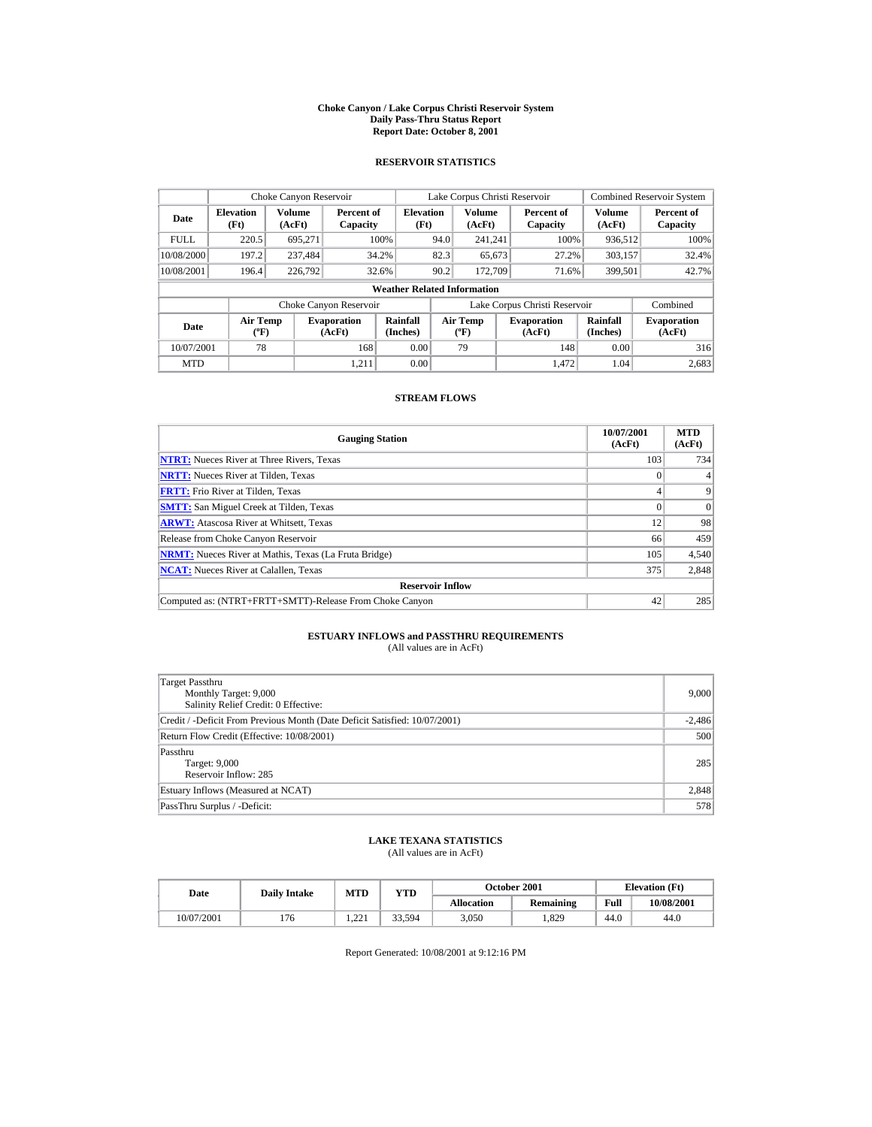#### **Choke Canyon / Lake Corpus Christi Reservoir System Daily Pass-Thru Status Report Report Date: October 8, 2001**

## **RESERVOIR STATISTICS**

|             | Choke Canyon Reservoir           |                  |                              |                                    |      | Lake Corpus Christi Reservoir    |                               |                             | <b>Combined Reservoir System</b> |
|-------------|----------------------------------|------------------|------------------------------|------------------------------------|------|----------------------------------|-------------------------------|-----------------------------|----------------------------------|
| Date        | <b>Elevation</b><br>(Ft)         | Volume<br>(AcFt) | Percent of<br>Capacity       | <b>Elevation</b><br>(Ft)           |      | Volume<br>(AcFt)                 | Percent of<br>Capacity        | Volume<br>(AcFt)            | Percent of<br>Capacity           |
| <b>FULL</b> | 220.5                            | 695.271          |                              | 100%                               | 94.0 | 241.241                          | 100%                          | 936,512                     | 100%                             |
| 10/08/2000  | 197.2                            | 237.484          |                              | 34.2%                              | 82.3 | 65,673                           | 27.2%                         | 303,157                     | 32.4%                            |
| 10/08/2001  | 196.4                            | 226,792          |                              | 32.6%                              | 90.2 | 172,709                          | 71.6%                         | 399,501                     | 42.7%                            |
|             |                                  |                  |                              | <b>Weather Related Information</b> |      |                                  |                               |                             |                                  |
|             |                                  |                  | Choke Canyon Reservoir       |                                    |      |                                  | Lake Corpus Christi Reservoir |                             | Combined                         |
| Date        | <b>Air Temp</b><br>$(^{\circ}F)$ |                  | <b>Evaporation</b><br>(AcFt) | Rainfall<br>(Inches)               |      | <b>Air Temp</b><br>$(^{\circ}F)$ | <b>Evaporation</b><br>(AcFt)  | <b>Rainfall</b><br>(Inches) | <b>Evaporation</b><br>(AcFt)     |
| 10/07/2001  | 78                               |                  | 168                          | 0.00                               |      | 79                               | 148                           | 0.00                        | 316                              |
| <b>MTD</b>  |                                  |                  | 1.211                        | 0.00                               |      |                                  | 1.472                         | 1.04                        | 2.683                            |

## **STREAM FLOWS**

| <b>Gauging Station</b>                                       | 10/07/2001<br>(AcFt) | <b>MTD</b><br>(AcFt) |
|--------------------------------------------------------------|----------------------|----------------------|
| <b>NTRT:</b> Nueces River at Three Rivers, Texas             | 103                  | 734                  |
| <b>NRTT:</b> Nueces River at Tilden, Texas                   |                      |                      |
| <b>FRTT:</b> Frio River at Tilden, Texas                     |                      | 9                    |
| <b>SMTT:</b> San Miguel Creek at Tilden, Texas               | $\Omega$             | $\Omega$             |
| <b>ARWT:</b> Atascosa River at Whitsett, Texas               | 12                   | 98                   |
| Release from Choke Canyon Reservoir                          | 66                   | 459                  |
| <b>NRMT:</b> Nueces River at Mathis, Texas (La Fruta Bridge) | 105                  | 4,540                |
| <b>NCAT:</b> Nueces River at Calallen, Texas                 | 375                  | 2,848                |
| <b>Reservoir Inflow</b>                                      |                      |                      |
| Computed as: (NTRT+FRTT+SMTT)-Release From Choke Canyon      | 42                   | 285                  |

# **ESTUARY INFLOWS and PASSTHRU REQUIREMENTS**<br>(All values are in AcFt)

| Target Passthru<br>Monthly Target: 9,000<br>Salinity Relief Credit: 0 Effective: | 9.000    |
|----------------------------------------------------------------------------------|----------|
| Credit / -Deficit From Previous Month (Date Deficit Satisfied: 10/07/2001)       | $-2,486$ |
| Return Flow Credit (Effective: 10/08/2001)                                       | 500      |
| Passthru<br>Target: 9,000<br>Reservoir Inflow: 285                               | 285      |
| Estuary Inflows (Measured at NCAT)                                               | 2,848    |
| PassThru Surplus / -Deficit:                                                     | 578      |

## **LAKE TEXANA STATISTICS**

(All values are in AcFt)

| Date       | <b>Daily Intake</b> | MTD        | YTD    | October 2001      |                  |      | <b>Elevation</b> (Ft) |
|------------|---------------------|------------|--------|-------------------|------------------|------|-----------------------|
|            |                     |            |        | <b>Allocation</b> | <b>Remaining</b> | Full | 10/08/2001            |
| 10/07/2001 | 176                 | 221<br>--- | 33.594 | 3.050             | .829             | 44.0 | 44.0                  |

Report Generated: 10/08/2001 at 9:12:16 PM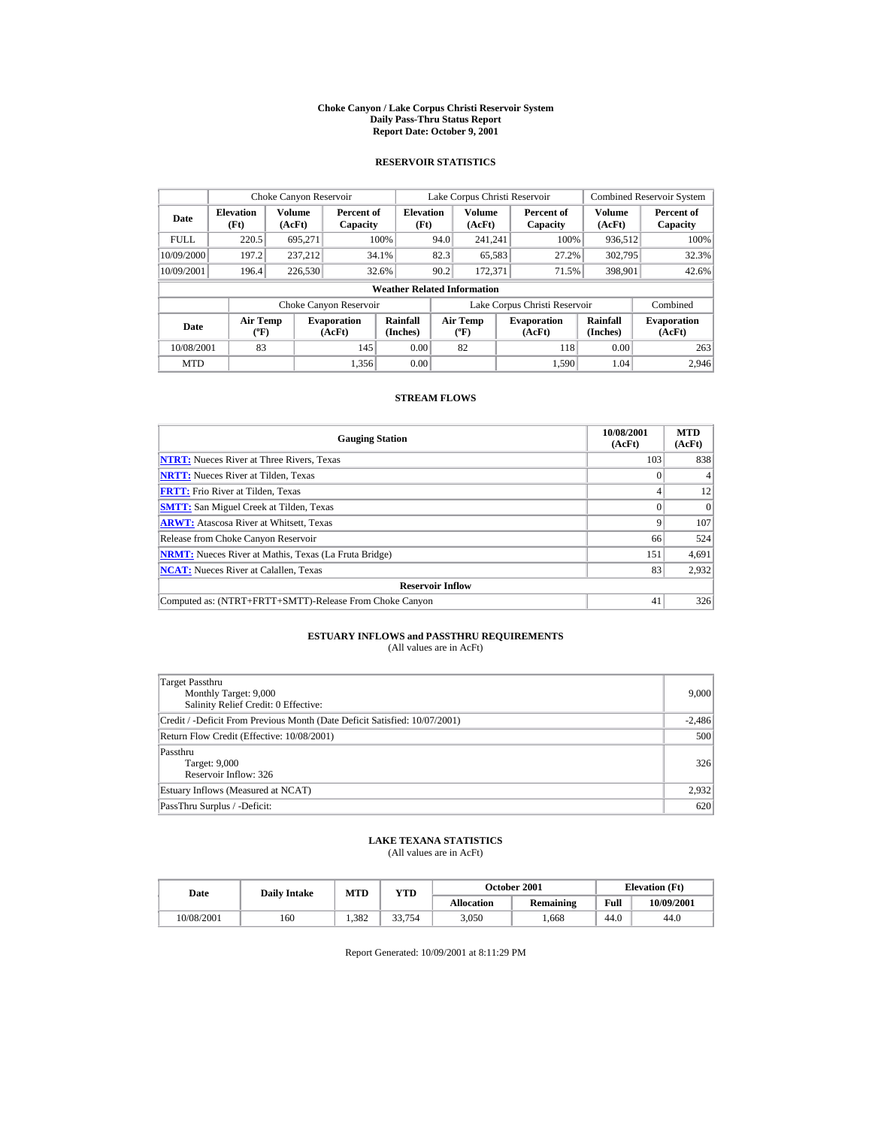#### **Choke Canyon / Lake Corpus Christi Reservoir System Daily Pass-Thru Status Report Report Date: October 9, 2001**

## **RESERVOIR STATISTICS**

|                                                      | Choke Canyon Reservoir           |         |                              |                                    |      | Lake Corpus Christi Reservoir    |                               |                             | <b>Combined Reservoir System</b> |
|------------------------------------------------------|----------------------------------|---------|------------------------------|------------------------------------|------|----------------------------------|-------------------------------|-----------------------------|----------------------------------|
| Volume<br><b>Elevation</b><br>Date<br>(Ft)<br>(AcFt) |                                  |         | Percent of<br>Capacity       | <b>Elevation</b><br>(Ft)           |      | Volume<br>(AcFt)                 | Percent of<br>Capacity        | Volume<br>(AcFt)            | Percent of<br>Capacity           |
| <b>FULL</b>                                          | 220.5                            | 695.271 |                              | 100%                               | 94.0 | 241.241                          | 100%                          | 936,512                     | 100%                             |
| 10/09/2000                                           | 197.2                            | 237.212 |                              | 34.1%                              | 82.3 | 65,583                           | 27.2%                         | 302,795                     | 32.3%                            |
| 10/09/2001                                           | 196.4                            | 226,530 |                              | 32.6%                              | 90.2 | 172,371                          | 71.5%                         | 398,901                     | 42.6%                            |
|                                                      |                                  |         |                              | <b>Weather Related Information</b> |      |                                  |                               |                             |                                  |
|                                                      |                                  |         | Choke Canyon Reservoir       |                                    |      |                                  | Lake Corpus Christi Reservoir |                             | Combined                         |
| Date                                                 | <b>Air Temp</b><br>$(^{\circ}F)$ |         | <b>Evaporation</b><br>(AcFt) | Rainfall<br>(Inches)               |      | <b>Air Temp</b><br>$(^{\circ}F)$ | <b>Evaporation</b><br>(AcFt)  | <b>Rainfall</b><br>(Inches) | <b>Evaporation</b><br>(AcFt)     |
| 10/08/2001                                           | 83                               |         | 145                          | 0.00                               |      | 82                               | 118                           | 0.00                        | 263                              |
| <b>MTD</b>                                           |                                  |         | 1.356                        | 0.00                               |      |                                  | 1.590                         | 1.04                        | 2.946                            |

## **STREAM FLOWS**

| <b>Gauging Station</b>                                       | 10/08/2001<br>(AcFt) | <b>MTD</b><br>(AcFt) |
|--------------------------------------------------------------|----------------------|----------------------|
| <b>NTRT:</b> Nueces River at Three Rivers, Texas             | 103                  | 838                  |
| <b>NRTT:</b> Nueces River at Tilden, Texas                   |                      |                      |
| <b>FRTT:</b> Frio River at Tilden, Texas                     |                      | 12                   |
| <b>SMTT:</b> San Miguel Creek at Tilden, Texas               |                      | $\Omega$             |
| <b>ARWT:</b> Atascosa River at Whitsett, Texas               | 9                    | 107                  |
| Release from Choke Canyon Reservoir                          | 66                   | 524                  |
| <b>NRMT:</b> Nueces River at Mathis, Texas (La Fruta Bridge) | 151                  | 4,691                |
| <b>NCAT:</b> Nueces River at Calallen, Texas                 | 83                   | 2,932                |
| <b>Reservoir Inflow</b>                                      |                      |                      |
| Computed as: (NTRT+FRTT+SMTT)-Release From Choke Canyon      | 41                   | 326                  |

# **ESTUARY INFLOWS and PASSTHRU REQUIREMENTS**<br>(All values are in AcFt)

| Target Passthru<br>Monthly Target: 9,000<br>Salinity Relief Credit: 0 Effective: | 9.000    |
|----------------------------------------------------------------------------------|----------|
| Credit / -Deficit From Previous Month (Date Deficit Satisfied: 10/07/2001)       | $-2,486$ |
| Return Flow Credit (Effective: 10/08/2001)                                       | 500      |
| Passthru<br>Target: 9,000<br>Reservoir Inflow: 326                               | 326      |
| Estuary Inflows (Measured at NCAT)                                               | 2,932    |
| PassThru Surplus / -Deficit:                                                     | 620      |

## **LAKE TEXANA STATISTICS**

(All values are in AcFt)

| Date       | <b>Daily Intake</b> | <b>MTD</b> | $_{\rm VTD}$ |                   | <b>October 2001</b> |      | <b>Elevation</b> (Ft) |
|------------|---------------------|------------|--------------|-------------------|---------------------|------|-----------------------|
|            |                     |            |              | <b>Allocation</b> | Remaining           | Full | 10/09/2001            |
| 10/08/2001 | 160                 | .382       | 33.754       | 3.050             | .668                | 44.0 | 44.0                  |

Report Generated: 10/09/2001 at 8:11:29 PM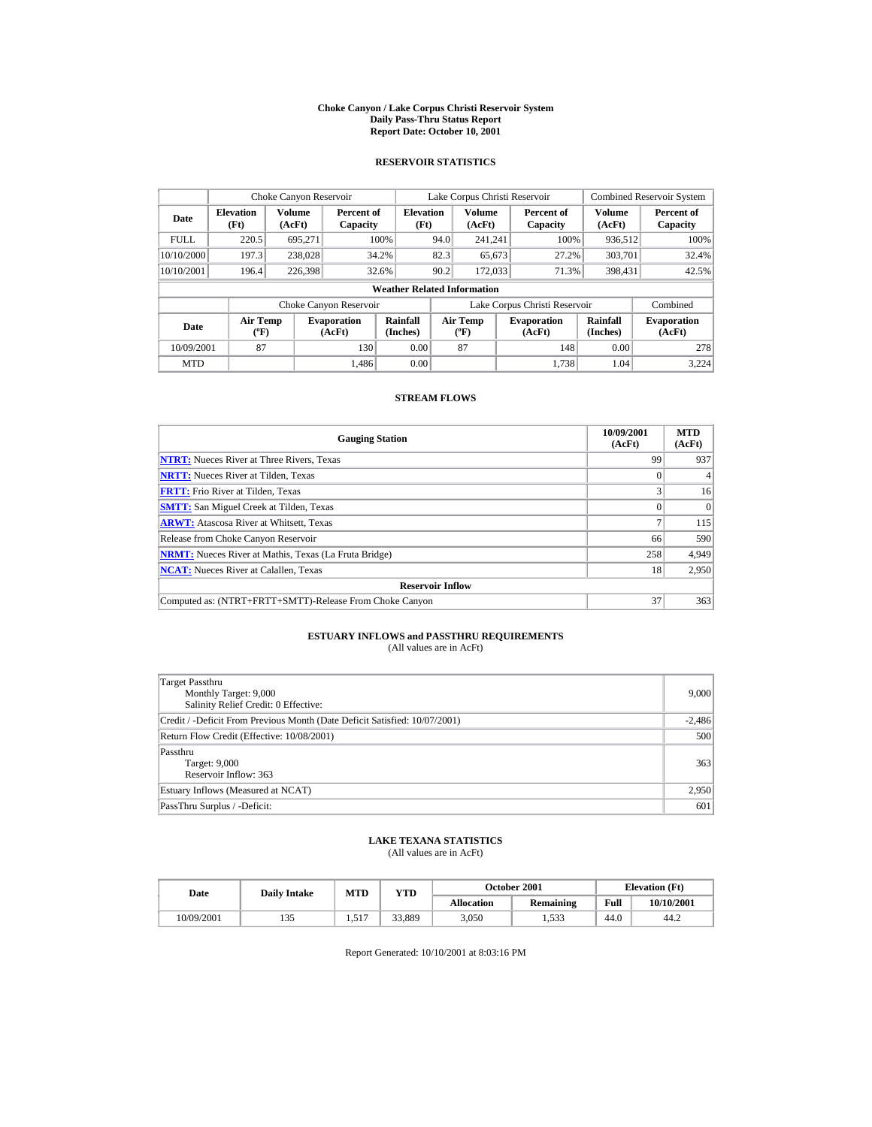#### **Choke Canyon / Lake Corpus Christi Reservoir System Daily Pass-Thru Status Report Report Date: October 10, 2001**

## **RESERVOIR STATISTICS**

|             | Choke Canyon Reservoir           |                  |                              |                                    |      | Lake Corpus Christi Reservoir           |                               |                      | <b>Combined Reservoir System</b> |
|-------------|----------------------------------|------------------|------------------------------|------------------------------------|------|-----------------------------------------|-------------------------------|----------------------|----------------------------------|
| Date        | <b>Elevation</b><br>(Ft)         | Volume<br>(AcFt) | Percent of<br>Capacity       | <b>Elevation</b><br>(Ft)           |      | <b>Volume</b><br>(AcFt)                 | Percent of<br>Capacity        | Volume<br>(AcFt)     | Percent of<br>Capacity           |
| <b>FULL</b> | 220.5                            | 695,271          |                              | 100%                               | 94.0 | 241.241                                 | 100%                          | 936,512              | 100%                             |
| 10/10/2000  | 197.3                            | 238,028          |                              | 34.2%                              | 82.3 | 65,673                                  | 27.2%                         | 303,701              | 32.4%                            |
| 10/10/2001  | 196.4                            | 226,398          |                              | 32.6%                              | 90.2 | 172,033                                 | 71.3%                         | 398,431              | 42.5%                            |
|             |                                  |                  |                              | <b>Weather Related Information</b> |      |                                         |                               |                      |                                  |
|             |                                  |                  | Choke Canyon Reservoir       |                                    |      |                                         | Lake Corpus Christi Reservoir |                      | Combined                         |
| Date        | <b>Air Temp</b><br>$(^{\circ}F)$ |                  | <b>Evaporation</b><br>(AcFt) | Rainfall<br>(Inches)               |      | <b>Air Temp</b><br>$(^{\circ}\text{F})$ | <b>Evaporation</b><br>(AcFt)  | Rainfall<br>(Inches) | <b>Evaporation</b><br>(AcFt)     |
| 10/09/2001  | 87                               |                  | 130                          | 0.00                               |      | 87                                      | 148                           | 0.00                 | 278                              |
| <b>MTD</b>  |                                  |                  | 1.486                        | 0.00                               |      |                                         | 1.738                         | 1.04                 | 3.224                            |

## **STREAM FLOWS**

| <b>Gauging Station</b>                                       | 10/09/2001<br>(AcFt) | <b>MTD</b><br>(AcFt) |
|--------------------------------------------------------------|----------------------|----------------------|
| <b>NTRT:</b> Nueces River at Three Rivers, Texas             | 99                   | 937                  |
| <b>NRTT:</b> Nueces River at Tilden, Texas                   |                      |                      |
| <b>FRTT:</b> Frio River at Tilden, Texas                     |                      | 16                   |
| <b>SMTT:</b> San Miguel Creek at Tilden, Texas               |                      | $\Omega$             |
| <b>ARWT:</b> Atascosa River at Whitsett, Texas               |                      | 115                  |
| Release from Choke Canyon Reservoir                          | 66                   | 590                  |
| <b>NRMT:</b> Nueces River at Mathis, Texas (La Fruta Bridge) | 258                  | 4,949                |
| <b>NCAT:</b> Nueces River at Calallen, Texas                 | 18                   | 2,950                |
| <b>Reservoir Inflow</b>                                      |                      |                      |
| Computed as: (NTRT+FRTT+SMTT)-Release From Choke Canyon      | 37                   | 363                  |

# **ESTUARY INFLOWS and PASSTHRU REQUIREMENTS**<br>(All values are in AcFt)

| Target Passthru<br>Monthly Target: 9,000<br>Salinity Relief Credit: 0 Effective: | 9.000    |
|----------------------------------------------------------------------------------|----------|
| Credit / -Deficit From Previous Month (Date Deficit Satisfied: 10/07/2001)       | $-2,486$ |
| Return Flow Credit (Effective: 10/08/2001)                                       | 500      |
| Passthru<br>Target: 9,000<br>Reservoir Inflow: 363                               | 363      |
| Estuary Inflows (Measured at NCAT)                                               | 2,950    |
| PassThru Surplus / -Deficit:                                                     | 601      |

## **LAKE TEXANA STATISTICS**

(All values are in AcFt)

| Date       | <b>Daily Intake</b> | MTD         | YTD    |                   | October 2001     |      | <b>Elevation</b> (Ft) |
|------------|---------------------|-------------|--------|-------------------|------------------|------|-----------------------|
|            |                     |             |        | <b>Allocation</b> | <b>Remaining</b> | Full | 10/10/2001            |
| 10/09/2001 | 135                 | 517<br>1.71 | 33.889 | 3.050             | .533             | 44.0 | 44.2                  |

Report Generated: 10/10/2001 at 8:03:16 PM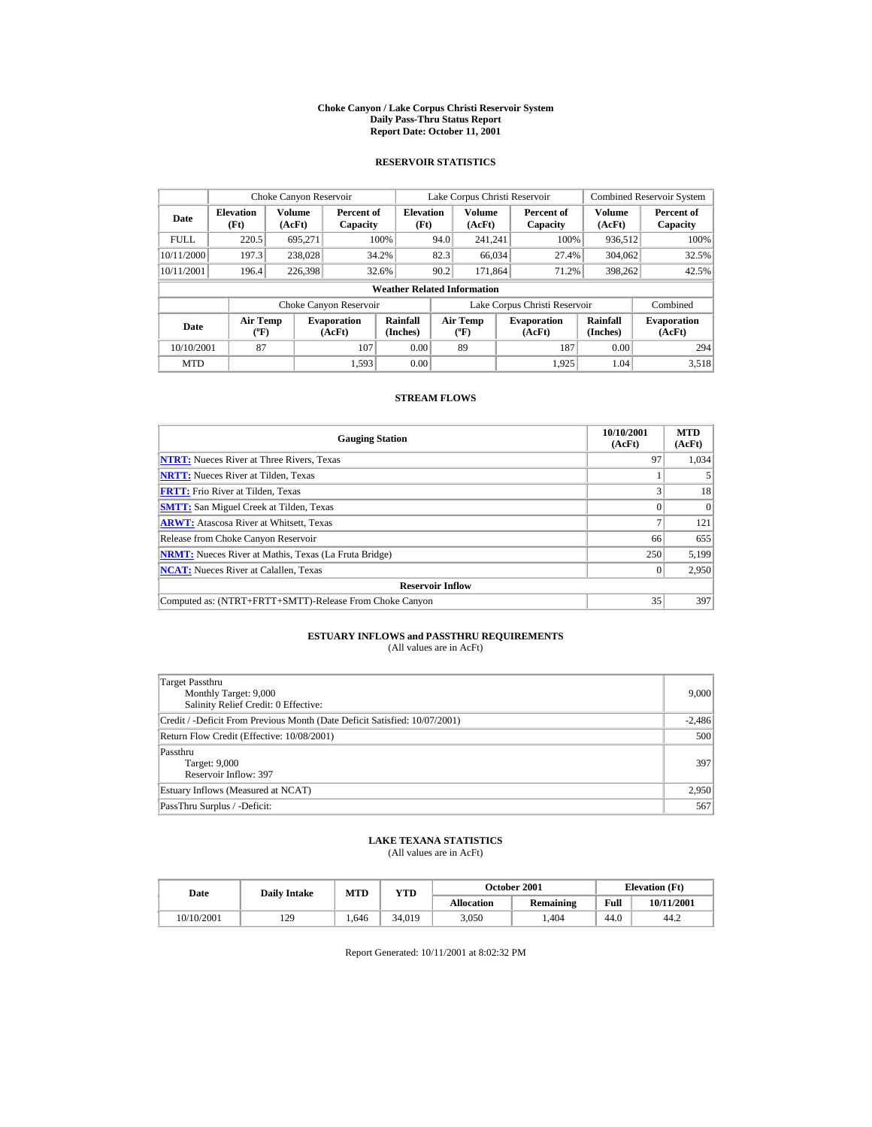#### **Choke Canyon / Lake Corpus Christi Reservoir System Daily Pass-Thru Status Report Report Date: October 11, 2001**

## **RESERVOIR STATISTICS**

|             | Choke Canyon Reservoir           |                  |                              |                                    |      | Lake Corpus Christi Reservoir    |                               |                             | <b>Combined Reservoir System</b> |
|-------------|----------------------------------|------------------|------------------------------|------------------------------------|------|----------------------------------|-------------------------------|-----------------------------|----------------------------------|
| Date        | <b>Elevation</b><br>(Ft)         | Volume<br>(AcFt) | Percent of<br>Capacity       | <b>Elevation</b><br>(Ft)           |      | Volume<br>(AcFt)                 | Percent of<br>Capacity        | Volume<br>(AcFt)            | Percent of<br>Capacity           |
| <b>FULL</b> | 220.5                            | 695.271          |                              | 100%                               | 94.0 | 241.241                          | 100%                          | 936,512                     | 100%                             |
| 10/11/2000  | 197.3                            | 238,028          |                              | 34.2%                              | 82.3 | 66,034                           | 27.4%                         | 304,062                     | 32.5%                            |
| 10/11/2001  | 196.4                            | 226,398          |                              | 32.6%                              | 90.2 | 171.864                          | 71.2%                         | 398,262                     | 42.5%                            |
|             |                                  |                  |                              | <b>Weather Related Information</b> |      |                                  |                               |                             |                                  |
|             |                                  |                  | Choke Canyon Reservoir       |                                    |      |                                  | Lake Corpus Christi Reservoir |                             | Combined                         |
| Date        | <b>Air Temp</b><br>$(^{\circ}F)$ |                  | <b>Evaporation</b><br>(AcFt) | Rainfall<br>(Inches)               |      | <b>Air Temp</b><br>$(^{\circ}F)$ | <b>Evaporation</b><br>(AcFt)  | <b>Rainfall</b><br>(Inches) | <b>Evaporation</b><br>(AcFt)     |
| 10/10/2001  | 87                               |                  | 107                          | 0.00                               |      | 89                               | 187                           | 0.00                        | 294                              |
| <b>MTD</b>  |                                  |                  | 1.593                        | 0.00                               |      |                                  | 1.925                         | 1.04                        | 3.518                            |

## **STREAM FLOWS**

| <b>Gauging Station</b>                                       | 10/10/2001<br>(AcFt) | <b>MTD</b><br>(AcFt) |
|--------------------------------------------------------------|----------------------|----------------------|
| <b>NTRT:</b> Nueces River at Three Rivers, Texas             | 97                   | 1.034                |
| <b>NRTT:</b> Nueces River at Tilden, Texas                   |                      |                      |
| <b>FRTT:</b> Frio River at Tilden, Texas                     | ◠                    | 18                   |
| <b>SMTT:</b> San Miguel Creek at Tilden, Texas               |                      | $\Omega$             |
| <b>ARWT:</b> Atascosa River at Whitsett, Texas               |                      | 121                  |
| Release from Choke Canyon Reservoir                          | 66                   | 655                  |
| <b>NRMT:</b> Nueces River at Mathis, Texas (La Fruta Bridge) | 250                  | 5,199                |
| <b>NCAT:</b> Nueces River at Calallen, Texas                 |                      | 2,950                |
| <b>Reservoir Inflow</b>                                      |                      |                      |
| Computed as: (NTRT+FRTT+SMTT)-Release From Choke Canyon      | 35                   | 397                  |

# **ESTUARY INFLOWS and PASSTHRU REQUIREMENTS**<br>(All values are in AcFt)

| Target Passthru<br>Monthly Target: 9,000<br>Salinity Relief Credit: 0 Effective: | 9.000    |
|----------------------------------------------------------------------------------|----------|
| Credit / -Deficit From Previous Month (Date Deficit Satisfied: 10/07/2001)       | $-2,486$ |
| Return Flow Credit (Effective: 10/08/2001)                                       | 500      |
| Passthru<br>Target: 9,000<br>Reservoir Inflow: 397                               | 397      |
| Estuary Inflows (Measured at NCAT)                                               | 2,950    |
| PassThru Surplus / -Deficit:                                                     | 567      |

## **LAKE TEXANA STATISTICS**

(All values are in AcFt)

| Date       | <b>Daily Intake</b> | MTD  | YTD    |                   | October 2001     | <b>Elevation</b> (Ft) |            |
|------------|---------------------|------|--------|-------------------|------------------|-----------------------|------------|
|            |                     |      |        | <b>Allocation</b> | <b>Remaining</b> | Full                  | 10/11/2001 |
| 10/10/2001 | 129                 | .646 | 34.019 | 3.050             | .404             | 44.0                  | 44.2       |

Report Generated: 10/11/2001 at 8:02:32 PM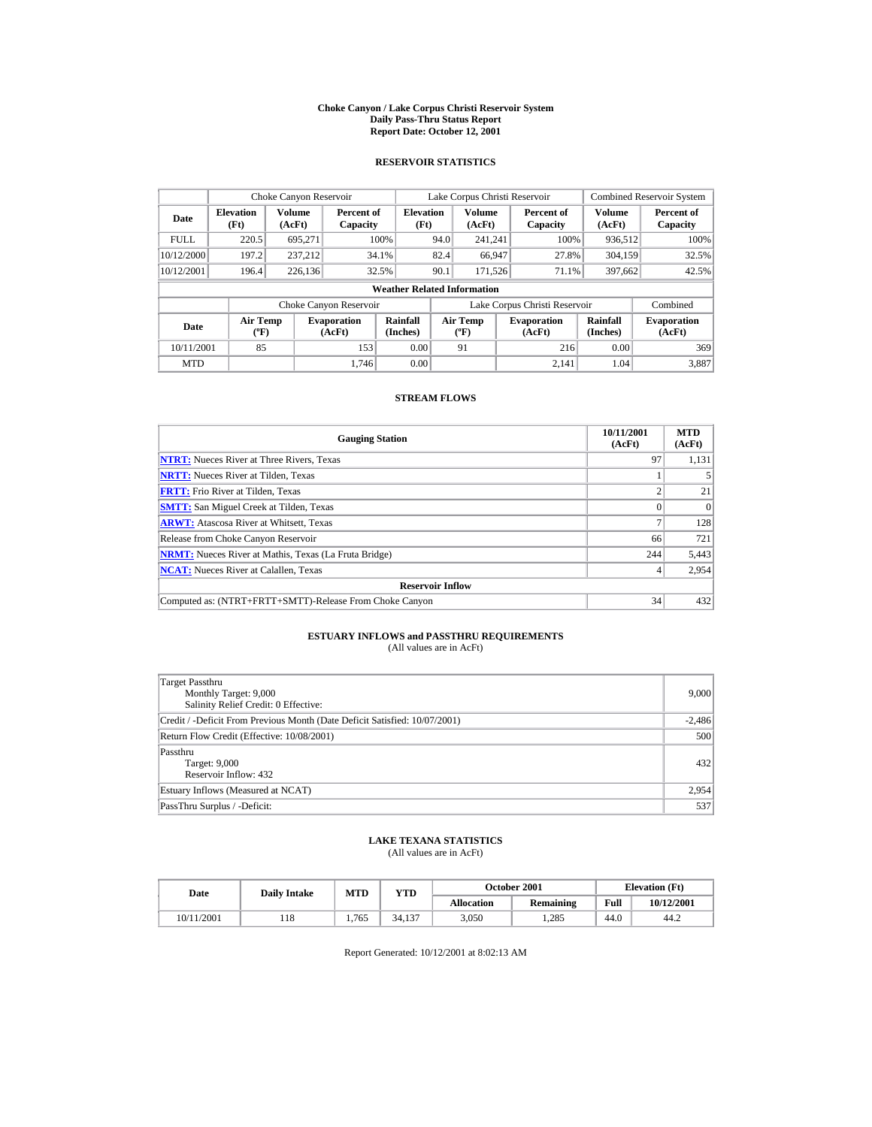#### **Choke Canyon / Lake Corpus Christi Reservoir System Daily Pass-Thru Status Report Report Date: October 12, 2001**

## **RESERVOIR STATISTICS**

|             | Choke Canyon Reservoir           |                         |                              |                                    |      | Lake Corpus Christi Reservoir    |                               |                             | <b>Combined Reservoir System</b> |
|-------------|----------------------------------|-------------------------|------------------------------|------------------------------------|------|----------------------------------|-------------------------------|-----------------------------|----------------------------------|
| Date        | <b>Elevation</b><br>(Ft)         | <b>Volume</b><br>(AcFt) | Percent of<br>Capacity       | <b>Elevation</b><br>(Ft)           |      | Volume<br>(AcFt)                 | Percent of<br>Capacity        | Volume<br>(AcFt)            | Percent of<br>Capacity           |
| <b>FULL</b> | 220.5                            | 695.271                 |                              | 100%                               | 94.0 | 241.241                          | 100%                          | 936,512                     | 100%                             |
| 10/12/2000  | 197.2                            | 237.212                 |                              | 34.1%                              | 82.4 | 66,947                           | 27.8%                         | 304,159                     | 32.5%                            |
| 10/12/2001  | 196.4                            | 226,136                 |                              | 32.5%                              | 90.1 | 171.526                          | 71.1%                         | 397,662                     | 42.5%                            |
|             |                                  |                         |                              | <b>Weather Related Information</b> |      |                                  |                               |                             |                                  |
|             |                                  |                         | Choke Canyon Reservoir       |                                    |      |                                  | Lake Corpus Christi Reservoir |                             | Combined                         |
| Date        | <b>Air Temp</b><br>$(^{\circ}F)$ |                         | <b>Evaporation</b><br>(AcFt) | Rainfall<br>(Inches)               |      | <b>Air Temp</b><br>$(^{\circ}F)$ | <b>Evaporation</b><br>(AcFt)  | <b>Rainfall</b><br>(Inches) | <b>Evaporation</b><br>(AcFt)     |
| 10/11/2001  | 85                               |                         | 153                          | 0.00                               |      | 91                               | 216                           | 0.00                        | 369                              |
| <b>MTD</b>  |                                  |                         | 1.746                        | 0.00                               |      |                                  | 2.141                         | 1.04                        | 3.887                            |

## **STREAM FLOWS**

| <b>Gauging Station</b>                                       | 10/11/2001<br>(AcFt) | <b>MTD</b><br>(AcFt) |
|--------------------------------------------------------------|----------------------|----------------------|
| <b>NTRT:</b> Nueces River at Three Rivers, Texas             | 97                   | 1,131                |
| <b>NRTT:</b> Nueces River at Tilden, Texas                   |                      |                      |
| <b>FRTT:</b> Frio River at Tilden, Texas                     |                      | 21                   |
| <b>SMTT:</b> San Miguel Creek at Tilden, Texas               |                      | $\Omega$             |
| <b>ARWT:</b> Atascosa River at Whitsett, Texas               |                      | 128                  |
| Release from Choke Canyon Reservoir                          | 66                   | 721                  |
| <b>NRMT:</b> Nueces River at Mathis, Texas (La Fruta Bridge) | 244                  | 5,443                |
| <b>NCAT:</b> Nueces River at Calallen, Texas                 |                      | 2,954                |
| <b>Reservoir Inflow</b>                                      |                      |                      |
| Computed as: (NTRT+FRTT+SMTT)-Release From Choke Canyon      | 34                   | 432                  |

# **ESTUARY INFLOWS and PASSTHRU REQUIREMENTS**<br>(All values are in AcFt)

| Target Passthru<br>Monthly Target: 9,000<br>Salinity Relief Credit: 0 Effective: | 9,000    |
|----------------------------------------------------------------------------------|----------|
| Credit / -Deficit From Previous Month (Date Deficit Satisfied: 10/07/2001)       | $-2,486$ |
| Return Flow Credit (Effective: 10/08/2001)                                       | 500      |
| Passthru<br>Target: 9,000<br>Reservoir Inflow: 432                               | 432      |
| Estuary Inflows (Measured at NCAT)                                               | 2,954    |
| PassThru Surplus / -Deficit:                                                     | 537      |

## **LAKE TEXANA STATISTICS**

(All values are in AcFt)

| Date       | <b>Daily Intake</b> | MTD   | $_{\rm VTD}$ |                   | <b>October 2001</b> | <b>Elevation</b> (Ft) |            |
|------------|---------------------|-------|--------------|-------------------|---------------------|-----------------------|------------|
|            |                     |       |              | <b>Allocation</b> | Remaining           | Full                  | 10/12/2001 |
| 10/11/2001 | 118                 | 1.765 | 34.137       | 3.050             | .285                | 44.0                  | 44.2       |

Report Generated: 10/12/2001 at 8:02:13 AM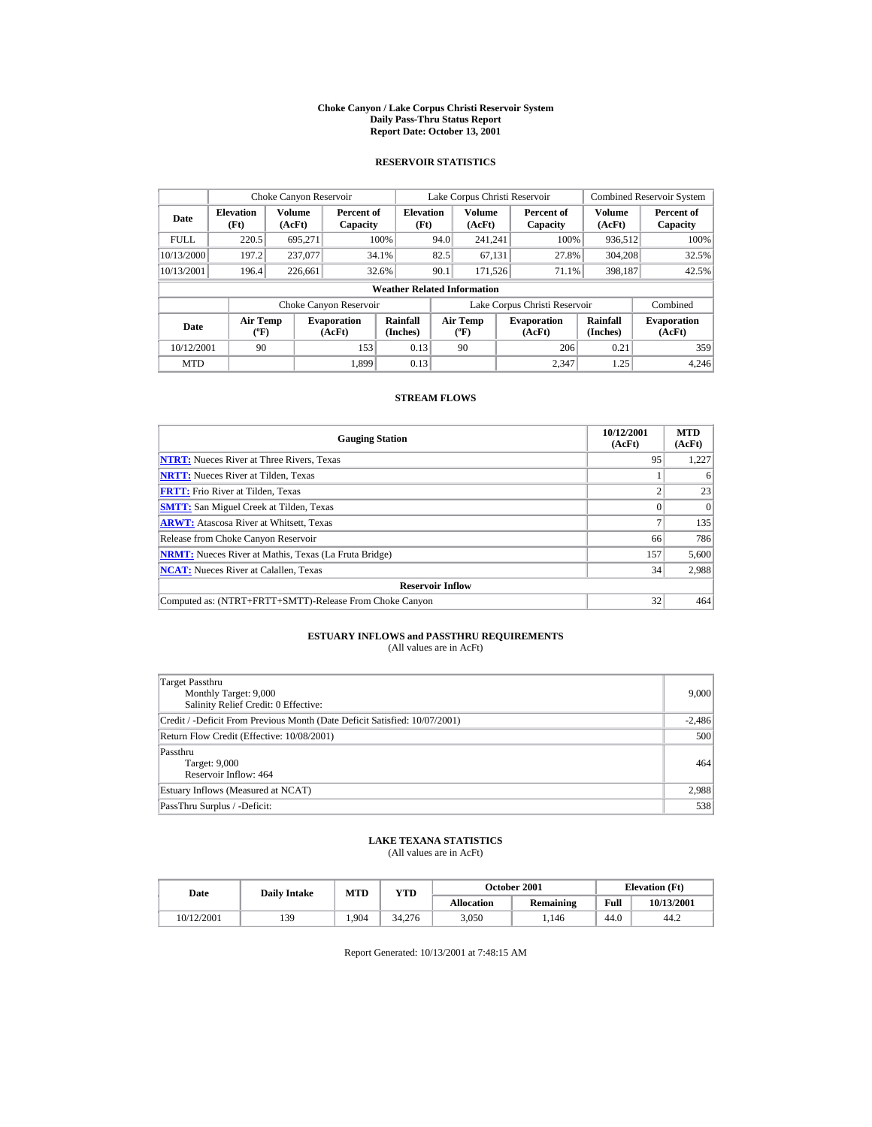#### **Choke Canyon / Lake Corpus Christi Reservoir System Daily Pass-Thru Status Report Report Date: October 13, 2001**

## **RESERVOIR STATISTICS**

|             | Choke Canyon Reservoir           |                  |                              |                                    |      | Lake Corpus Christi Reservoir    |                               |                             | <b>Combined Reservoir System</b> |
|-------------|----------------------------------|------------------|------------------------------|------------------------------------|------|----------------------------------|-------------------------------|-----------------------------|----------------------------------|
| Date        | <b>Elevation</b><br>(Ft)         | Volume<br>(AcFt) | Percent of<br>Capacity       | <b>Elevation</b><br>(Ft)           |      | Volume<br>(AcFt)                 | Percent of<br>Capacity        | Volume<br>(AcFt)            | Percent of<br>Capacity           |
| <b>FULL</b> | 220.5                            | 695.271          |                              | 100%                               | 94.0 | 241.241                          | 100%                          | 936,512                     | 100%                             |
| 10/13/2000  | 197.2                            | 237,077          |                              | 34.1%                              | 82.5 | 67,131                           | 27.8%                         | 304,208                     | 32.5%                            |
| 10/13/2001  | 196.4                            | 226,661          |                              | 32.6%                              | 90.1 | 171.526                          | 71.1%                         | 398,187                     | 42.5%                            |
|             |                                  |                  |                              | <b>Weather Related Information</b> |      |                                  |                               |                             |                                  |
|             |                                  |                  | Choke Canyon Reservoir       |                                    |      |                                  | Lake Corpus Christi Reservoir |                             | Combined                         |
| Date        | <b>Air Temp</b><br>$(^{\circ}F)$ |                  | <b>Evaporation</b><br>(AcFt) | Rainfall<br>(Inches)               |      | <b>Air Temp</b><br>$(^{\circ}F)$ | <b>Evaporation</b><br>(AcFt)  | <b>Rainfall</b><br>(Inches) | <b>Evaporation</b><br>(AcFt)     |
| 10/12/2001  | 90                               |                  | 153                          | 0.13                               |      | 90                               | 206                           | 0.21                        | 359                              |
| <b>MTD</b>  |                                  |                  | 1.899                        | 0.13                               |      |                                  | 2.347                         | 1.25                        | 4.246                            |

## **STREAM FLOWS**

| <b>Gauging Station</b>                                       | 10/12/2001<br>(AcFt) | <b>MTD</b><br>(AcFt) |
|--------------------------------------------------------------|----------------------|----------------------|
| <b>NTRT:</b> Nueces River at Three Rivers, Texas             | 95                   | 1,227                |
| <b>NRTT:</b> Nueces River at Tilden, Texas                   |                      | 6                    |
| <b>FRTT:</b> Frio River at Tilden, Texas                     |                      | 23                   |
| <b>SMTT:</b> San Miguel Creek at Tilden, Texas               |                      | $\Omega$             |
| <b>ARWT:</b> Atascosa River at Whitsett, Texas               |                      | 135                  |
| Release from Choke Canyon Reservoir                          | 66                   | 786                  |
| <b>NRMT:</b> Nueces River at Mathis, Texas (La Fruta Bridge) | 157                  | 5,600                |
| <b>NCAT:</b> Nueces River at Calallen, Texas                 | 34                   | 2,988                |
| <b>Reservoir Inflow</b>                                      |                      |                      |
| Computed as: (NTRT+FRTT+SMTT)-Release From Choke Canyon      | 32                   | 464                  |

# **ESTUARY INFLOWS and PASSTHRU REQUIREMENTS**<br>(All values are in AcFt)

| Target Passthru<br>Monthly Target: 9,000<br>Salinity Relief Credit: 0 Effective: | 9.000    |
|----------------------------------------------------------------------------------|----------|
| Credit / -Deficit From Previous Month (Date Deficit Satisfied: 10/07/2001)       | $-2,486$ |
| Return Flow Credit (Effective: 10/08/2001)                                       | 500      |
| Passthru<br>Target: 9,000<br>Reservoir Inflow: 464                               | 464      |
| Estuary Inflows (Measured at NCAT)                                               | 2,988    |
| PassThru Surplus / -Deficit:                                                     | 538      |

## **LAKE TEXANA STATISTICS**

(All values are in AcFt)

| Date       | <b>Daily Intake</b> | MTD   | YTD    |                   | <b>October 2001</b> |      | <b>Elevation</b> (Ft) |
|------------|---------------------|-------|--------|-------------------|---------------------|------|-----------------------|
|            |                     |       |        | <b>Allocation</b> | <b>Remaining</b>    | Full | 10/13/2001            |
| 10/12/2001 | 139                 | 1.904 | 34.276 | 3.050             | .146                | 44.0 | 44.2                  |

Report Generated: 10/13/2001 at 7:48:15 AM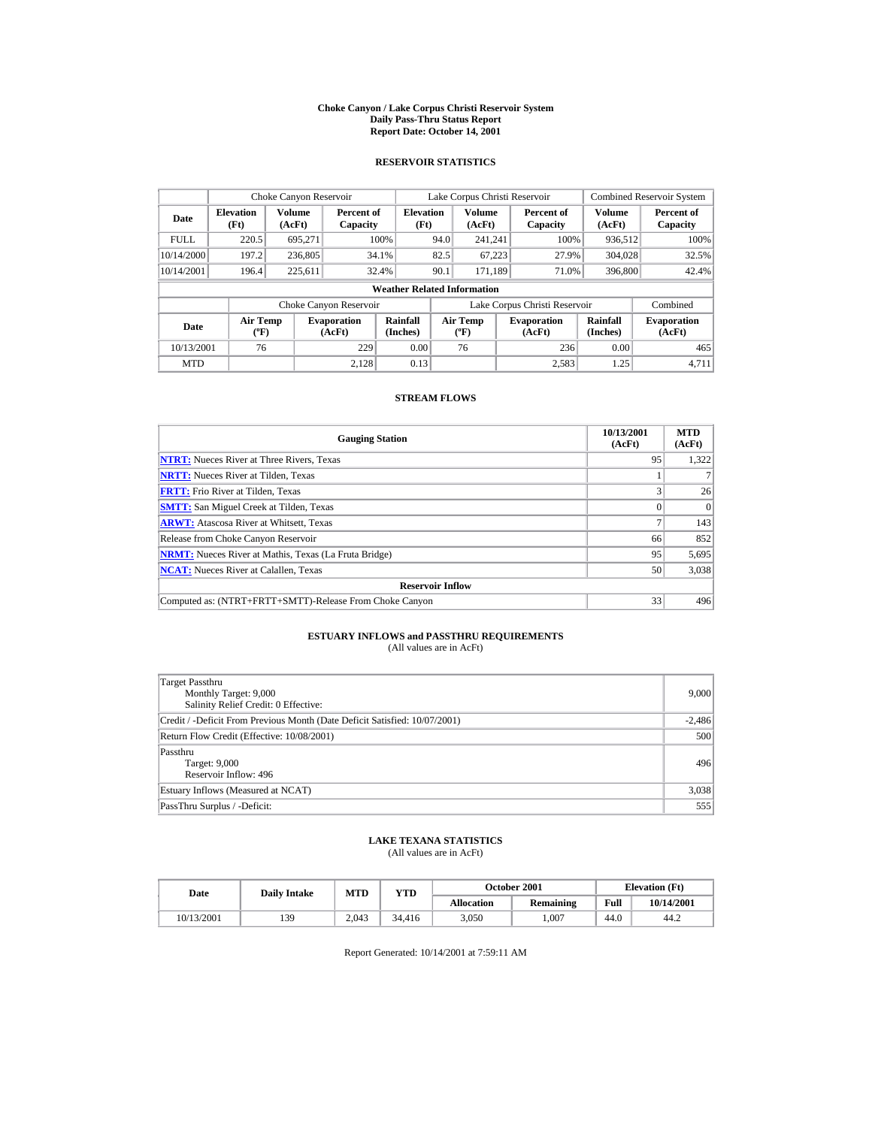#### **Choke Canyon / Lake Corpus Christi Reservoir System Daily Pass-Thru Status Report Report Date: October 14, 2001**

## **RESERVOIR STATISTICS**

|             | Choke Canyon Reservoir             |                  |                              |                          |      | Lake Corpus Christi Reservoir               |  |                               |                             | <b>Combined Reservoir System</b> |  |  |  |
|-------------|------------------------------------|------------------|------------------------------|--------------------------|------|---------------------------------------------|--|-------------------------------|-----------------------------|----------------------------------|--|--|--|
| Date        | <b>Elevation</b><br>(Ft)           | Volume<br>(AcFt) | Percent of<br>Capacity       | <b>Elevation</b><br>(Ft) |      | Volume<br>(AcFt)                            |  | Percent of<br>Capacity        | Volume<br>(AcFt)            | Percent of<br>Capacity           |  |  |  |
| <b>FULL</b> | 220.5                              | 695.271          |                              | 100%                     | 94.0 | 241.241                                     |  | 100%                          | 936,512                     | 100%                             |  |  |  |
| 10/14/2000  | 197.2                              | 236,805          |                              | 34.1%                    | 82.5 | 67,223                                      |  | 27.9%                         | 304,028                     | 32.5%                            |  |  |  |
| 10/14/2001  | 196.4                              | 225,611          |                              | 32.4%                    | 90.1 | 171.189                                     |  | 71.0%                         | 396,800                     | 42.4%                            |  |  |  |
|             | <b>Weather Related Information</b> |                  |                              |                          |      |                                             |  |                               |                             |                                  |  |  |  |
|             |                                    |                  | Choke Canyon Reservoir       |                          |      |                                             |  | Lake Corpus Christi Reservoir |                             | Combined                         |  |  |  |
| Date        | <b>Air Temp</b><br>$(^{\circ}F)$   |                  | <b>Evaporation</b><br>(AcFt) | Rainfall<br>(Inches)     |      | <b>Air Temp</b><br>$({}^{\circ}\mathbf{F})$ |  | <b>Evaporation</b><br>(AcFt)  | <b>Rainfall</b><br>(Inches) | <b>Evaporation</b><br>(AcFt)     |  |  |  |
| 10/13/2001  | 76                                 |                  | 229                          | 0.00                     |      | 76                                          |  | 236                           | 0.00                        | 465                              |  |  |  |
| <b>MTD</b>  |                                    |                  | 2.128                        | 0.13                     |      |                                             |  | 2.583                         | 1.25                        | 4.711                            |  |  |  |

## **STREAM FLOWS**

| <b>Gauging Station</b>                                       | 10/13/2001<br>(AcFt) | <b>MTD</b><br>(AcFt) |
|--------------------------------------------------------------|----------------------|----------------------|
| <b>NTRT:</b> Nueces River at Three Rivers, Texas             | 95                   | 1,322                |
| <b>NRTT:</b> Nueces River at Tilden, Texas                   |                      |                      |
| <b>FRTT:</b> Frio River at Tilden, Texas                     |                      | 26                   |
| <b>SMTT:</b> San Miguel Creek at Tilden, Texas               |                      | $\Omega$             |
| <b>ARWT:</b> Atascosa River at Whitsett, Texas               |                      | 143                  |
| Release from Choke Canyon Reservoir                          | 66                   | 852                  |
| <b>NRMT:</b> Nueces River at Mathis, Texas (La Fruta Bridge) | 95                   | 5,695                |
| <b>NCAT:</b> Nueces River at Calallen, Texas                 | 50                   | 3,038                |
| <b>Reservoir Inflow</b>                                      |                      |                      |
| Computed as: (NTRT+FRTT+SMTT)-Release From Choke Canyon      | 33                   | 496                  |

# **ESTUARY INFLOWS and PASSTHRU REQUIREMENTS**<br>(All values are in AcFt)

| Target Passthru<br>Monthly Target: 9,000<br>Salinity Relief Credit: 0 Effective: | 9.000    |
|----------------------------------------------------------------------------------|----------|
| Credit / -Deficit From Previous Month (Date Deficit Satisfied: 10/07/2001)       | $-2,486$ |
| Return Flow Credit (Effective: 10/08/2001)                                       | 500      |
| Passthru<br>Target: 9,000<br>Reservoir Inflow: 496                               | 496      |
| Estuary Inflows (Measured at NCAT)                                               | 3,038    |
| PassThru Surplus / -Deficit:                                                     | 555      |

## **LAKE TEXANA STATISTICS**

(All values are in AcFt)

| Date       | <b>Daily Intake</b> | MTD   | YTD    |                   | October 2001     | <b>Elevation</b> (Ft) |            |
|------------|---------------------|-------|--------|-------------------|------------------|-----------------------|------------|
|            |                     |       |        | <b>Allocation</b> | <b>Remaining</b> | Full                  | 10/14/2001 |
| 10/13/2001 | 139                 | 2.043 | 34.416 | 3.050             | .007             | 44.0                  | 44.2       |

Report Generated: 10/14/2001 at 7:59:11 AM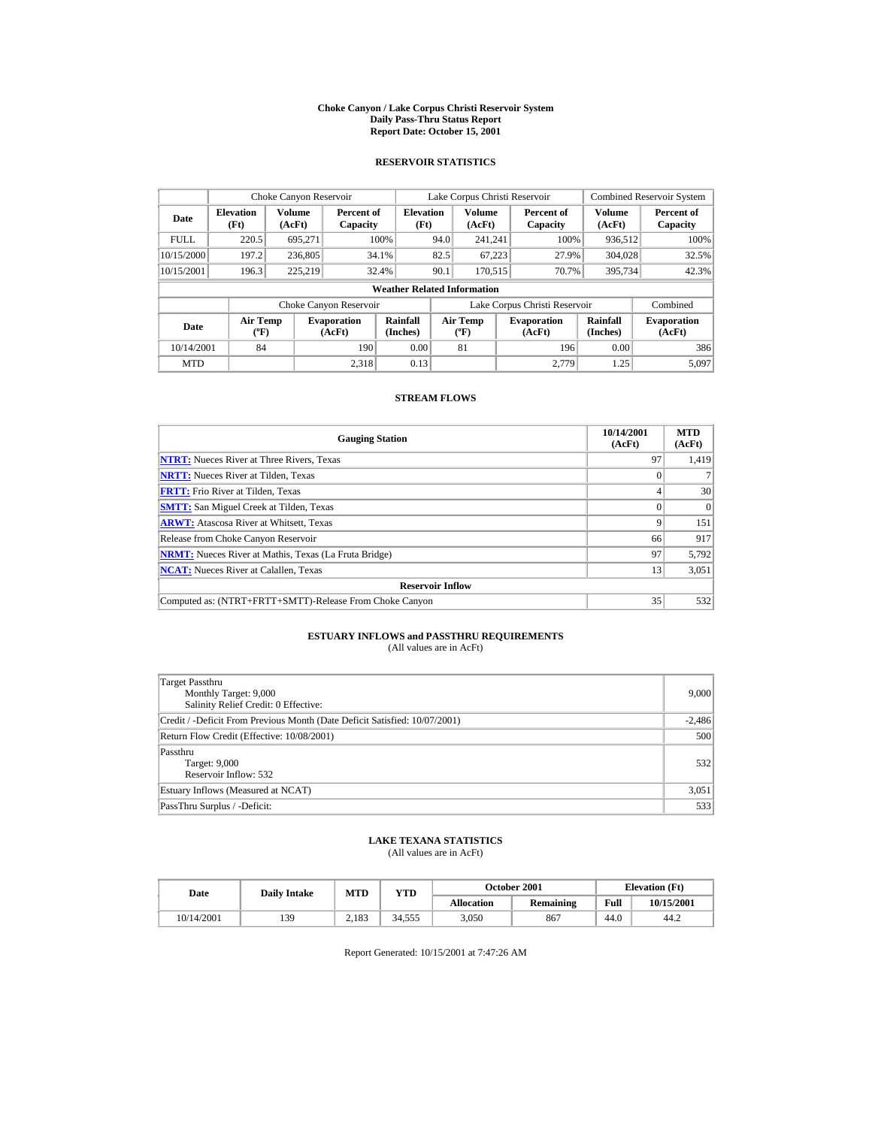#### **Choke Canyon / Lake Corpus Christi Reservoir System Daily Pass-Thru Status Report Report Date: October 15, 2001**

## **RESERVOIR STATISTICS**

|             | Choke Canyon Reservoir             |                  |                              |                          |      | Lake Corpus Christi Reservoir               |  |                               |                             | <b>Combined Reservoir System</b> |  |  |  |
|-------------|------------------------------------|------------------|------------------------------|--------------------------|------|---------------------------------------------|--|-------------------------------|-----------------------------|----------------------------------|--|--|--|
| Date        | <b>Elevation</b><br>(Ft)           | Volume<br>(AcFt) | Percent of<br>Capacity       | <b>Elevation</b><br>(Ft) |      | Volume<br>(AcFt)                            |  | Percent of<br>Capacity        | Volume<br>(AcFt)            | Percent of<br>Capacity           |  |  |  |
| <b>FULL</b> | 220.5                              | 695.271          |                              | 100%                     | 94.0 | 241.241                                     |  | 100%                          | 936,512                     | 100%                             |  |  |  |
| 10/15/2000  | 197.2                              | 236,805          | 34.1%                        |                          | 82.5 | 67,223                                      |  | 27.9%                         | 304,028                     | 32.5%                            |  |  |  |
| 10/15/2001  | 196.3                              | 225.219          | 32.4%                        |                          | 90.1 | 170.515                                     |  | 70.7%                         | 395,734                     | 42.3%                            |  |  |  |
|             | <b>Weather Related Information</b> |                  |                              |                          |      |                                             |  |                               |                             |                                  |  |  |  |
|             |                                    |                  | Choke Canyon Reservoir       |                          |      |                                             |  | Lake Corpus Christi Reservoir |                             | Combined                         |  |  |  |
| Date        | <b>Air Temp</b><br>$(^{\circ}F)$   |                  | <b>Evaporation</b><br>(AcFt) | Rainfall<br>(Inches)     |      | <b>Air Temp</b><br>$({}^{\circ}\mathbf{F})$ |  | <b>Evaporation</b><br>(AcFt)  | <b>Rainfall</b><br>(Inches) | <b>Evaporation</b><br>(AcFt)     |  |  |  |
| 10/14/2001  | 84                                 |                  | 190                          | 0.00                     |      | 81                                          |  | 196                           | 0.00                        | 386                              |  |  |  |
| <b>MTD</b>  |                                    |                  | 2.318                        | 0.13                     |      |                                             |  | 2.779                         | 1.25                        | 5.097                            |  |  |  |

## **STREAM FLOWS**

| <b>Gauging Station</b>                                       | 10/14/2001<br>(AcFt) | <b>MTD</b><br>(AcFt) |
|--------------------------------------------------------------|----------------------|----------------------|
| <b>NTRT:</b> Nueces River at Three Rivers, Texas             | 97                   | 1,419                |
| <b>NRTT:</b> Nueces River at Tilden, Texas                   |                      |                      |
| <b>FRTT:</b> Frio River at Tilden, Texas                     |                      | 30 <sup>1</sup>      |
| <b>SMTT:</b> San Miguel Creek at Tilden, Texas               |                      | $\Omega$             |
| <b>ARWT:</b> Atascosa River at Whitsett, Texas               | 9                    | 151                  |
| Release from Choke Canyon Reservoir                          | 66                   | 917                  |
| <b>NRMT:</b> Nueces River at Mathis, Texas (La Fruta Bridge) | 97                   | 5,792                |
| <b>NCAT:</b> Nueces River at Calallen, Texas                 | 13                   | 3,051                |
| <b>Reservoir Inflow</b>                                      |                      |                      |
| Computed as: (NTRT+FRTT+SMTT)-Release From Choke Canyon      | 35                   | 532                  |

# **ESTUARY INFLOWS and PASSTHRU REQUIREMENTS**<br>(All values are in AcFt)

| Target Passthru<br>Monthly Target: 9,000<br>Salinity Relief Credit: 0 Effective: | 9,000    |
|----------------------------------------------------------------------------------|----------|
| Credit / -Deficit From Previous Month (Date Deficit Satisfied: 10/07/2001)       | $-2,486$ |
| Return Flow Credit (Effective: 10/08/2001)                                       | 500      |
| Passthru<br>Target: 9,000<br>Reservoir Inflow: 532                               | 532      |
| Estuary Inflows (Measured at NCAT)                                               | 3,051    |
| PassThru Surplus / -Deficit:                                                     | 533      |

## **LAKE TEXANA STATISTICS**

(All values are in AcFt)

| Date       | <b>Daily Intake</b> | MTD   | $_{\rm VTD}$ |                   | <b>October 2001</b> |      | <b>Elevation</b> (Ft) |
|------------|---------------------|-------|--------------|-------------------|---------------------|------|-----------------------|
|            |                     |       |              | <b>Allocation</b> | Remaining           | Full | 10/15/2001            |
| 10/14/2001 | 139                 | 2.183 | 34.555       | 3.050             | 867                 | 44.0 | 44.2                  |

Report Generated: 10/15/2001 at 7:47:26 AM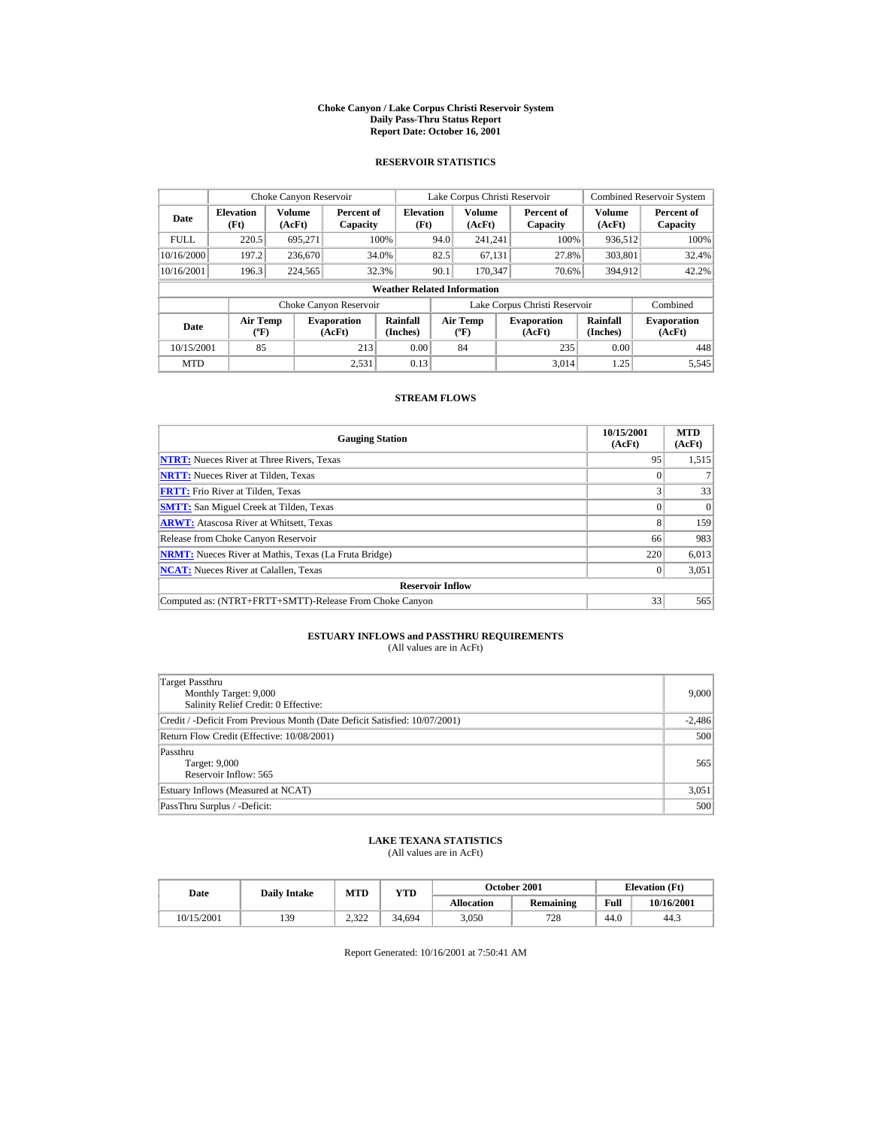#### **Choke Canyon / Lake Corpus Christi Reservoir System Daily Pass-Thru Status Report Report Date: October 16, 2001**

## **RESERVOIR STATISTICS**

|                                          | Choke Canyon Reservoir   |                  |                              |                                    |      | Lake Corpus Christi Reservoir               |                               |                      | <b>Combined Reservoir System</b> |
|------------------------------------------|--------------------------|------------------|------------------------------|------------------------------------|------|---------------------------------------------|-------------------------------|----------------------|----------------------------------|
| Date                                     | <b>Elevation</b><br>(Ft) | Volume<br>(AcFt) | Percent of<br>Capacity       | <b>Elevation</b><br>(Ft)           |      | <b>Volume</b><br>(AcFt)                     | Percent of<br>Capacity        | Volume<br>(AcFt)     | Percent of<br>Capacity           |
| <b>FULL</b>                              | 220.5                    | 695,271          |                              | 100%                               | 94.0 | 241.241                                     | 100%                          | 936,512              | 100%                             |
| 10/16/2000                               | 197.2                    | 236,670          | 34.0%                        |                                    | 82.5 | 67,131                                      | 27.8%                         | 303,801              | 32.4%                            |
| 10/16/2001                               | 196.3                    | 224,565          | 32.3%                        |                                    | 90.1 | 170.347                                     | 70.6%                         | 394,912              | 42.2%                            |
|                                          |                          |                  |                              | <b>Weather Related Information</b> |      |                                             |                               |                      |                                  |
|                                          |                          |                  | Choke Canyon Reservoir       |                                    |      |                                             | Lake Corpus Christi Reservoir |                      | Combined                         |
| <b>Air Temp</b><br>Date<br>$(^{\circ}F)$ |                          |                  | <b>Evaporation</b><br>(AcFt) | <b>Rainfall</b><br>(Inches)        |      | <b>Air Temp</b><br>$({}^{\circ}\mathbf{F})$ | <b>Evaporation</b><br>(AcFt)  | Rainfall<br>(Inches) | <b>Evaporation</b><br>(AcFt)     |
| 10/15/2001                               | 85                       |                  | 213                          | 0.00                               |      | 84                                          | 235                           | 0.00                 | 448                              |
| <b>MTD</b>                               |                          |                  | 2,531                        | 0.13                               |      |                                             | 3.014                         | 1.25                 | 5,545                            |

## **STREAM FLOWS**

| <b>Gauging Station</b>                                       | 10/15/2001<br>(AcFt) | <b>MTD</b><br>(AcFt) |
|--------------------------------------------------------------|----------------------|----------------------|
| <b>NTRT:</b> Nueces River at Three Rivers, Texas             | 95                   | 1,515                |
| <b>NRTT:</b> Nueces River at Tilden, Texas                   |                      |                      |
| <b>FRTT:</b> Frio River at Tilden, Texas                     |                      | 33                   |
| <b>SMTT:</b> San Miguel Creek at Tilden, Texas               |                      | $\Omega$             |
| <b>ARWT:</b> Atascosa River at Whitsett, Texas               | 8                    | 159                  |
| Release from Choke Canyon Reservoir                          | 66                   | 983                  |
| <b>NRMT:</b> Nueces River at Mathis, Texas (La Fruta Bridge) | 220                  | 6,013                |
| <b>NCAT:</b> Nueces River at Calallen, Texas                 |                      | 3,051                |
| <b>Reservoir Inflow</b>                                      |                      |                      |
| Computed as: (NTRT+FRTT+SMTT)-Release From Choke Canyon      | 33                   | 565                  |

# **ESTUARY INFLOWS and PASSTHRU REQUIREMENTS**<br>(All values are in AcFt)

| Target Passthru<br>Monthly Target: 9,000<br>Salinity Relief Credit: 0 Effective: | 9,000    |
|----------------------------------------------------------------------------------|----------|
| Credit / -Deficit From Previous Month (Date Deficit Satisfied: 10/07/2001)       | $-2,486$ |
| Return Flow Credit (Effective: 10/08/2001)                                       | 500      |
| Passthru<br>Target: 9,000<br>Reservoir Inflow: 565                               | 565      |
| Estuary Inflows (Measured at NCAT)                                               | 3,051    |
| PassThru Surplus / -Deficit:                                                     | 500      |

## **LAKE TEXANA STATISTICS**

(All values are in AcFt)

| Date       | <b>Daily Intake</b> | MTD               | YTD    |                   | October 2001     |      | <b>Elevation</b> (Ft) |
|------------|---------------------|-------------------|--------|-------------------|------------------|------|-----------------------|
|            |                     |                   |        | <b>Allocation</b> | <b>Remaining</b> | Full | 10/16/2001            |
| 10/15/2001 | 139                 | າາາາ<br>ے کے قدمت | 34.694 | 3.050             | 728              | 44.0 | 44.3                  |

Report Generated: 10/16/2001 at 7:50:41 AM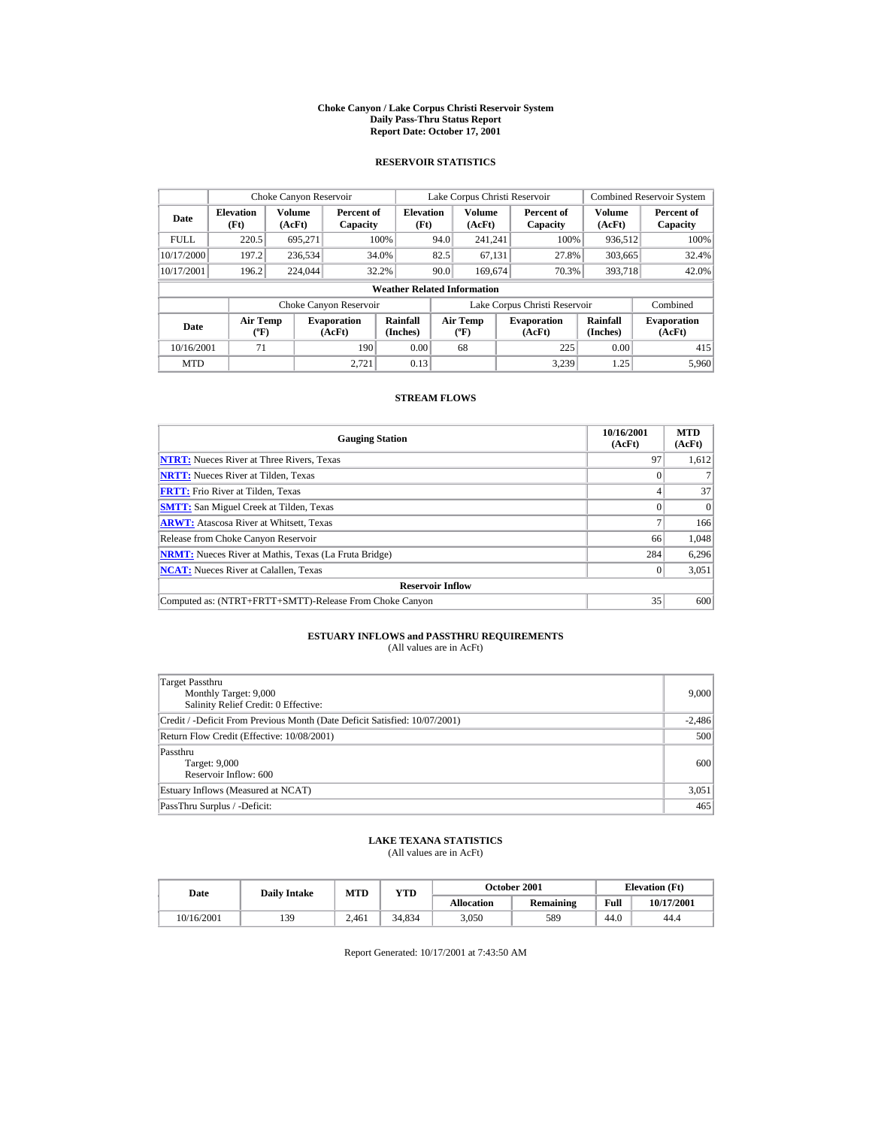#### **Choke Canyon / Lake Corpus Christi Reservoir System Daily Pass-Thru Status Report Report Date: October 17, 2001**

## **RESERVOIR STATISTICS**

|             | Choke Canyon Reservoir                      |                         |                              |                                    |      | Lake Corpus Christi Reservoir        |                               |                         | <b>Combined Reservoir System</b> |
|-------------|---------------------------------------------|-------------------------|------------------------------|------------------------------------|------|--------------------------------------|-------------------------------|-------------------------|----------------------------------|
| Date        | <b>Elevation</b><br>(Ft)                    | <b>Volume</b><br>(AcFt) | Percent of<br>Capacity       | <b>Elevation</b><br>(Ft)           |      | <b>Volume</b><br>(AcFt)              | Percent of<br>Capacity        | <b>Volume</b><br>(AcFt) | Percent of<br>Capacity           |
| <b>FULL</b> | 220.5                                       | 695,271                 |                              | 100%                               | 94.0 | 241.241                              | 100%                          | 936,512                 | 100%                             |
| 10/17/2000  | 197.2                                       | 236,534                 |                              | 34.0%                              | 82.5 | 67.131                               | 27.8%                         | 303,665                 | 32.4%                            |
| 10/17/2001  | 196.2                                       | 224,044                 |                              | 32.2%                              | 90.0 | 169,674                              | 70.3%                         | 393,718                 | 42.0%                            |
|             |                                             |                         |                              | <b>Weather Related Information</b> |      |                                      |                               |                         |                                  |
|             |                                             |                         | Choke Canyon Reservoir       |                                    |      |                                      | Lake Corpus Christi Reservoir |                         | Combined                         |
| Date        | <b>Air Temp</b><br>$({}^{\circ}\mathrm{F})$ |                         | <b>Evaporation</b><br>(AcFt) | Rainfall<br>(Inches)               |      | Air Temp<br>$({}^{\circ}\mathbf{F})$ | <b>Evaporation</b><br>(AcFt)  | Rainfall<br>(Inches)    | <b>Evaporation</b><br>(AcFt)     |
| 10/16/2001  | 71                                          |                         | 190                          | 0.00                               |      | 68                                   | 225                           | 0.00                    | 415                              |
| <b>MTD</b>  |                                             |                         | 2.721                        | 0.13                               |      |                                      | 3.239                         | 1.25                    | 5,960                            |

## **STREAM FLOWS**

| <b>Gauging Station</b>                                       | 10/16/2001<br>(AcFt) | <b>MTD</b><br>(AcFt) |
|--------------------------------------------------------------|----------------------|----------------------|
| <b>NTRT:</b> Nueces River at Three Rivers, Texas             | 97                   | 1,612                |
| <b>NRTT:</b> Nueces River at Tilden, Texas                   |                      |                      |
| <b>FRTT:</b> Frio River at Tilden, Texas                     |                      | 37                   |
| <b>SMTT:</b> San Miguel Creek at Tilden, Texas               | $\Omega$             | $\Omega$             |
| <b>ARWT:</b> Atascosa River at Whitsett, Texas               |                      | 166                  |
| Release from Choke Canyon Reservoir                          | 66                   | 1,048                |
| <b>NRMT:</b> Nueces River at Mathis, Texas (La Fruta Bridge) | 284                  | 6,296                |
| <b>NCAT:</b> Nueces River at Calallen, Texas                 |                      | 3,051                |
| <b>Reservoir Inflow</b>                                      |                      |                      |
| Computed as: (NTRT+FRTT+SMTT)-Release From Choke Canyon      | 35                   | 600                  |

# **ESTUARY INFLOWS and PASSTHRU REQUIREMENTS**<br>(All values are in AcFt)

| Target Passthru<br>Monthly Target: 9,000<br>Salinity Relief Credit: 0 Effective: | 9.000    |
|----------------------------------------------------------------------------------|----------|
| Credit / -Deficit From Previous Month (Date Deficit Satisfied: 10/07/2001)       | $-2,486$ |
| Return Flow Credit (Effective: 10/08/2001)                                       | 500      |
| Passthru<br>Target: 9,000<br>Reservoir Inflow: 600                               | 600      |
| Estuary Inflows (Measured at NCAT)                                               | 3,051    |
| PassThru Surplus / -Deficit:                                                     | 465      |

## **LAKE TEXANA STATISTICS**

(All values are in AcFt)

| Date       | <b>Daily Intake</b> | MTD<br>$_{\rm VTD}$ |        |                   | <b>October 2001</b> | <b>Elevation</b> (Ft) |            |
|------------|---------------------|---------------------|--------|-------------------|---------------------|-----------------------|------------|
|            |                     |                     |        | <b>Allocation</b> | Remaining           | Full                  | 10/17/2001 |
| 10/16/2001 | 139                 | 2.461               | 34.834 | 3.050             | 589                 | 44.0                  | 44.4       |

Report Generated: 10/17/2001 at 7:43:50 AM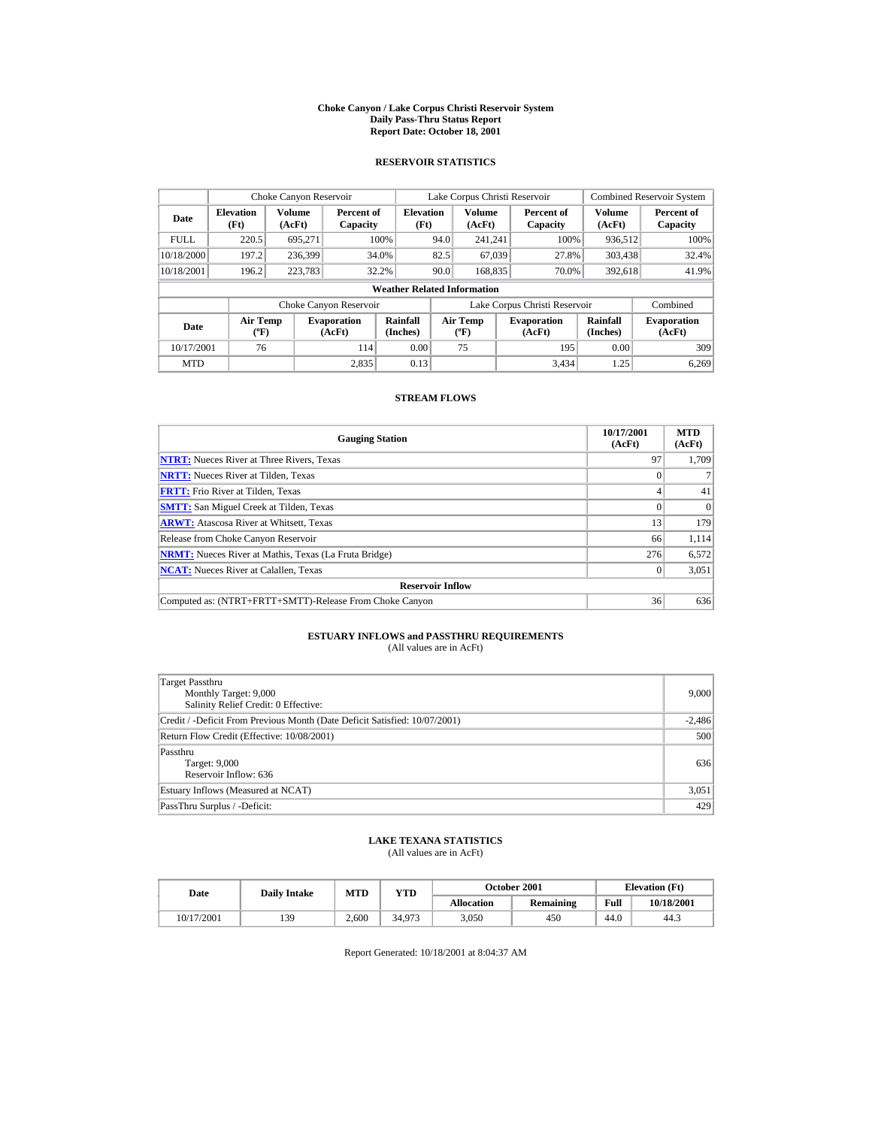#### **Choke Canyon / Lake Corpus Christi Reservoir System Daily Pass-Thru Status Report Report Date: October 18, 2001**

## **RESERVOIR STATISTICS**

|             | Choke Canyon Reservoir                      |                  |                              |                                    |      | Lake Corpus Christi Reservoir    |                               |                             | <b>Combined Reservoir System</b> |
|-------------|---------------------------------------------|------------------|------------------------------|------------------------------------|------|----------------------------------|-------------------------------|-----------------------------|----------------------------------|
| Date        | <b>Elevation</b><br>(Ft)                    | Volume<br>(AcFt) | Percent of<br>Capacity       | <b>Elevation</b><br>(Ft)           |      | Volume<br>(AcFt)                 | Percent of<br>Capacity        | Volume<br>(AcFt)            | Percent of<br>Capacity           |
| <b>FULL</b> | 220.5                                       | 695.271          |                              | 100%                               | 94.0 | 241.241                          | 100%                          | 936,512                     | 100%                             |
| 10/18/2000  | 197.2                                       | 236,399          |                              | 34.0%                              | 82.5 | 67,039                           | 27.8%                         | 303,438                     | 32.4%                            |
| 10/18/2001  | 196.2                                       | 223,783          |                              | 32.2%                              | 90.0 | 168,835                          | 70.0%                         | 392,618                     | 41.9%                            |
|             |                                             |                  |                              | <b>Weather Related Information</b> |      |                                  |                               |                             |                                  |
|             |                                             |                  | Choke Canyon Reservoir       |                                    |      |                                  | Lake Corpus Christi Reservoir |                             | Combined                         |
| Date        | <b>Air Temp</b><br>$({}^{\circ}\mathrm{F})$ |                  | <b>Evaporation</b><br>(AcFt) | Rainfall<br>(Inches)               |      | <b>Air Temp</b><br>$(^{\circ}F)$ | <b>Evaporation</b><br>(AcFt)  | <b>Rainfall</b><br>(Inches) | <b>Evaporation</b><br>(AcFt)     |
| 10/17/2001  | 76                                          |                  | 114                          | 0.00                               |      | 75                               | 195                           | 0.00                        | 309                              |
| <b>MTD</b>  |                                             |                  | 2.835                        | 0.13                               |      |                                  | 3.434                         | 1.25                        | 6.269                            |

## **STREAM FLOWS**

| <b>Gauging Station</b>                                       | 10/17/2001<br>(AcFt) | <b>MTD</b><br>(AcFt) |
|--------------------------------------------------------------|----------------------|----------------------|
| <b>NTRT:</b> Nueces River at Three Rivers, Texas             | 97                   | 1.709                |
| <b>NRTT:</b> Nueces River at Tilden, Texas                   |                      |                      |
| <b>FRTT:</b> Frio River at Tilden, Texas                     |                      | 41                   |
| <b>SMTT:</b> San Miguel Creek at Tilden, Texas               |                      | $\Omega$             |
| <b>ARWT:</b> Atascosa River at Whitsett, Texas               | 13                   | 179                  |
| Release from Choke Canyon Reservoir                          | 66                   | 1,114                |
| <b>NRMT:</b> Nueces River at Mathis, Texas (La Fruta Bridge) | 276                  | 6,572                |
| <b>NCAT:</b> Nueces River at Calallen, Texas                 |                      | 3,051                |
| <b>Reservoir Inflow</b>                                      |                      |                      |
| Computed as: (NTRT+FRTT+SMTT)-Release From Choke Canyon      | 36                   | 636                  |

# **ESTUARY INFLOWS and PASSTHRU REQUIREMENTS**<br>(All values are in AcFt)

| Target Passthru<br>Monthly Target: 9,000<br>Salinity Relief Credit: 0 Effective: | 9,000    |
|----------------------------------------------------------------------------------|----------|
| Credit / -Deficit From Previous Month (Date Deficit Satisfied: 10/07/2001)       | $-2,486$ |
| Return Flow Credit (Effective: 10/08/2001)                                       | 500      |
| Passthru<br>Target: 9,000<br>Reservoir Inflow: 636                               | 636      |
| Estuary Inflows (Measured at NCAT)                                               | 3,051    |
| PassThru Surplus / -Deficit:                                                     | 429      |

## **LAKE TEXANA STATISTICS**

(All values are in AcFt)

| Date       | <b>Daily Intake</b> | MTD   | YTD    |                   | October 2001     |      | <b>Elevation</b> (Ft) |
|------------|---------------------|-------|--------|-------------------|------------------|------|-----------------------|
|            |                     |       |        | <b>Allocation</b> | <b>Remaining</b> | Full | 10/18/2001            |
| 10/17/2001 | 139                 | 2.600 | 34.973 | 3.050             | 450              | 44.0 | 44.3                  |

Report Generated: 10/18/2001 at 8:04:37 AM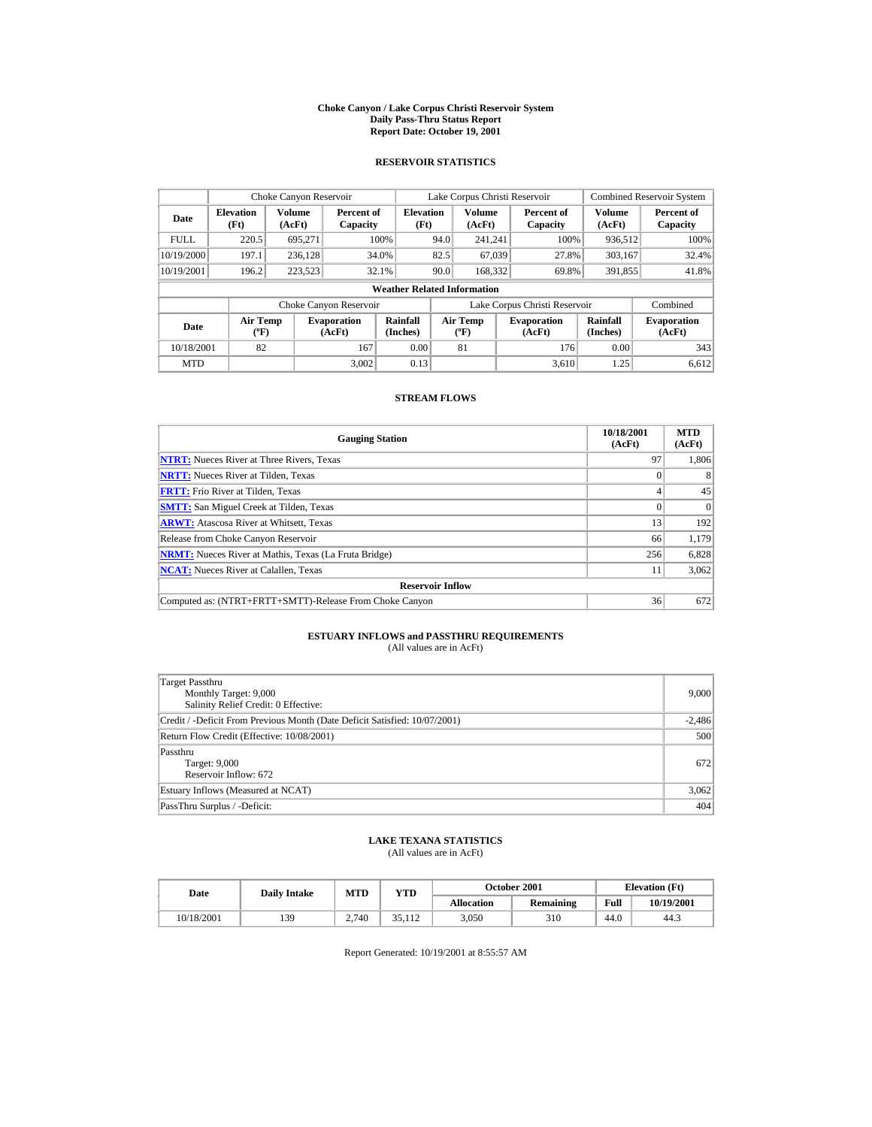#### **Choke Canyon / Lake Corpus Christi Reservoir System Daily Pass-Thru Status Report Report Date: October 19, 2001**

## **RESERVOIR STATISTICS**

| Choke Canyon Reservoir           |                                             |                  |                              |                                    | Lake Corpus Christi Reservoir |                                           |                               | <b>Combined Reservoir System</b> |                              |
|----------------------------------|---------------------------------------------|------------------|------------------------------|------------------------------------|-------------------------------|-------------------------------------------|-------------------------------|----------------------------------|------------------------------|
| <b>Elevation</b><br>Date<br>(Ft) |                                             | Volume<br>(AcFt) | Percent of<br>Capacity       | <b>Elevation</b><br>(Ft)           |                               | Volume<br>(AcFt)                          | Percent of<br>Capacity        | Volume<br>(AcFt)                 | Percent of<br>Capacity       |
| <b>FULL</b>                      | 220.5                                       | 695.271          |                              | 100%                               | 94.0                          | 241.241                                   | 100%                          | 936,512                          | 100%                         |
| 10/19/2000                       | 197.1                                       | 236.128          |                              | 34.0%                              | 82.5                          | 67,039                                    | 27.8%                         | 303.167                          | 32.4%                        |
| 10/19/2001                       | 196.2                                       | 223,523          |                              | 32.1%                              | 90.0                          | 168,332                                   | 69.8%                         | 391,855                          | 41.8%                        |
|                                  |                                             |                  |                              | <b>Weather Related Information</b> |                               |                                           |                               |                                  |                              |
|                                  |                                             |                  | Choke Canyon Reservoir       |                                    |                               |                                           | Lake Corpus Christi Reservoir |                                  | Combined                     |
| Date                             | <b>Air Temp</b><br>$({}^{\circ}\mathrm{F})$ |                  | <b>Evaporation</b><br>(AcFt) | Rainfall<br>(Inches)               |                               | <b>Air Temp</b><br>$({}^{\circ}\text{F})$ | <b>Evaporation</b><br>(AcFt)  | Rainfall<br>(Inches)             | <b>Evaporation</b><br>(AcFt) |
| 10/18/2001                       | 82                                          |                  | 167                          | 0.00                               |                               | 81                                        | 176                           | 0.00                             | 343                          |
| <b>MTD</b>                       |                                             |                  | 3.002                        | 0.13                               |                               |                                           | 3.610                         | 1.25                             | 6.612                        |

## **STREAM FLOWS**

| <b>Gauging Station</b>                                       | 10/18/2001<br>(AcFt) | <b>MTD</b><br>(AcFt) |
|--------------------------------------------------------------|----------------------|----------------------|
| <b>NTRT:</b> Nueces River at Three Rivers, Texas             | 97                   | 1,806                |
| <b>NRTT:</b> Nueces River at Tilden, Texas                   |                      | 8                    |
| <b>FRTT:</b> Frio River at Tilden, Texas                     |                      | 45                   |
| <b>SMTT:</b> San Miguel Creek at Tilden, Texas               |                      | $\Omega$             |
| <b>ARWT:</b> Atascosa River at Whitsett, Texas               | 13                   | 192                  |
| Release from Choke Canyon Reservoir                          | 66                   | 1,179                |
| <b>NRMT:</b> Nueces River at Mathis, Texas (La Fruta Bridge) | 256                  | 6,828                |
| <b>NCAT:</b> Nueces River at Calallen, Texas                 | 11                   | 3,062                |
| <b>Reservoir Inflow</b>                                      |                      |                      |
| Computed as: (NTRT+FRTT+SMTT)-Release From Choke Canyon      | 36                   | 672                  |

# **ESTUARY INFLOWS and PASSTHRU REQUIREMENTS**<br>(All values are in AcFt)

| Target Passthru<br>Monthly Target: 9,000<br>Salinity Relief Credit: 0 Effective: | 9.000    |
|----------------------------------------------------------------------------------|----------|
| Credit / -Deficit From Previous Month (Date Deficit Satisfied: 10/07/2001)       | $-2,486$ |
| Return Flow Credit (Effective: 10/08/2001)                                       | 500      |
| Passthru<br>Target: 9,000<br>Reservoir Inflow: 672                               | 672      |
| Estuary Inflows (Measured at NCAT)                                               | 3,062    |
| PassThru Surplus / -Deficit:                                                     | 404      |

## **LAKE TEXANA STATISTICS**

(All values are in AcFt)

| Date       | <b>Daily Intake</b> |       | <b>October 2001</b><br>MTD<br>YTD |                   |                  |      | <b>Elevation</b> (Ft) |
|------------|---------------------|-------|-----------------------------------|-------------------|------------------|------|-----------------------|
|            |                     |       |                                   | <b>Allocation</b> | <b>Remaining</b> | Full | 10/19/2001            |
| 10/18/2001 | 139                 | 2.740 | 25<br>112                         | 3.050             | 310              | 44.0 | 44.3                  |

Report Generated: 10/19/2001 at 8:55:57 AM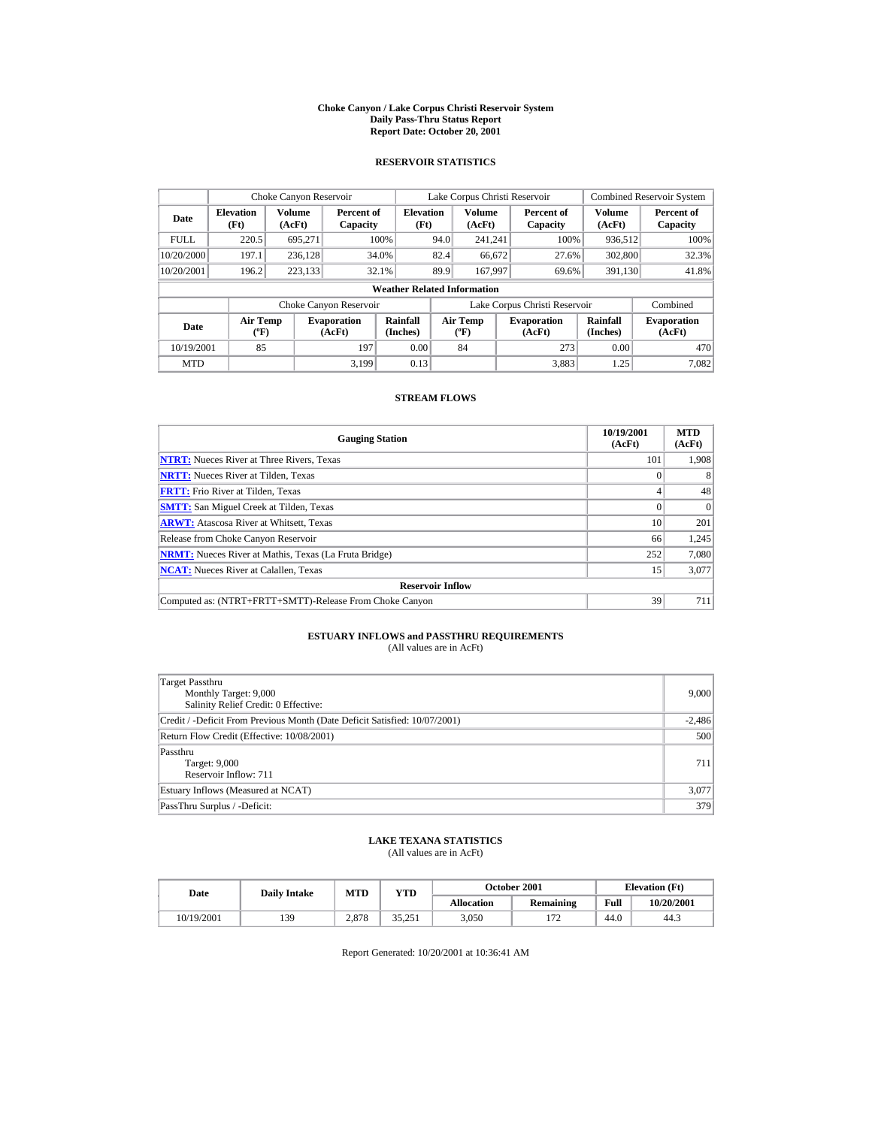#### **Choke Canyon / Lake Corpus Christi Reservoir System Daily Pass-Thru Status Report Report Date: October 20, 2001**

## **RESERVOIR STATISTICS**

|                                            | Choke Canyon Reservoir           |         |                              |                                    |      | Lake Corpus Christi Reservoir    |                               |                             | <b>Combined Reservoir System</b> |
|--------------------------------------------|----------------------------------|---------|------------------------------|------------------------------------|------|----------------------------------|-------------------------------|-----------------------------|----------------------------------|
| <b>Elevation</b><br>Date<br>(Ft)<br>(AcFt) |                                  | Volume  | Percent of<br>Capacity       | <b>Elevation</b><br>(Ft)           |      | Volume<br>(AcFt)                 | Percent of<br>Capacity        | Volume<br>(AcFt)            | Percent of<br>Capacity           |
| <b>FULL</b>                                | 220.5                            | 695.271 |                              | 100%                               | 94.0 | 241.241                          | 100%                          | 936,512                     | 100%                             |
| 10/20/2000                                 | 197.1                            | 236,128 |                              | 34.0%                              | 82.4 | 66,672                           | 27.6%                         | 302,800                     | 32.3%                            |
| 10/20/2001                                 | 196.2                            | 223,133 |                              | 32.1%                              | 89.9 | 167.997                          | 69.6%                         | 391,130                     | 41.8%                            |
|                                            |                                  |         |                              | <b>Weather Related Information</b> |      |                                  |                               |                             |                                  |
|                                            |                                  |         | Choke Canyon Reservoir       |                                    |      |                                  | Lake Corpus Christi Reservoir |                             | Combined                         |
| Date                                       | <b>Air Temp</b><br>$(^{\circ}F)$ |         | <b>Evaporation</b><br>(AcFt) | Rainfall<br>(Inches)               |      | <b>Air Temp</b><br>$(^{\circ}F)$ | <b>Evaporation</b><br>(AcFt)  | <b>Rainfall</b><br>(Inches) | <b>Evaporation</b><br>(AcFt)     |
| 10/19/2001                                 | 85                               |         | 197                          | 0.00                               |      | 84                               | 273                           | 0.00                        | 470                              |
| <b>MTD</b>                                 |                                  |         | 3.199                        | 0.13                               |      |                                  | 3.883                         | 1.25                        | 7.082                            |

## **STREAM FLOWS**

| <b>Gauging Station</b>                                       | 10/19/2001<br>(AcFt) | <b>MTD</b><br>(AcFt) |
|--------------------------------------------------------------|----------------------|----------------------|
| <b>NTRT:</b> Nueces River at Three Rivers, Texas             | 101                  | 1.908                |
| <b>NRTT:</b> Nueces River at Tilden, Texas                   |                      | 8                    |
| <b>FRTT:</b> Frio River at Tilden, Texas                     |                      | 48                   |
| <b>SMTT:</b> San Miguel Creek at Tilden, Texas               |                      | $\Omega$             |
| <b>ARWT:</b> Atascosa River at Whitsett, Texas               | 10                   | 201                  |
| Release from Choke Canyon Reservoir                          | 66                   | 1,245                |
| <b>NRMT:</b> Nueces River at Mathis, Texas (La Fruta Bridge) | 252                  | 7,080                |
| <b>NCAT:</b> Nueces River at Calallen, Texas                 | 15                   | 3,077                |
| <b>Reservoir Inflow</b>                                      |                      |                      |
| Computed as: (NTRT+FRTT+SMTT)-Release From Choke Canyon      | 39                   | 711                  |

# **ESTUARY INFLOWS and PASSTHRU REQUIREMENTS**<br>(All values are in AcFt)

| Target Passthru<br>Monthly Target: 9,000<br>Salinity Relief Credit: 0 Effective: | 9,000    |
|----------------------------------------------------------------------------------|----------|
| Credit / -Deficit From Previous Month (Date Deficit Satisfied: 10/07/2001)       | $-2,486$ |
| Return Flow Credit (Effective: 10/08/2001)                                       | 500      |
| Passthru<br>Target: 9,000<br>Reservoir Inflow: 711                               | 711      |
| Estuary Inflows (Measured at NCAT)                                               | 3,077    |
| PassThru Surplus / -Deficit:                                                     | 379      |

## **LAKE TEXANA STATISTICS**

(All values are in AcFt)

| Date       | <b>Daily Intake</b> | MTD   | October 2001<br>YTD |                   |                        |      | <b>Elevation</b> (Ft) |
|------------|---------------------|-------|---------------------|-------------------|------------------------|------|-----------------------|
|            |                     |       |                     | <b>Allocation</b> | <b>Remaining</b>       | Full | 10/20/2001            |
| 10/19/2001 | 139                 | 2.878 | 35.251              | 3.050             | $.7^{\circ}$<br>$11 -$ | 44.0 | 44.3                  |

Report Generated: 10/20/2001 at 10:36:41 AM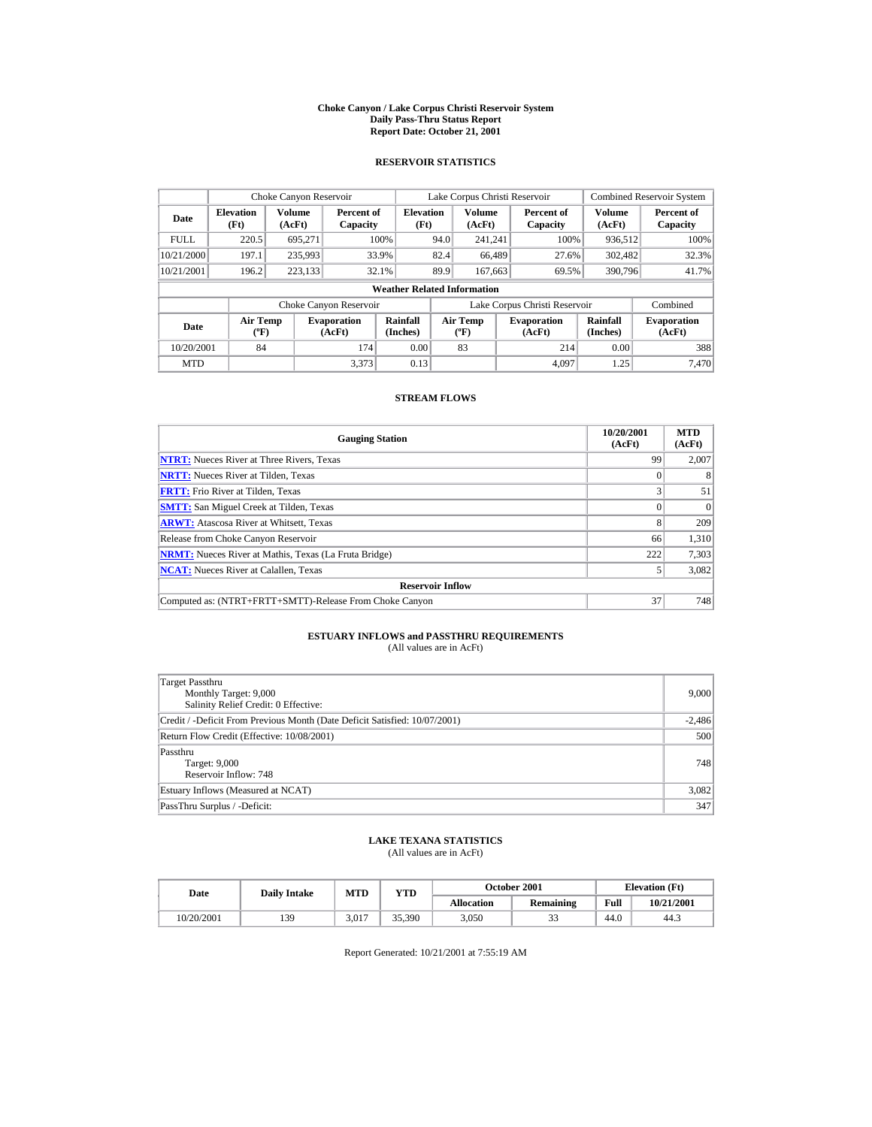#### **Choke Canyon / Lake Corpus Christi Reservoir System Daily Pass-Thru Status Report Report Date: October 21, 2001**

## **RESERVOIR STATISTICS**

|                                            | Choke Canyon Reservoir           |         |                              |                                    |      | Lake Corpus Christi Reservoir               |                               |                             | <b>Combined Reservoir System</b> |
|--------------------------------------------|----------------------------------|---------|------------------------------|------------------------------------|------|---------------------------------------------|-------------------------------|-----------------------------|----------------------------------|
| <b>Elevation</b><br>Date<br>(Ft)<br>(AcFt) |                                  | Volume  | Percent of<br>Capacity       | <b>Elevation</b><br>(Ft)           |      | <b>Volume</b><br>(AcFt)                     | Percent of<br>Capacity        | Volume<br>(AcFt)            | Percent of<br>Capacity           |
| <b>FULL</b>                                | 220.5                            | 695.271 |                              | 100%                               | 94.0 | 241.241                                     | 100%                          | 936,512                     | 100%                             |
| 10/21/2000                                 | 197.1                            | 235,993 |                              | 33.9%                              | 82.4 | 66,489                                      | 27.6%                         | 302,482                     | 32.3%                            |
| 10/21/2001                                 | 196.2                            | 223,133 |                              | 32.1%                              | 89.9 | 167,663                                     | 69.5%                         | 390,796                     | 41.7%                            |
|                                            |                                  |         |                              | <b>Weather Related Information</b> |      |                                             |                               |                             |                                  |
|                                            |                                  |         | Choke Canyon Reservoir       |                                    |      |                                             | Lake Corpus Christi Reservoir |                             | Combined                         |
| Date                                       | <b>Air Temp</b><br>$(^{\circ}F)$ |         | <b>Evaporation</b><br>(AcFt) | Rainfall<br>(Inches)               |      | <b>Air Temp</b><br>$({}^{\circ}\mathbf{F})$ | <b>Evaporation</b><br>(AcFt)  | <b>Rainfall</b><br>(Inches) | <b>Evaporation</b><br>(AcFt)     |
| 10/20/2001                                 | 84                               |         | 174                          | 0.00                               |      | 83                                          | 214                           | 0.00                        | 388                              |
| <b>MTD</b>                                 |                                  |         | 3.373                        | 0.13                               |      |                                             | 4.097                         | 1.25                        | 7.470                            |

## **STREAM FLOWS**

| <b>Gauging Station</b>                                       | 10/20/2001<br>(AcFt) | <b>MTD</b><br>(AcFt) |
|--------------------------------------------------------------|----------------------|----------------------|
| <b>NTRT:</b> Nueces River at Three Rivers, Texas             | 99                   | 2,007                |
| <b>NRTT:</b> Nueces River at Tilden, Texas                   |                      |                      |
| <b>FRTT:</b> Frio River at Tilden, Texas                     | ◠                    | 51                   |
| <b>SMTT:</b> San Miguel Creek at Tilden, Texas               |                      | $\Omega$             |
| <b>ARWT:</b> Atascosa River at Whitsett, Texas               | 8                    | 209                  |
| Release from Choke Canyon Reservoir                          | 66                   | 1,310                |
| <b>NRMT:</b> Nueces River at Mathis, Texas (La Fruta Bridge) | 222                  | 7,303                |
| <b>NCAT:</b> Nueces River at Calallen, Texas                 |                      | 3,082                |
| <b>Reservoir Inflow</b>                                      |                      |                      |
| Computed as: (NTRT+FRTT+SMTT)-Release From Choke Canyon      | 37                   | 748                  |

# **ESTUARY INFLOWS and PASSTHRU REQUIREMENTS**<br>(All values are in AcFt)

| Target Passthru<br>Monthly Target: 9,000<br>Salinity Relief Credit: 0 Effective: | 9,000    |
|----------------------------------------------------------------------------------|----------|
| Credit / -Deficit From Previous Month (Date Deficit Satisfied: 10/07/2001)       | $-2,486$ |
| Return Flow Credit (Effective: 10/08/2001)                                       | 500      |
| Passthru<br>Target: 9,000<br>Reservoir Inflow: 748                               | 748      |
| Estuary Inflows (Measured at NCAT)                                               | 3,082    |
| PassThru Surplus / -Deficit:                                                     | 347      |

## **LAKE TEXANA STATISTICS**

(All values are in AcFt)

| Date       | <b>Daily Intake</b> | MTD   | YTD    |                   | October 2001     |      | <b>Elevation</b> (Ft) |
|------------|---------------------|-------|--------|-------------------|------------------|------|-----------------------|
|            |                     |       |        | <b>Allocation</b> | <b>Remaining</b> | Full | 10/21/2001            |
| 10/20/2001 | 139                 | 3.017 | 35.390 | 3.050             | ب ہے             | 44.0 | 44.3                  |

Report Generated: 10/21/2001 at 7:55:19 AM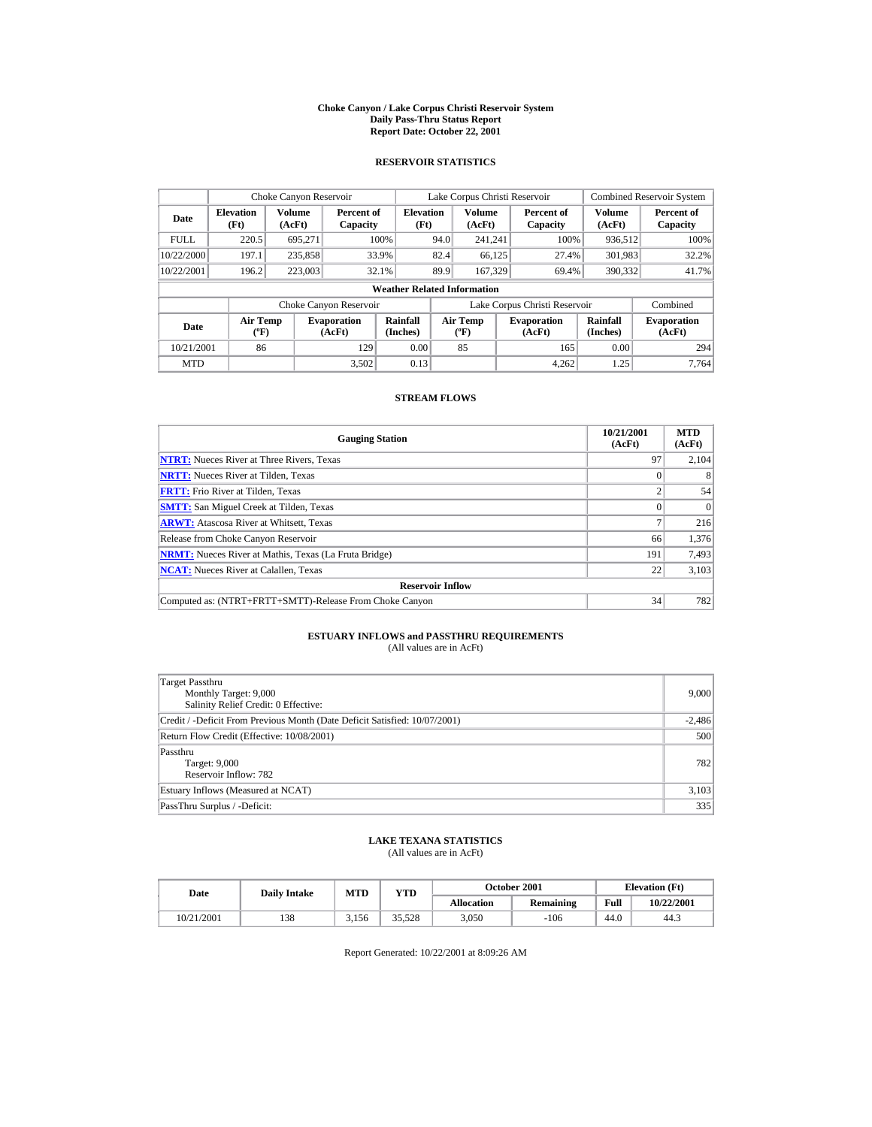#### **Choke Canyon / Lake Corpus Christi Reservoir System Daily Pass-Thru Status Report Report Date: October 22, 2001**

## **RESERVOIR STATISTICS**

|             | Choke Canyon Reservoir                      |                  |                              |                          |      | Lake Corpus Christi Reservoir            |  |                               |                      | <b>Combined Reservoir System</b> |  |  |
|-------------|---------------------------------------------|------------------|------------------------------|--------------------------|------|------------------------------------------|--|-------------------------------|----------------------|----------------------------------|--|--|
| Date        | <b>Elevation</b><br>(Ft)                    | Volume<br>(AcFt) | Percent of<br>Capacity       | <b>Elevation</b><br>(Ft) |      | <b>Volume</b><br>(AcFt)                  |  | Percent of<br>Capacity        | Volume<br>(AcFt)     | Percent of<br>Capacity           |  |  |
| <b>FULL</b> | 220.5                                       | 695.271          |                              | 100%                     | 94.0 | 241.241                                  |  | 100%                          | 936.512              | 100%                             |  |  |
| 10/22/2000  | 197.1                                       | 235,858          |                              | 33.9%                    | 82.4 | 66,125                                   |  | 27.4%                         | 301,983              | 32.2%                            |  |  |
| 10/22/2001  | 196.2                                       | 223,003          |                              | 32.1%                    | 89.9 | 167,329                                  |  | 69.4%                         | 390,332              | 41.7%                            |  |  |
|             | <b>Weather Related Information</b>          |                  |                              |                          |      |                                          |  |                               |                      |                                  |  |  |
|             |                                             |                  | Choke Canyon Reservoir       |                          |      |                                          |  | Lake Corpus Christi Reservoir |                      | Combined                         |  |  |
| Date        | <b>Air Temp</b><br>$({}^{\circ}\mathrm{F})$ |                  | <b>Evaporation</b><br>(AcFt) | Rainfall<br>(Inches)     |      | <b>Air Temp</b><br>$({}^{\circ}{\rm F})$ |  | <b>Evaporation</b><br>(AcFt)  | Rainfall<br>(Inches) | <b>Evaporation</b><br>(AcFt)     |  |  |
| 10/21/2001  | 86                                          |                  | 129                          | 0.00                     |      | 85                                       |  | 165                           | 0.00                 | 294                              |  |  |
| <b>MTD</b>  |                                             |                  | 3.502                        | 0.13                     |      |                                          |  | 4.262                         | 1.25                 | 7.764                            |  |  |

## **STREAM FLOWS**

| <b>Gauging Station</b>                                       | 10/21/2001<br>(AcFt) | <b>MTD</b><br>(AcFt) |
|--------------------------------------------------------------|----------------------|----------------------|
| <b>NTRT:</b> Nueces River at Three Rivers, Texas             | 97                   | 2,104                |
| <b>NRTT:</b> Nueces River at Tilden, Texas                   |                      | 8                    |
| <b>FRTT:</b> Frio River at Tilden, Texas                     |                      | 54                   |
| <b>SMTT:</b> San Miguel Creek at Tilden, Texas               |                      | $\Omega$             |
| <b>ARWT:</b> Atascosa River at Whitsett, Texas               |                      | 216                  |
| Release from Choke Canyon Reservoir                          | 66                   | 1,376                |
| <b>NRMT:</b> Nueces River at Mathis, Texas (La Fruta Bridge) | 191                  | 7,493                |
| <b>NCAT:</b> Nueces River at Calallen, Texas                 | 22                   | 3,103                |
| <b>Reservoir Inflow</b>                                      |                      |                      |
| Computed as: (NTRT+FRTT+SMTT)-Release From Choke Canyon      | 34                   | 782                  |

# **ESTUARY INFLOWS and PASSTHRU REQUIREMENTS**<br>(All values are in AcFt)

| Target Passthru<br>Monthly Target: 9,000<br>Salinity Relief Credit: 0 Effective: | 9,000    |
|----------------------------------------------------------------------------------|----------|
| Credit / -Deficit From Previous Month (Date Deficit Satisfied: 10/07/2001)       | $-2,486$ |
| Return Flow Credit (Effective: 10/08/2001)                                       | 500      |
| Passthru<br>Target: 9,000<br>Reservoir Inflow: 782                               | 782      |
| Estuary Inflows (Measured at NCAT)                                               | 3,103    |
| PassThru Surplus / -Deficit:                                                     | 335      |

## **LAKE TEXANA STATISTICS**

(All values are in AcFt)

| Date       | <b>Daily Intake</b> | MTD   | $_{\rm VTD}$ |                   | <b>October 2001</b> |      | <b>Elevation</b> (Ft) |
|------------|---------------------|-------|--------------|-------------------|---------------------|------|-----------------------|
|            |                     |       |              | <b>Allocation</b> | Remaining           | Full | 10/22/2001            |
| 10/21/2001 | 138                 | 3.156 | 35.528       | 3.050             | $-106$              | 44.0 | 44.3                  |

Report Generated: 10/22/2001 at 8:09:26 AM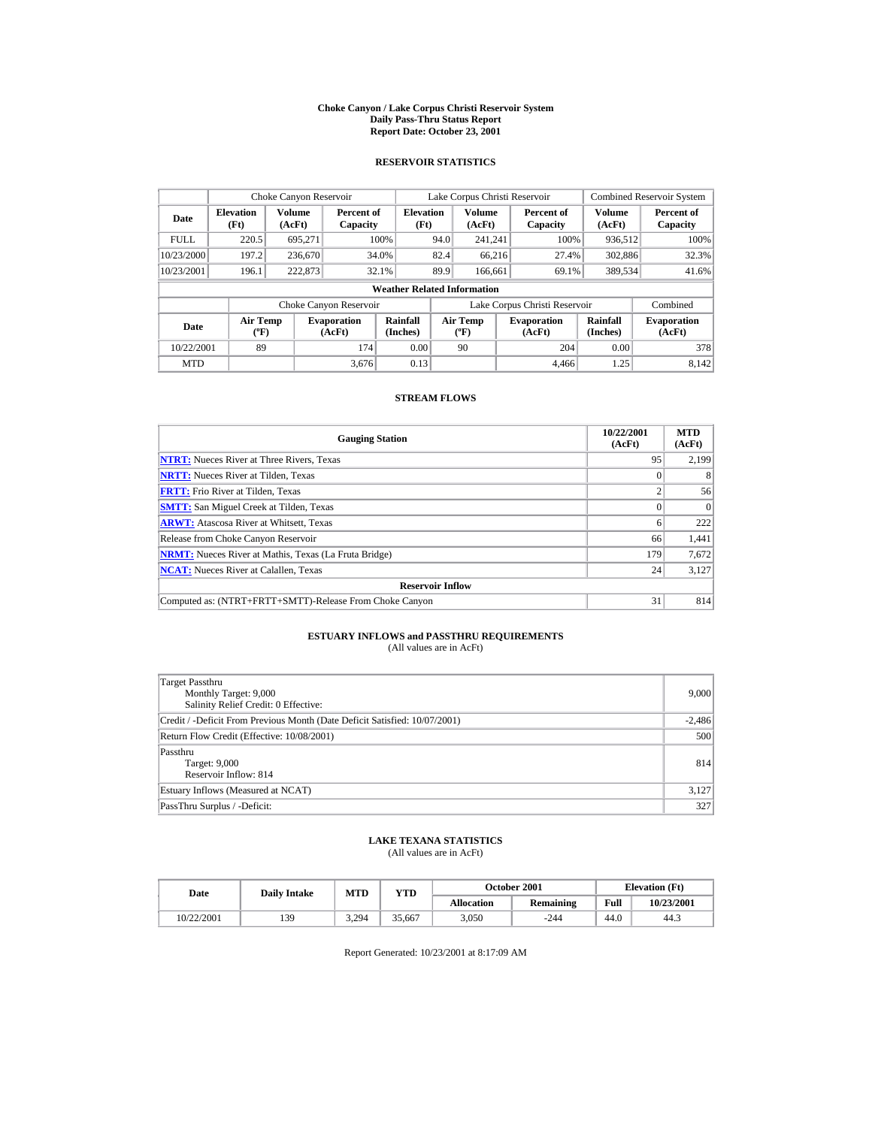#### **Choke Canyon / Lake Corpus Christi Reservoir System Daily Pass-Thru Status Report Report Date: October 23, 2001**

## **RESERVOIR STATISTICS**

|             | Choke Canyon Reservoir                       |         |                              |                          |      | Lake Corpus Christi Reservoir               |  |                               |                             | <b>Combined Reservoir System</b> |  |  |
|-------------|----------------------------------------------|---------|------------------------------|--------------------------|------|---------------------------------------------|--|-------------------------------|-----------------------------|----------------------------------|--|--|
| Date        | Volume<br><b>Elevation</b><br>(Ft)<br>(AcFt) |         | Percent of<br>Capacity       | <b>Elevation</b><br>(Ft) |      | Volume<br>(AcFt)                            |  | Percent of<br>Capacity        | Volume<br>(AcFt)            | Percent of<br>Capacity           |  |  |
| <b>FULL</b> | 220.5                                        | 695.271 |                              | 100%                     | 94.0 | 241.241                                     |  | 100%                          | 936,512                     | 100%                             |  |  |
| 10/23/2000  | 197.2                                        | 236,670 |                              | 34.0%                    | 82.4 | 66.216                                      |  | 27.4%                         | 302,886                     | 32.3%                            |  |  |
| 10/23/2001  | 196.1                                        | 222,873 |                              | 32.1%                    | 89.9 | 166,661                                     |  | 69.1%                         | 389,534                     | 41.6%                            |  |  |
|             | <b>Weather Related Information</b>           |         |                              |                          |      |                                             |  |                               |                             |                                  |  |  |
|             |                                              |         | Choke Canyon Reservoir       |                          |      |                                             |  | Lake Corpus Christi Reservoir |                             | Combined                         |  |  |
| Date        | <b>Air Temp</b><br>$(^{\circ}F)$             |         | <b>Evaporation</b><br>(AcFt) | Rainfall<br>(Inches)     |      | <b>Air Temp</b><br>$({}^{\circ}\mathbf{F})$ |  | <b>Evaporation</b><br>(AcFt)  | <b>Rainfall</b><br>(Inches) | <b>Evaporation</b><br>(AcFt)     |  |  |
| 10/22/2001  | 89                                           |         | 174                          | 0.00                     |      | 90                                          |  | 204                           | 0.00                        | 378                              |  |  |
| <b>MTD</b>  |                                              |         | 3.676                        | 0.13                     |      |                                             |  | 4.466                         | 1.25                        | 8.142                            |  |  |

## **STREAM FLOWS**

| <b>Gauging Station</b>                                       | 10/22/2001<br>(AcFt) | <b>MTD</b><br>(AcFt) |
|--------------------------------------------------------------|----------------------|----------------------|
| <b>NTRT:</b> Nueces River at Three Rivers, Texas             | 95                   | 2,199                |
| <b>NRTT:</b> Nueces River at Tilden, Texas                   |                      | 8                    |
| <b>FRTT:</b> Frio River at Tilden. Texas                     |                      | 56                   |
| <b>SMTT:</b> San Miguel Creek at Tilden, Texas               |                      | $\Omega$             |
| <b>ARWT:</b> Atascosa River at Whitsett, Texas               | 6                    | 222                  |
| Release from Choke Canyon Reservoir                          | 66                   | 1,441                |
| <b>NRMT:</b> Nueces River at Mathis, Texas (La Fruta Bridge) | 179                  | 7,672                |
| <b>NCAT:</b> Nueces River at Calallen, Texas                 | 24                   | 3,127                |
| <b>Reservoir Inflow</b>                                      |                      |                      |
| Computed as: (NTRT+FRTT+SMTT)-Release From Choke Canyon      | 31                   | 814                  |

# **ESTUARY INFLOWS and PASSTHRU REQUIREMENTS**<br>(All values are in AcFt)

| Target Passthru<br>Monthly Target: 9,000<br>Salinity Relief Credit: 0 Effective: | 9,000    |
|----------------------------------------------------------------------------------|----------|
| Credit / -Deficit From Previous Month (Date Deficit Satisfied: 10/07/2001)       | $-2,486$ |
| Return Flow Credit (Effective: 10/08/2001)                                       | 500      |
| Passthru<br>Target: 9,000<br>Reservoir Inflow: 814                               | 814      |
| Estuary Inflows (Measured at NCAT)                                               | 3,127    |
| PassThru Surplus / -Deficit:                                                     | 327      |

## **LAKE TEXANA STATISTICS**

(All values are in AcFt)

| Date       | <b>Daily Intake</b> | MTD<br>$_{\rm VTD}$ |        |                   | <b>October 2001</b> | <b>Elevation</b> (Ft) |            |
|------------|---------------------|---------------------|--------|-------------------|---------------------|-----------------------|------------|
|            |                     |                     |        | <b>Allocation</b> | Remaining           | Full                  | 10/23/2001 |
| 10/22/2001 | 139                 | 3.294               | 35.667 | 3.050             | $-244$              | 44.0                  | 44.3       |

Report Generated: 10/23/2001 at 8:17:09 AM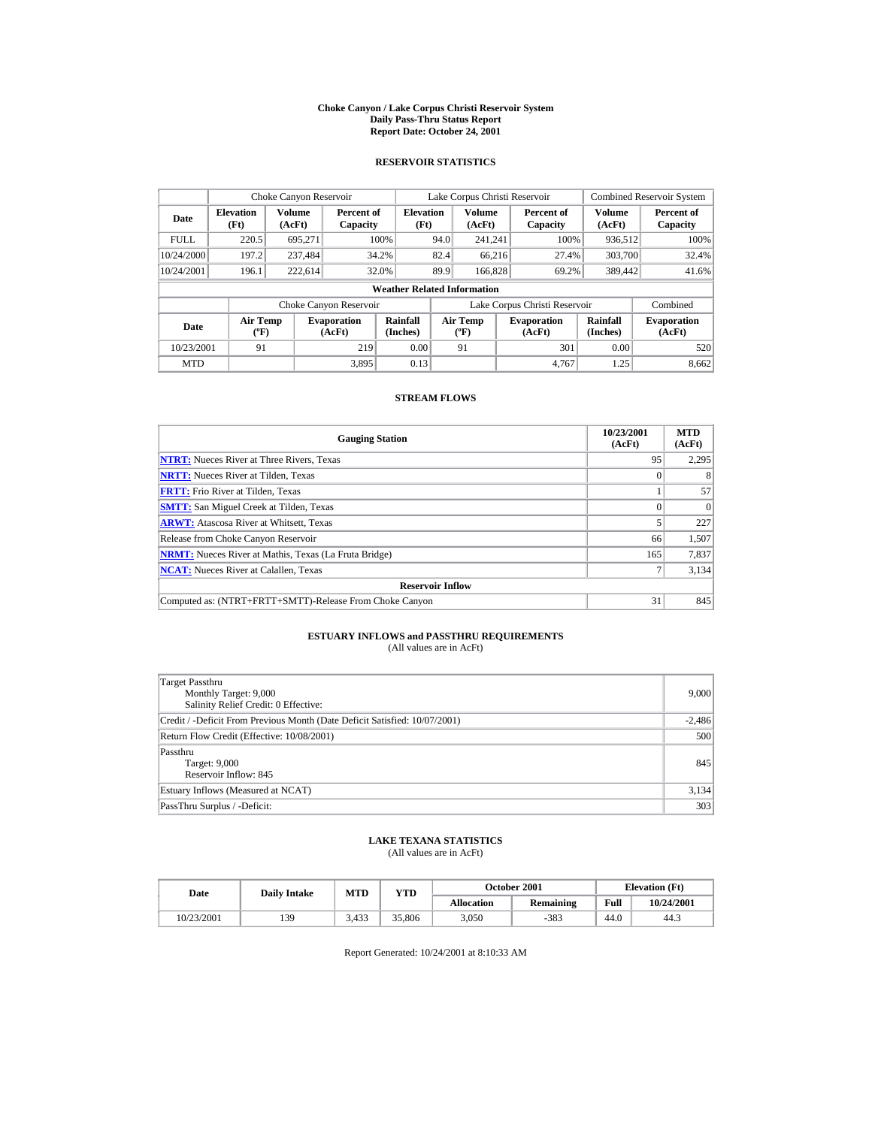#### **Choke Canyon / Lake Corpus Christi Reservoir System Daily Pass-Thru Status Report Report Date: October 24, 2001**

## **RESERVOIR STATISTICS**

|                                                      | Choke Canyon Reservoir             |                        |                              |                      |                  | Lake Corpus Christi Reservoir               |                        |                               |                             | <b>Combined Reservoir System</b> |  |  |
|------------------------------------------------------|------------------------------------|------------------------|------------------------------|----------------------|------------------|---------------------------------------------|------------------------|-------------------------------|-----------------------------|----------------------------------|--|--|
| Volume<br><b>Elevation</b><br>Date<br>(Ft)<br>(AcFt) |                                    | Percent of<br>Capacity | <b>Elevation</b><br>(Ft)     |                      | Volume<br>(AcFt) |                                             | Percent of<br>Capacity | Volume<br>(AcFt)              | Percent of<br>Capacity      |                                  |  |  |
| <b>FULL</b>                                          | 220.5                              | 695.271                |                              | 100%                 | 94.0             | 241.241                                     |                        | 100%                          | 936,512                     | 100%                             |  |  |
| 10/24/2000                                           | 197.2                              | 237.484                |                              | 34.2%                | 82.4             | 66.216                                      |                        | 27.4%                         | 303,700                     | 32.4%                            |  |  |
| 10/24/2001                                           | 196.1                              | 222,614                |                              | 32.0%                | 89.9             | 166,828                                     |                        | 69.2%                         | 389,442                     | 41.6%                            |  |  |
|                                                      | <b>Weather Related Information</b> |                        |                              |                      |                  |                                             |                        |                               |                             |                                  |  |  |
|                                                      |                                    |                        | Choke Canyon Reservoir       |                      |                  |                                             |                        | Lake Corpus Christi Reservoir |                             | Combined                         |  |  |
| Date                                                 | <b>Air Temp</b><br>$(^{\circ}F)$   |                        | <b>Evaporation</b><br>(AcFt) | Rainfall<br>(Inches) |                  | <b>Air Temp</b><br>$({}^{\circ}\mathbf{F})$ |                        | <b>Evaporation</b><br>(AcFt)  | <b>Rainfall</b><br>(Inches) | <b>Evaporation</b><br>(AcFt)     |  |  |
| 10/23/2001                                           |                                    | 219<br>91              |                              | 0.00                 |                  | 91                                          |                        | 301                           | 0.00                        | 520                              |  |  |
| <b>MTD</b>                                           |                                    |                        | 3.895                        | 0.13                 |                  |                                             |                        | 4.767                         | 1.25                        | 8.662                            |  |  |

## **STREAM FLOWS**

| <b>Gauging Station</b>                                       | 10/23/2001<br>(AcFt) | <b>MTD</b><br>(AcFt) |
|--------------------------------------------------------------|----------------------|----------------------|
| <b>NTRT:</b> Nueces River at Three Rivers, Texas             | 95                   | 2,295                |
| <b>NRTT:</b> Nueces River at Tilden, Texas                   |                      | 8                    |
| <b>FRTT:</b> Frio River at Tilden, Texas                     |                      | 57                   |
| <b>SMTT:</b> San Miguel Creek at Tilden, Texas               |                      | $\Omega$             |
| <b>ARWT:</b> Atascosa River at Whitsett, Texas               |                      | 227                  |
| Release from Choke Canyon Reservoir                          | 66                   | 1,507                |
| <b>NRMT:</b> Nueces River at Mathis, Texas (La Fruta Bridge) | 165                  | 7,837                |
| <b>NCAT:</b> Nueces River at Calallen, Texas                 |                      | 3,134                |
| <b>Reservoir Inflow</b>                                      |                      |                      |
| Computed as: (NTRT+FRTT+SMTT)-Release From Choke Canyon      | 31                   | 845                  |

# **ESTUARY INFLOWS and PASSTHRU REQUIREMENTS**<br>(All values are in AcFt)

| Target Passthru<br>Monthly Target: 9,000<br>Salinity Relief Credit: 0 Effective: | 9.000    |
|----------------------------------------------------------------------------------|----------|
| Credit / -Deficit From Previous Month (Date Deficit Satisfied: 10/07/2001)       | $-2,486$ |
| Return Flow Credit (Effective: 10/08/2001)                                       | 500      |
| Passthru<br>Target: 9,000<br>Reservoir Inflow: 845                               | 845      |
| Estuary Inflows (Measured at NCAT)                                               | 3,134    |
| PassThru Surplus / -Deficit:                                                     | 303      |

## **LAKE TEXANA STATISTICS**

(All values are in AcFt)

| Date       | <b>Daily Intake</b> | MTD   | YTD    |                   | October 2001     | <b>Elevation</b> (Ft) |            |
|------------|---------------------|-------|--------|-------------------|------------------|-----------------------|------------|
|            |                     |       |        | <b>Allocation</b> | <b>Remaining</b> | Full                  | 10/24/2001 |
| 10/23/2001 | 139                 | 3,433 | 35,806 | 3.050             | $-383$           | 44.0                  | 44.3       |

Report Generated: 10/24/2001 at 8:10:33 AM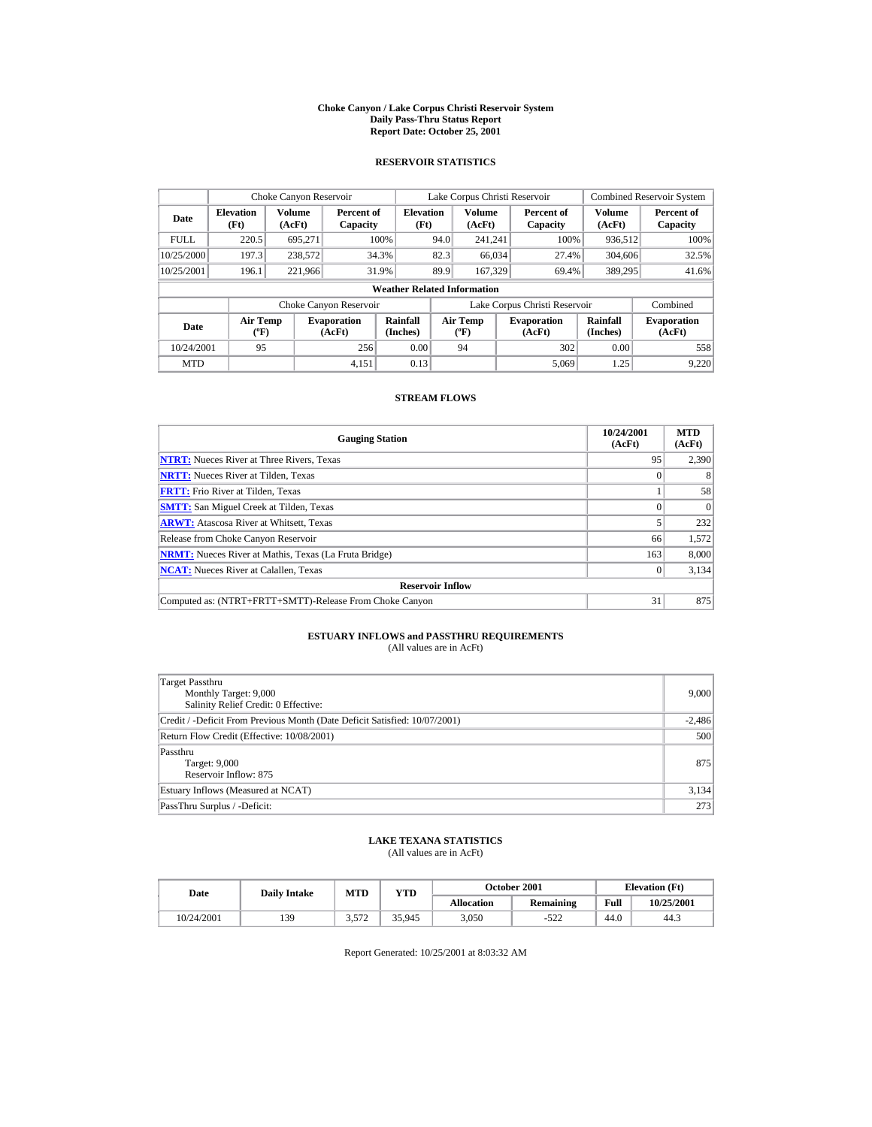#### **Choke Canyon / Lake Corpus Christi Reservoir System Daily Pass-Thru Status Report Report Date: October 25, 2001**

## **RESERVOIR STATISTICS**

| Choke Canyon Reservoir |                                  |                  |                              |                                    |      | Lake Corpus Christi Reservoir               |                               |                             | <b>Combined Reservoir System</b> |
|------------------------|----------------------------------|------------------|------------------------------|------------------------------------|------|---------------------------------------------|-------------------------------|-----------------------------|----------------------------------|
| Date                   | <b>Elevation</b><br>(Ft)         | Volume<br>(AcFt) | Percent of<br>Capacity       | <b>Elevation</b><br>(Ft)           |      | Volume<br>(AcFt)                            | Percent of<br>Capacity        | Volume<br>(AcFt)            | Percent of<br>Capacity           |
| <b>FULL</b>            | 220.5                            | 695.271          |                              | 100%                               | 94.0 | 241.241                                     | 100%                          | 936,512                     | 100%                             |
| 10/25/2000             | 197.3                            | 238,572          |                              | 34.3%                              | 82.3 | 66,034                                      | 27.4%                         | 304,606                     | 32.5%                            |
| 10/25/2001             | 196.1                            | 221,966          |                              | 31.9%                              | 89.9 | 167.329                                     | 69.4%                         | 389,295                     | 41.6%                            |
|                        |                                  |                  |                              | <b>Weather Related Information</b> |      |                                             |                               |                             |                                  |
|                        |                                  |                  | Choke Canyon Reservoir       |                                    |      |                                             | Lake Corpus Christi Reservoir |                             | Combined                         |
| Date                   | <b>Air Temp</b><br>$(^{\circ}F)$ |                  | <b>Evaporation</b><br>(AcFt) | Rainfall<br>(Inches)               |      | <b>Air Temp</b><br>$({}^{\circ}\mathbf{F})$ | <b>Evaporation</b><br>(AcFt)  | <b>Rainfall</b><br>(Inches) | <b>Evaporation</b><br>(AcFt)     |
| 10/24/2001             | 95                               |                  | 256                          | 0.00                               |      | 94                                          | 302                           | 0.00                        | 558                              |
| <b>MTD</b>             |                                  |                  | 4.151                        | 0.13                               |      |                                             | 5.069                         | 1.25                        | 9.220                            |

## **STREAM FLOWS**

| <b>Gauging Station</b>                                       | 10/24/2001<br>(AcFt) | <b>MTD</b><br>(AcFt) |
|--------------------------------------------------------------|----------------------|----------------------|
| <b>NTRT:</b> Nueces River at Three Rivers, Texas             | 95                   | 2,390                |
| <b>NRTT:</b> Nueces River at Tilden, Texas                   |                      | 8                    |
| <b>FRTT:</b> Frio River at Tilden, Texas                     |                      | 58                   |
| <b>SMTT:</b> San Miguel Creek at Tilden, Texas               |                      | $\Omega$             |
| <b>ARWT:</b> Atascosa River at Whitsett, Texas               |                      | 232                  |
| Release from Choke Canyon Reservoir                          | 66                   | 1,572                |
| <b>NRMT:</b> Nueces River at Mathis, Texas (La Fruta Bridge) | 163                  | 8,000                |
| <b>NCAT:</b> Nueces River at Calallen, Texas                 |                      | 3,134                |
| <b>Reservoir Inflow</b>                                      |                      |                      |
| Computed as: (NTRT+FRTT+SMTT)-Release From Choke Canyon      | 31                   | 875                  |

# **ESTUARY INFLOWS and PASSTHRU REQUIREMENTS**<br>(All values are in AcFt)

| Target Passthru<br>Monthly Target: 9,000<br>Salinity Relief Credit: 0 Effective: | 9.000    |
|----------------------------------------------------------------------------------|----------|
| Credit / -Deficit From Previous Month (Date Deficit Satisfied: 10/07/2001)       | $-2,486$ |
| Return Flow Credit (Effective: 10/08/2001)                                       | 500      |
| Passthru<br>Target: 9,000<br>Reservoir Inflow: 875                               | 875      |
| Estuary Inflows (Measured at NCAT)                                               | 3,134    |
| PassThru Surplus / -Deficit:                                                     | 273      |

## **LAKE TEXANA STATISTICS**

(All values are in AcFt)

| Date       | <b>Daily Intake</b> | MTD   | VTD    |                   | <b>October 2001</b> |      | <b>Elevation</b> (Ft) |
|------------|---------------------|-------|--------|-------------------|---------------------|------|-----------------------|
|            |                     |       |        | <b>Allocation</b> | Remaining           | Full | 10/25/2001            |
| 10/24/2001 | 139                 | 3.572 | 35,945 | 3.050             | $-522$              | 44.0 | 44.3                  |

Report Generated: 10/25/2001 at 8:03:32 AM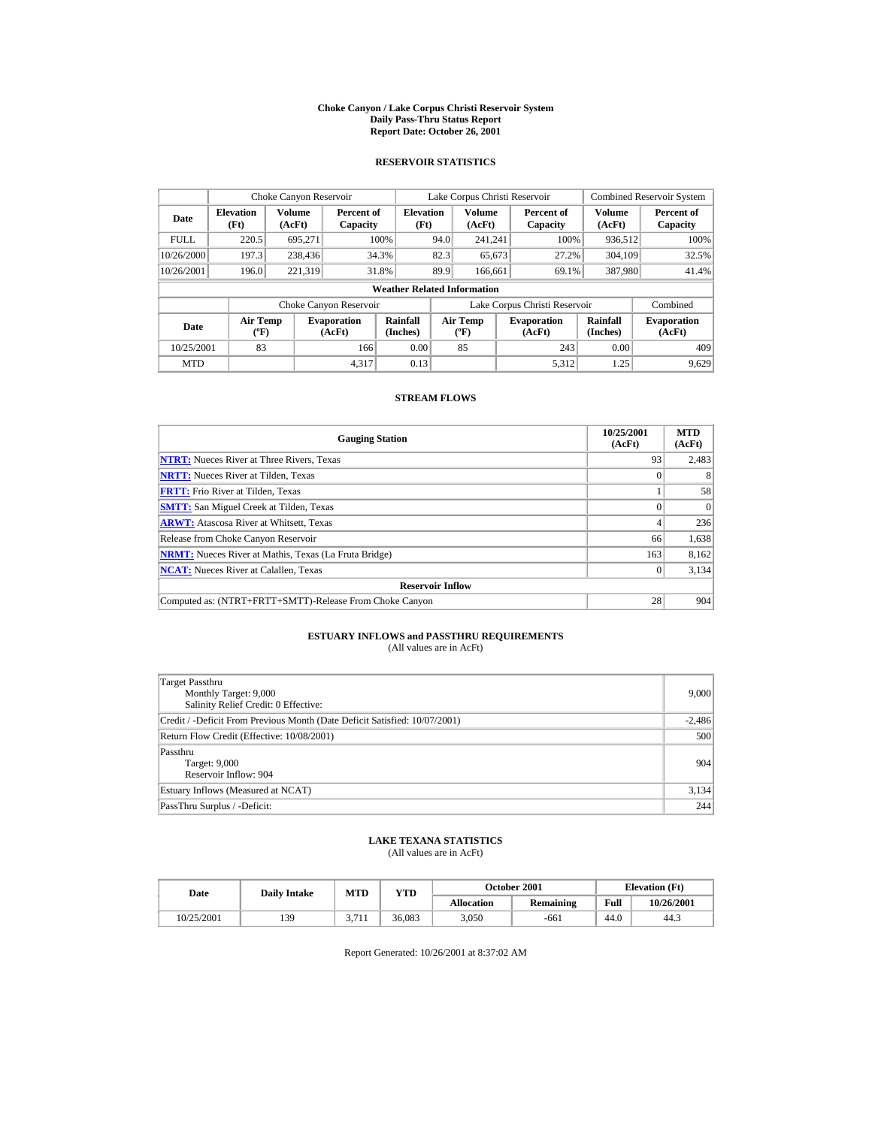#### **Choke Canyon / Lake Corpus Christi Reservoir System Daily Pass-Thru Status Report Report Date: October 26, 2001**

## **RESERVOIR STATISTICS**

| Choke Canyon Reservoir                          |                          |                              |                        |                                    |                                  | Lake Corpus Christi Reservoir |                               |                              | <b>Combined Reservoir System</b> |
|-------------------------------------------------|--------------------------|------------------------------|------------------------|------------------------------------|----------------------------------|-------------------------------|-------------------------------|------------------------------|----------------------------------|
| Date                                            | <b>Elevation</b><br>(Ft) | Volume<br>(AcFt)             | Percent of<br>Capacity | <b>Elevation</b><br>(Ft)           |                                  | <b>Volume</b><br>(AcFt)       | Percent of<br>Capacity        | Volume<br>(AcFt)             | Percent of<br>Capacity           |
| <b>FULL</b>                                     | 220.5                    | 695.271                      |                        | 100%                               | 94.0                             | 241.241                       | 100%                          | 936,512                      | 100%                             |
| 10/26/2000                                      | 197.3                    | 238,436                      |                        | 34.3%                              | 82.3                             | 65,673                        | 27.2%                         | 304.109                      | 32.5%                            |
| 10/26/2001                                      | 196.0                    | 221,319                      |                        | 31.8%                              | 89.9                             | 166,661                       | 69.1%                         | 387,980                      | 41.4%                            |
|                                                 |                          |                              |                        | <b>Weather Related Information</b> |                                  |                               |                               |                              |                                  |
|                                                 |                          |                              | Choke Canyon Reservoir |                                    |                                  |                               | Lake Corpus Christi Reservoir |                              | Combined                         |
| <b>Air Temp</b><br><b>Date</b><br>$(^{\circ}F)$ |                          | <b>Evaporation</b><br>(AcFt) | Rainfall<br>(Inches)   |                                    | <b>Air Temp</b><br>$(^{\circ}F)$ | <b>Evaporation</b><br>(AcFt)  | <b>Rainfall</b><br>(Inches)   | <b>Evaporation</b><br>(AcFt) |                                  |
| 10/25/2001                                      | 83                       |                              | 166                    | 0.00                               |                                  | 85                            | 243                           | 0.00                         | 409                              |
| <b>MTD</b>                                      |                          |                              | 4.317                  | 0.13                               |                                  |                               | 5.312                         | 1.25                         | 9.629                            |

## **STREAM FLOWS**

| <b>Gauging Station</b>                                       | 10/25/2001<br>(AcFt) | <b>MTD</b><br>(AcFt) |
|--------------------------------------------------------------|----------------------|----------------------|
| <b>NTRT:</b> Nueces River at Three Rivers, Texas             | 93                   | 2,483                |
| <b>NRTT:</b> Nueces River at Tilden, Texas                   |                      | 8                    |
| <b>FRTT:</b> Frio River at Tilden, Texas                     |                      | 58                   |
| <b>SMTT:</b> San Miguel Creek at Tilden, Texas               |                      | $\Omega$             |
| <b>ARWT:</b> Atascosa River at Whitsett, Texas               |                      | 236                  |
| Release from Choke Canyon Reservoir                          | 66                   | 1,638                |
| <b>NRMT:</b> Nueces River at Mathis, Texas (La Fruta Bridge) | 163                  | 8,162                |
| <b>NCAT:</b> Nueces River at Calallen, Texas                 |                      | 3,134                |
| <b>Reservoir Inflow</b>                                      |                      |                      |
| Computed as: (NTRT+FRTT+SMTT)-Release From Choke Canyon      | 28                   | 904                  |

# **ESTUARY INFLOWS and PASSTHRU REQUIREMENTS**<br>(All values are in AcFt)

| Target Passthru<br>Monthly Target: 9,000<br>Salinity Relief Credit: 0 Effective: | 9.000    |
|----------------------------------------------------------------------------------|----------|
| Credit / -Deficit From Previous Month (Date Deficit Satisfied: 10/07/2001)       | $-2,486$ |
| Return Flow Credit (Effective: 10/08/2001)                                       | 500      |
| Passthru<br>Target: 9,000<br>Reservoir Inflow: 904                               | 904      |
| Estuary Inflows (Measured at NCAT)                                               | 3,134    |
| PassThru Surplus / -Deficit:                                                     | 244      |

## **LAKE TEXANA STATISTICS**

(All values are in AcFt)

| Date       | <b>Daily Intake</b> | MTD                  | VTD    |                   | <b>October 2001</b> |      | <b>Elevation</b> (Ft) |
|------------|---------------------|----------------------|--------|-------------------|---------------------|------|-----------------------|
|            |                     |                      |        | <b>Allocation</b> | Remaining           | Full | 10/26/2001            |
| 10/25/2001 | 139                 | 2.71<br><i>J.III</i> | 36.083 | 3.050             | -661                | 44.0 | 44.3                  |

Report Generated: 10/26/2001 at 8:37:02 AM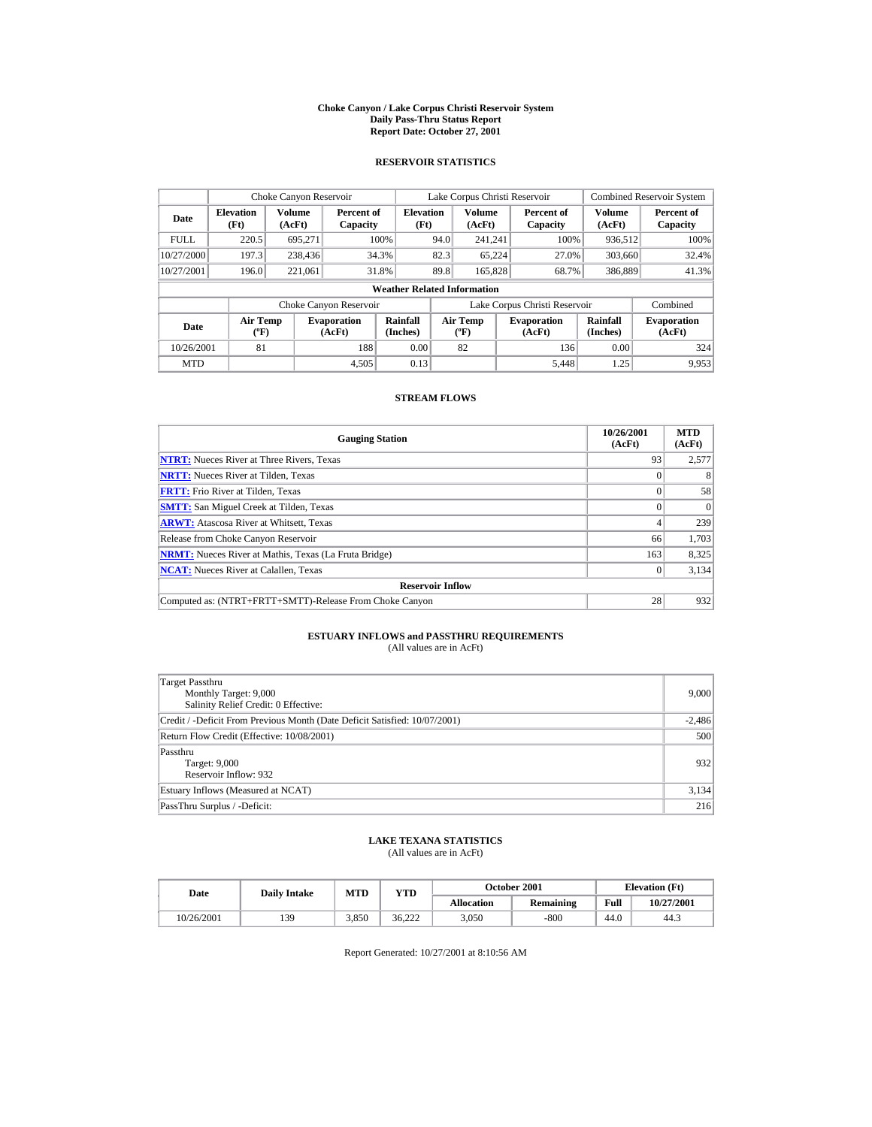#### **Choke Canyon / Lake Corpus Christi Reservoir System Daily Pass-Thru Status Report Report Date: October 27, 2001**

## **RESERVOIR STATISTICS**

|                                                 | Choke Canyon Reservoir   |                              |                        |                                    |                                  | Lake Corpus Christi Reservoir |                               |                              | <b>Combined Reservoir System</b> |
|-------------------------------------------------|--------------------------|------------------------------|------------------------|------------------------------------|----------------------------------|-------------------------------|-------------------------------|------------------------------|----------------------------------|
| Date                                            | <b>Elevation</b><br>(Ft) | Volume<br>(AcFt)             | Percent of<br>Capacity | <b>Elevation</b><br>(Ft)           |                                  | Volume<br>(AcFt)              | Percent of<br>Capacity        | Volume<br>(AcFt)             | Percent of<br>Capacity           |
| <b>FULL</b>                                     | 220.5                    | 695.271                      |                        | 100%                               | 94.0                             | 241.241                       | 100%                          | 936,512                      | 100%                             |
| 10/27/2000                                      | 197.3                    | 238,436                      |                        | 34.3%                              | 82.3                             | 65,224                        | 27.0%                         | 303,660                      | 32.4%                            |
| 10/27/2001                                      | 196.0                    | 221,061                      |                        | 31.8%                              | 89.8                             | 165,828                       | 68.7%                         | 386,889                      | 41.3%                            |
|                                                 |                          |                              |                        | <b>Weather Related Information</b> |                                  |                               |                               |                              |                                  |
|                                                 |                          |                              | Choke Canyon Reservoir |                                    |                                  |                               | Lake Corpus Christi Reservoir |                              | Combined                         |
| <b>Air Temp</b><br><b>Date</b><br>$(^{\circ}F)$ |                          | <b>Evaporation</b><br>(AcFt) | Rainfall<br>(Inches)   |                                    | <b>Air Temp</b><br>$(^{\circ}F)$ | <b>Evaporation</b><br>(AcFt)  | <b>Rainfall</b><br>(Inches)   | <b>Evaporation</b><br>(AcFt) |                                  |
| 10/26/2001                                      | 81                       |                              | 188                    | 0.00                               |                                  | 82                            | 136                           | 0.00                         | 324                              |
| <b>MTD</b>                                      |                          |                              | 4.505                  | 0.13                               |                                  |                               | 5.448                         | 1.25                         | 9.953                            |

## **STREAM FLOWS**

| <b>Gauging Station</b>                                       | 10/26/2001<br>(AcFt) | <b>MTD</b><br>(AcFt) |
|--------------------------------------------------------------|----------------------|----------------------|
| <b>NTRT:</b> Nueces River at Three Rivers, Texas             | 93                   | 2,577                |
| <b>NRTT:</b> Nueces River at Tilden, Texas                   |                      | 8                    |
| <b>FRTT:</b> Frio River at Tilden, Texas                     |                      | 58                   |
| <b>SMTT:</b> San Miguel Creek at Tilden, Texas               |                      | $\Omega$             |
| <b>ARWT:</b> Atascosa River at Whitsett, Texas               |                      | 239                  |
| Release from Choke Canyon Reservoir                          | 66                   | 1,703                |
| <b>NRMT:</b> Nueces River at Mathis, Texas (La Fruta Bridge) | 163                  | 8,325                |
| <b>NCAT:</b> Nueces River at Calallen, Texas                 |                      | 3,134                |
| <b>Reservoir Inflow</b>                                      |                      |                      |
| Computed as: (NTRT+FRTT+SMTT)-Release From Choke Canyon      | 28                   | 932                  |

# **ESTUARY INFLOWS and PASSTHRU REQUIREMENTS**<br>(All values are in AcFt)

| Target Passthru<br>Monthly Target: 9,000<br>Salinity Relief Credit: 0 Effective: | 9,000    |
|----------------------------------------------------------------------------------|----------|
| Credit / -Deficit From Previous Month (Date Deficit Satisfied: 10/07/2001)       | $-2,486$ |
| Return Flow Credit (Effective: 10/08/2001)                                       | 500      |
| Passthru<br>Target: 9,000<br>Reservoir Inflow: 932                               | 932      |
| Estuary Inflows (Measured at NCAT)                                               | 3,134    |
| PassThru Surplus / -Deficit:                                                     | 216      |

## **LAKE TEXANA STATISTICS**

(All values are in AcFt)

| Date       | <b>Daily Intake</b> | MTD   | $_{\rm VTD}$ | <b>October 2001</b> |           |      | <b>Elevation</b> (Ft) |
|------------|---------------------|-------|--------------|---------------------|-----------|------|-----------------------|
|            |                     |       |              | <b>Allocation</b>   | Remaining | Full | 10/27/2001            |
| 10/26/2001 | 139                 | 3.850 | 36.222       | 3.050               | $-800$    | 44.0 | 44.3                  |

Report Generated: 10/27/2001 at 8:10:56 AM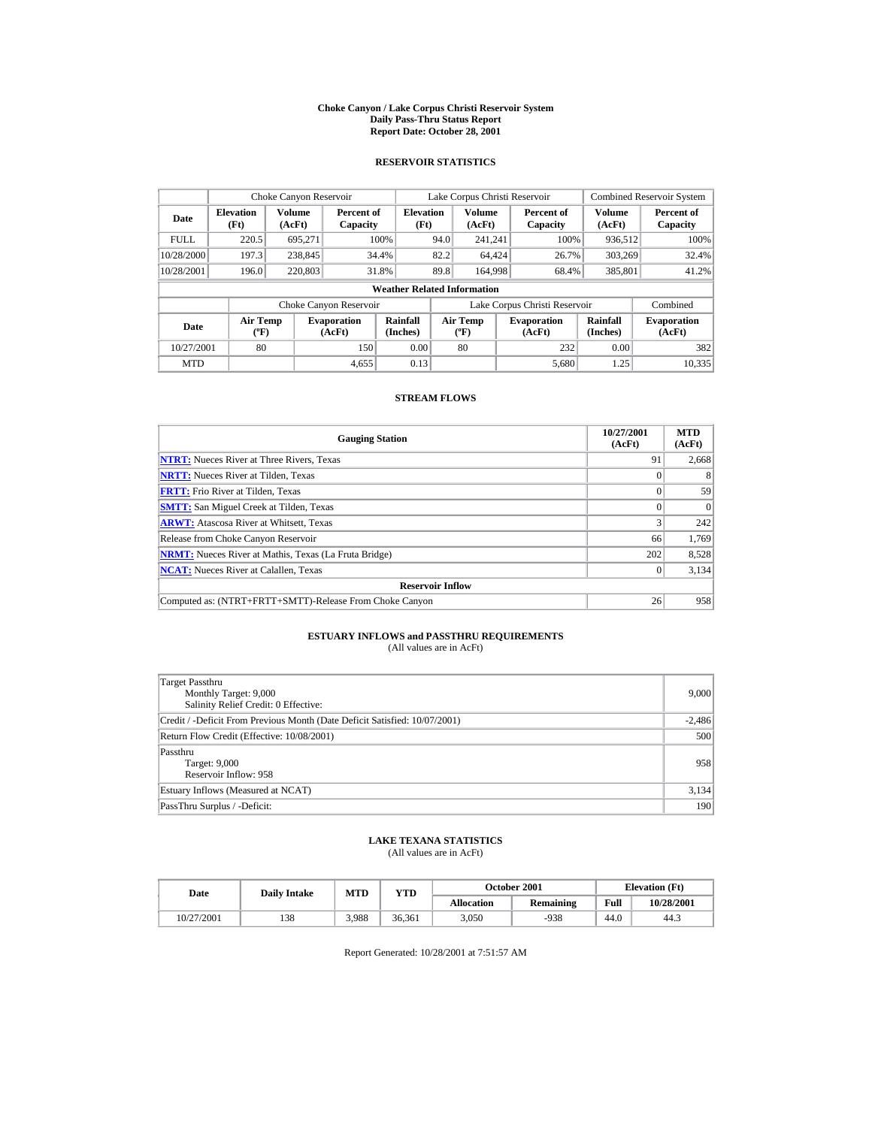#### **Choke Canyon / Lake Corpus Christi Reservoir System Daily Pass-Thru Status Report Report Date: October 28, 2001**

## **RESERVOIR STATISTICS**

|             | Choke Canyon Reservoir                      |                  |                              |                          | Lake Corpus Christi Reservoir |                                          |  |                               |                      | <b>Combined Reservoir System</b> |  |  |
|-------------|---------------------------------------------|------------------|------------------------------|--------------------------|-------------------------------|------------------------------------------|--|-------------------------------|----------------------|----------------------------------|--|--|
| Date        | <b>Elevation</b><br>(Ft)                    | Volume<br>(AcFt) | Percent of<br>Capacity       | <b>Elevation</b><br>(Ft) |                               | <b>Volume</b><br>(AcFt)                  |  | Percent of<br>Capacity        | Volume<br>(AcFt)     | Percent of<br>Capacity           |  |  |
| <b>FULL</b> | 220.5                                       | 695.271          |                              | 100%                     | 94.0                          | 241.241                                  |  | 100%                          | 936.512              | 100%                             |  |  |
| 10/28/2000  | 197.3                                       | 238,845          |                              | 34.4%                    | 82.2                          | 64.424                                   |  | 26.7%                         | 303.269              | 32.4%                            |  |  |
| 10/28/2001  | 196.0                                       | 220,803          |                              | 31.8%                    | 89.8                          | 164,998                                  |  | 68.4%                         | 385,801              | 41.2%                            |  |  |
|             | <b>Weather Related Information</b>          |                  |                              |                          |                               |                                          |  |                               |                      |                                  |  |  |
|             |                                             |                  | Choke Canyon Reservoir       |                          |                               |                                          |  | Lake Corpus Christi Reservoir |                      | Combined                         |  |  |
| Date        | <b>Air Temp</b><br>$({}^{\circ}\mathrm{F})$ |                  | <b>Evaporation</b><br>(AcFt) | Rainfall<br>(Inches)     |                               | <b>Air Temp</b><br>$({}^{\circ}{\rm F})$ |  | <b>Evaporation</b><br>(AcFt)  | Rainfall<br>(Inches) | <b>Evaporation</b><br>(AcFt)     |  |  |
| 10/27/2001  | 80                                          |                  | 150                          | 0.00                     |                               | 80                                       |  | 232                           | 0.00                 | 382                              |  |  |
| <b>MTD</b>  |                                             |                  | 4.655                        | 0.13                     |                               |                                          |  | 5.680                         | 1.25                 | 10.335                           |  |  |

## **STREAM FLOWS**

| <b>Gauging Station</b>                                       | 10/27/2001<br>(AcFt) | <b>MTD</b><br>(AcFt) |
|--------------------------------------------------------------|----------------------|----------------------|
| <b>NTRT:</b> Nueces River at Three Rivers, Texas             | 91                   | 2,668                |
| <b>NRTT:</b> Nueces River at Tilden, Texas                   |                      | 8                    |
| <b>FRTT:</b> Frio River at Tilden, Texas                     |                      | 59                   |
| <b>SMTT:</b> San Miguel Creek at Tilden, Texas               |                      | $\Omega$             |
| <b>ARWT:</b> Atascosa River at Whitsett, Texas               |                      | 242                  |
| Release from Choke Canyon Reservoir                          | 66                   | 1,769                |
| <b>NRMT:</b> Nueces River at Mathis, Texas (La Fruta Bridge) | 202                  | 8,528                |
| <b>NCAT:</b> Nueces River at Calallen, Texas                 |                      | 3,134                |
| <b>Reservoir Inflow</b>                                      |                      |                      |
| Computed as: (NTRT+FRTT+SMTT)-Release From Choke Canyon      | 26                   | 958                  |

# **ESTUARY INFLOWS and PASSTHRU REQUIREMENTS**<br>(All values are in AcFt)

| Target Passthru<br>Monthly Target: 9,000<br>Salinity Relief Credit: 0 Effective: | 9.000    |
|----------------------------------------------------------------------------------|----------|
| Credit / -Deficit From Previous Month (Date Deficit Satisfied: 10/07/2001)       | $-2,486$ |
| Return Flow Credit (Effective: 10/08/2001)                                       | 500      |
| Passthru<br>Target: 9,000<br>Reservoir Inflow: 958                               | 958      |
| Estuary Inflows (Measured at NCAT)                                               | 3,134    |
| PassThru Surplus / -Deficit:                                                     | 190      |

## **LAKE TEXANA STATISTICS**

(All values are in AcFt)

| Date |            | <b>Daily Intake</b> | MTD   | $_{\rm VTD}$ |                   | <b>October 2001</b> | <b>Elevation</b> (Ft) |            |
|------|------------|---------------------|-------|--------------|-------------------|---------------------|-----------------------|------------|
|      |            |                     |       |              | <b>Allocation</b> | Remaining           | Full                  | 10/28/2001 |
|      | 10/27/2001 | 138                 | 3.988 | 36.361       | 3.050             | $-938$              | 44.0                  | 44.3       |

Report Generated: 10/28/2001 at 7:51:57 AM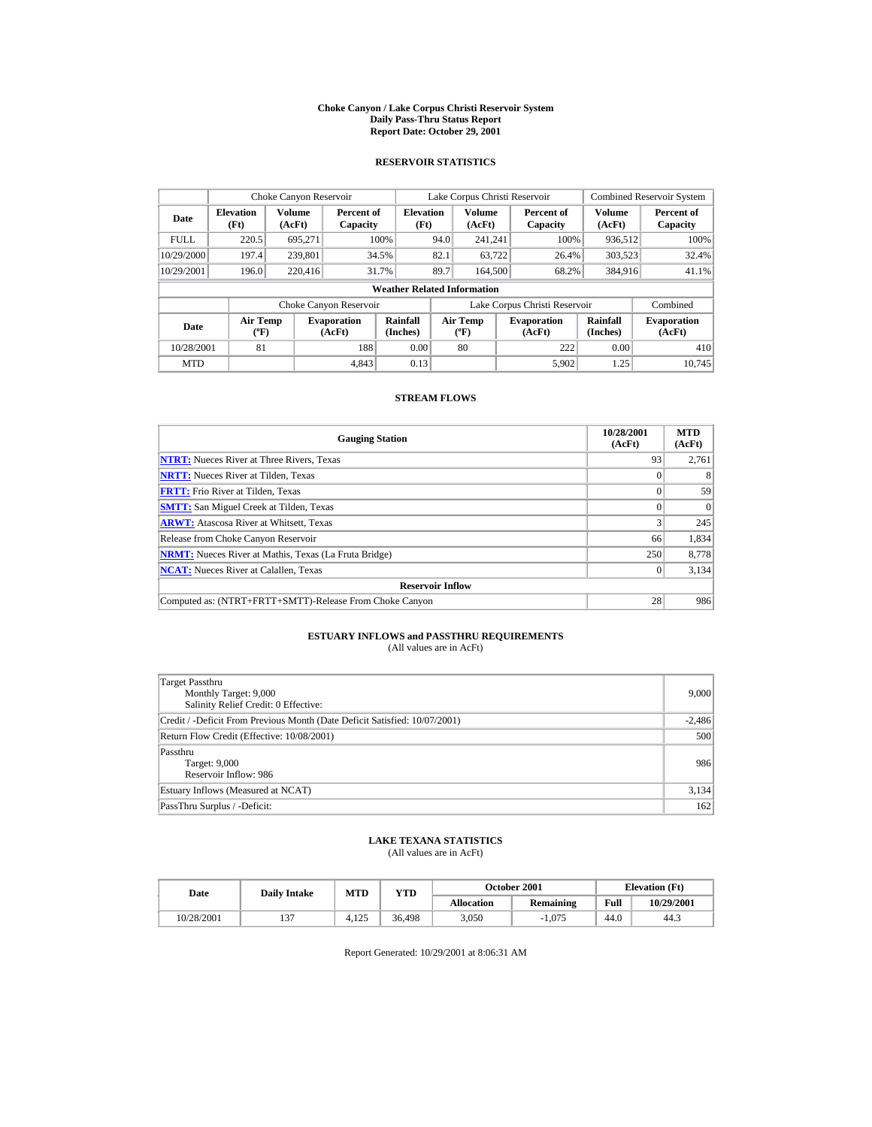#### **Choke Canyon / Lake Corpus Christi Reservoir System Daily Pass-Thru Status Report Report Date: October 29, 2001**

## **RESERVOIR STATISTICS**

|             | Choke Canyon Reservoir             |                  |                              |                          | Lake Corpus Christi Reservoir |                                             |  |                               |                             | <b>Combined Reservoir System</b> |  |  |
|-------------|------------------------------------|------------------|------------------------------|--------------------------|-------------------------------|---------------------------------------------|--|-------------------------------|-----------------------------|----------------------------------|--|--|
| Date        | <b>Elevation</b><br>(Ft)           | Volume<br>(AcFt) | Percent of<br>Capacity       | <b>Elevation</b><br>(Ft) |                               | Volume<br>(AcFt)                            |  | Percent of<br>Capacity        | Volume<br>(AcFt)            | Percent of<br>Capacity           |  |  |
| <b>FULL</b> | 220.5                              | 695.271          |                              | 100%                     | 94.0                          | 241.241                                     |  | 100%                          | 936,512                     | 100%                             |  |  |
| 10/29/2000  | 197.4                              | 239,801          |                              | 34.5%                    | 82.1                          | 63.722                                      |  | 26.4%                         | 303,523                     | 32.4%                            |  |  |
| 10/29/2001  | 196.0                              | 220,416          |                              | 31.7%                    | 89.7                          | 164,500                                     |  | 68.2%                         | 384,916                     | 41.1%                            |  |  |
|             | <b>Weather Related Information</b> |                  |                              |                          |                               |                                             |  |                               |                             |                                  |  |  |
|             |                                    |                  | Choke Canyon Reservoir       |                          |                               |                                             |  | Lake Corpus Christi Reservoir |                             | Combined                         |  |  |
| <b>Date</b> | <b>Air Temp</b><br>$(^{\circ}F)$   |                  | <b>Evaporation</b><br>(AcFt) | Rainfall<br>(Inches)     |                               | <b>Air Temp</b><br>$({}^{\circ}\mathbf{F})$ |  | <b>Evaporation</b><br>(AcFt)  | <b>Rainfall</b><br>(Inches) | <b>Evaporation</b><br>(AcFt)     |  |  |
| 10/28/2001  | 81                                 |                  | 188                          | 0.00                     |                               | 80                                          |  | 222                           | 0.00                        | 410                              |  |  |
| <b>MTD</b>  |                                    |                  | 4.843                        | 0.13                     |                               |                                             |  | 5.902                         | 1.25                        | 10.745                           |  |  |

## **STREAM FLOWS**

| <b>Gauging Station</b>                                       | 10/28/2001<br>(AcFt) | <b>MTD</b><br>(AcFt) |
|--------------------------------------------------------------|----------------------|----------------------|
| <b>NTRT:</b> Nueces River at Three Rivers, Texas             | 93                   | 2,761                |
| <b>NRTT:</b> Nueces River at Tilden, Texas                   |                      | 8                    |
| <b>FRTT:</b> Frio River at Tilden, Texas                     |                      | 59                   |
| <b>SMTT:</b> San Miguel Creek at Tilden, Texas               |                      | $\Omega$             |
| <b>ARWT:</b> Atascosa River at Whitsett, Texas               |                      | 245                  |
| Release from Choke Canyon Reservoir                          | 66                   | 1,834                |
| <b>NRMT:</b> Nueces River at Mathis, Texas (La Fruta Bridge) | 250                  | 8,778                |
| <b>NCAT:</b> Nueces River at Calallen, Texas                 |                      | 3,134                |
| <b>Reservoir Inflow</b>                                      |                      |                      |
| Computed as: (NTRT+FRTT+SMTT)-Release From Choke Canyon      | 28                   | 986                  |

# **ESTUARY INFLOWS and PASSTHRU REQUIREMENTS**<br>(All values are in AcFt)

| Target Passthru<br>Monthly Target: 9,000<br>Salinity Relief Credit: 0 Effective: | 9,000    |
|----------------------------------------------------------------------------------|----------|
| Credit / -Deficit From Previous Month (Date Deficit Satisfied: 10/07/2001)       | $-2,486$ |
| Return Flow Credit (Effective: 10/08/2001)                                       | 500      |
| Passthru<br>Target: 9,000<br>Reservoir Inflow: 986                               | 986      |
| Estuary Inflows (Measured at NCAT)                                               | 3,134    |
| PassThru Surplus / -Deficit:                                                     | 162      |

## **LAKE TEXANA STATISTICS**

(All values are in AcFt)

| Date       | <b>Daily Intake</b> | MTD   | VTD    |                   | <b>October 2001</b> |      | <b>Elevation</b> (Ft) |
|------------|---------------------|-------|--------|-------------------|---------------------|------|-----------------------|
|            |                     |       |        | <b>Allocation</b> | Remaining           | Full | 10/29/2001            |
| 10/28/2001 | $\sim$              | 4.125 | 36.498 | 3.050             | $-1.075$            | 44.0 | 44.3                  |

Report Generated: 10/29/2001 at 8:06:31 AM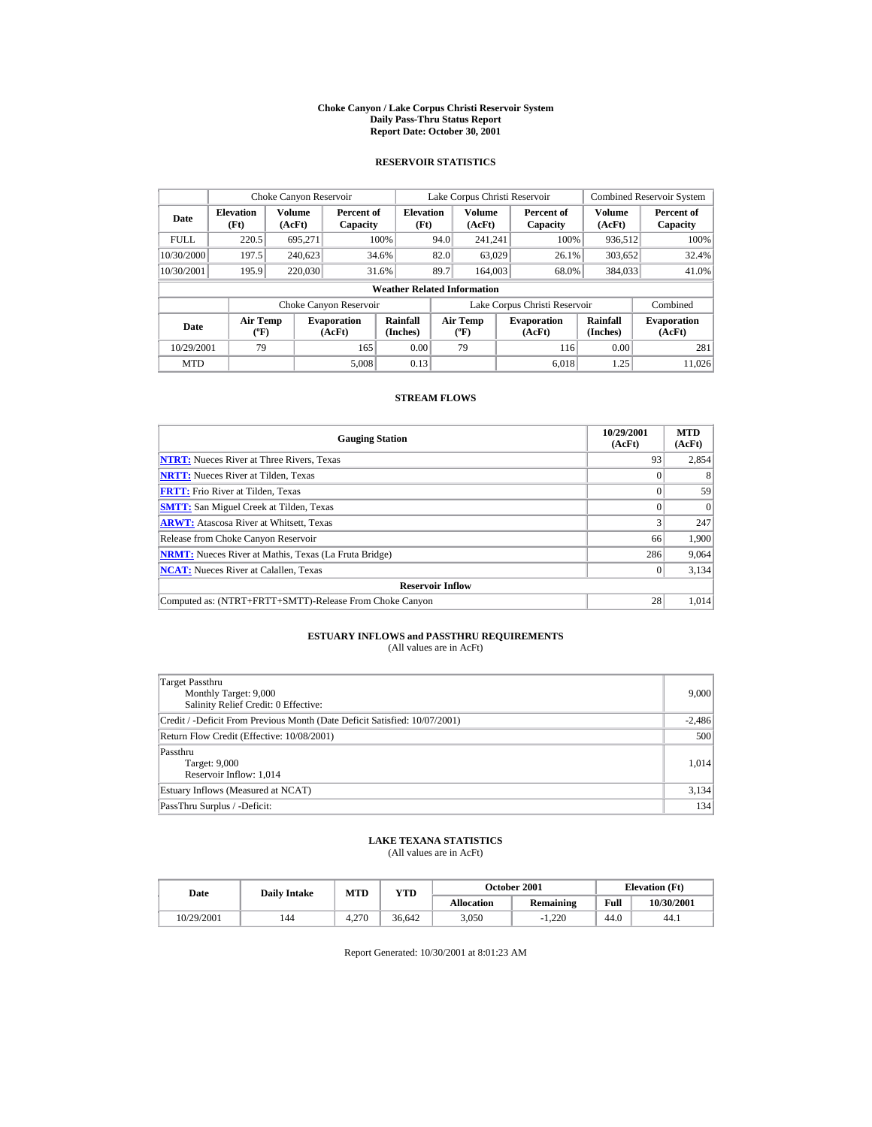#### **Choke Canyon / Lake Corpus Christi Reservoir System Daily Pass-Thru Status Report Report Date: October 30, 2001**

## **RESERVOIR STATISTICS**

|             | Choke Canyon Reservoir                      |                         |                              |                          | Lake Corpus Christi Reservoir |                                   |  |                               |                         | <b>Combined Reservoir System</b> |  |  |
|-------------|---------------------------------------------|-------------------------|------------------------------|--------------------------|-------------------------------|-----------------------------------|--|-------------------------------|-------------------------|----------------------------------|--|--|
| Date        | <b>Elevation</b><br>(Ft)                    | <b>Volume</b><br>(AcFt) | Percent of<br>Capacity       | <b>Elevation</b><br>(Ft) |                               | <b>Volume</b><br>(AcFt)           |  | Percent of<br>Capacity        | <b>Volume</b><br>(AcFt) | Percent of<br>Capacity           |  |  |
| <b>FULL</b> | 220.5                                       | 695,271                 |                              | 100%                     | 94.0                          | 241.241                           |  | 100%                          | 936,512                 | 100%                             |  |  |
| 10/30/2000  | 197.5                                       | 240.623                 |                              | 34.6%                    | 82.0                          | 63,029                            |  | 26.1%                         | 303,652                 | 32.4%                            |  |  |
| 10/30/2001  | 195.9                                       | 220,030                 |                              | 31.6%                    | 89.7                          | 164,003                           |  | 68.0%                         | 384,033                 | 41.0%                            |  |  |
|             | <b>Weather Related Information</b>          |                         |                              |                          |                               |                                   |  |                               |                         |                                  |  |  |
|             |                                             |                         | Choke Canyon Reservoir       |                          |                               |                                   |  | Lake Corpus Christi Reservoir |                         | Combined                         |  |  |
| Date        | <b>Air Temp</b><br>$({}^{\circ}\mathrm{F})$ |                         | <b>Evaporation</b><br>(AcFt) | Rainfall<br>(Inches)     |                               | Air Temp<br>$({}^{\circ}{\rm F})$ |  | <b>Evaporation</b><br>(AcFt)  | Rainfall<br>(Inches)    | <b>Evaporation</b><br>(AcFt)     |  |  |
| 10/29/2001  | 79                                          |                         | 165                          | 0.00                     |                               | 79                                |  | 116                           | 0.00                    | 281                              |  |  |
| <b>MTD</b>  |                                             |                         | 5.008                        | 0.13                     |                               |                                   |  | 6.018                         | 1.25                    | 11.026                           |  |  |

## **STREAM FLOWS**

| <b>Gauging Station</b>                                       | 10/29/2001<br>(AcFt) | <b>MTD</b><br>(AcFt) |
|--------------------------------------------------------------|----------------------|----------------------|
| <b>NTRT:</b> Nueces River at Three Rivers, Texas             | 93                   | 2,854                |
| <b>NRTT:</b> Nueces River at Tilden, Texas                   |                      |                      |
| <b>FRTT:</b> Frio River at Tilden, Texas                     |                      | 59                   |
| <b>SMTT:</b> San Miguel Creek at Tilden, Texas               |                      | $\Omega$             |
| <b>ARWT:</b> Atascosa River at Whitsett, Texas               |                      | 247                  |
| Release from Choke Canyon Reservoir                          | 66                   | 1,900                |
| <b>NRMT:</b> Nueces River at Mathis, Texas (La Fruta Bridge) | 286                  | 9,064                |
| <b>NCAT:</b> Nueces River at Calallen, Texas                 |                      | 3,134                |
| <b>Reservoir Inflow</b>                                      |                      |                      |
| Computed as: (NTRT+FRTT+SMTT)-Release From Choke Canyon      | 28                   | 1.014                |

# **ESTUARY INFLOWS and PASSTHRU REQUIREMENTS**<br>(All values are in AcFt)

| Target Passthru<br>Monthly Target: 9,000<br>Salinity Relief Credit: 0 Effective: | 9.000    |
|----------------------------------------------------------------------------------|----------|
| Credit / -Deficit From Previous Month (Date Deficit Satisfied: 10/07/2001)       | $-2,486$ |
| Return Flow Credit (Effective: 10/08/2001)                                       | 500      |
| Passthru<br>Target: 9,000<br>Reservoir Inflow: 1,014                             | 1,014    |
| Estuary Inflows (Measured at NCAT)                                               | 3,134    |
| PassThru Surplus / -Deficit:                                                     | 134      |

## **LAKE TEXANA STATISTICS**

(All values are in AcFt)

| Date       | <b>Daily Intake</b> | <b>MTD</b> | $_{\rm VTD}$ |                   | <b>October 2001</b> | <b>Elevation</b> (Ft) |            |
|------------|---------------------|------------|--------------|-------------------|---------------------|-----------------------|------------|
|            |                     |            |              | <b>Allocation</b> | Remaining           | Full                  | 10/30/2001 |
| 10/29/2001 | 144                 | 4.270      | 36.642       | 3.050             | $-1.220$            | 44.0                  | 44.1       |

Report Generated: 10/30/2001 at 8:01:23 AM